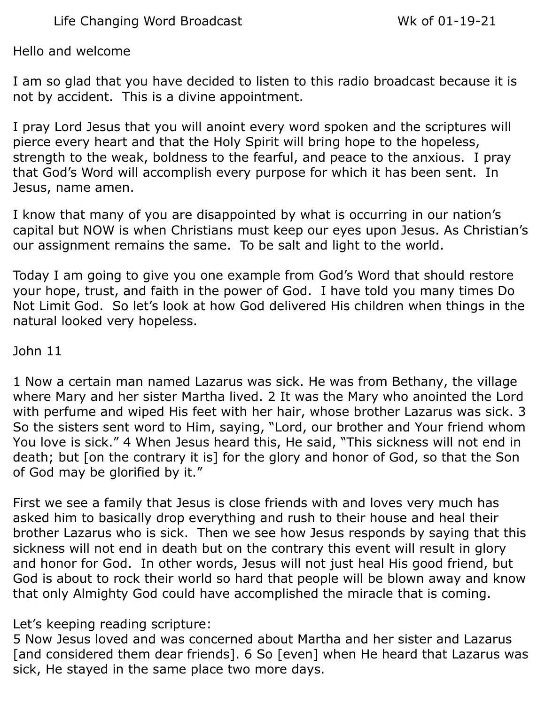Life Changing Word Broadcast Wk of 01-19-21

Hello and welcome

I am so glad that you have decided to listen to this radio broadcast because it is not by accident. This is a divine appointment.

I pray Lord Jesus that you will anoint every word spoken and the scriptures will pierce every heart and that the Holy Spirit will bring hope to the hopeless, strength to the weak, boldness to the fearful, and peace to the anxious. I pray that God's Word will accomplish every purpose for which it has been sent. In Jesus, name amen.

I know that many of you are disappointed by what is occurring in our nation's capital but NOW is when Christians must keep our eyes upon Jesus. As Christian's our assignment remains the same. To be salt and light to the world.

Today I am going to give you one example from God's Word that should restore your hope, trust, and faith in the power of God. I have told you many times Do Not Limit God. So let's look at how God delivered His children when things in the natural looked very hopeless.

John 11

1 Now a certain man named Lazarus was sick. He was from Bethany, the village where Mary and her sister Martha lived. 2 It was the Mary who anointed the Lord with perfume and wiped His feet with her hair, whose brother Lazarus was sick. 3 So the sisters sent word to Him, saying, "Lord, our brother and Your friend whom You love is sick." 4 When Jesus heard this, He said, "This sickness will not end in death; but [on the contrary it is] for the glory and honor of God, so that the Son of God may be glorified by it."

First we see a family that Jesus is close friends with and loves very much has asked him to basically drop everything and rush to their house and heal their brother Lazarus who is sick. Then we see how Jesus responds by saying that this sickness will not end in death but on the contrary this event will result in glory and honor for God. In other words, Jesus will not just heal His good friend, but God is about to rock their world so hard that people will be blown away and know that only Almighty God could have accomplished the miracle that is coming.

Let's keeping reading scripture:

5 Now Jesus loved and was concerned about Martha and her sister and Lazarus [and considered them dear friends]. 6 So [even] when He heard that Lazarus was sick, He stayed in the same place two more days.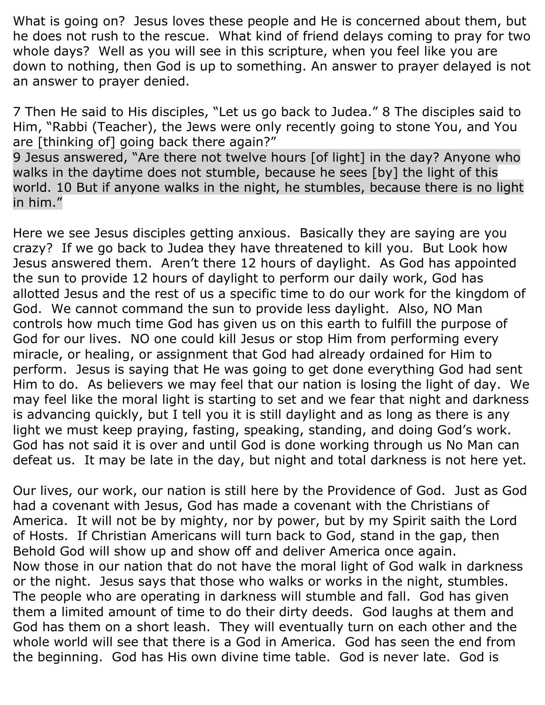What is going on? Jesus loves these people and He is concerned about them, but he does not rush to the rescue. What kind of friend delays coming to pray for two whole days? Well as you will see in this scripture, when you feel like you are down to nothing, then God is up to something. An answer to prayer delayed is not an answer to prayer denied.

7 Then He said to His disciples, "Let us go back to Judea." 8 The disciples said to Him, "Rabbi (Teacher), the Jews were only recently going to stone You, and You are [thinking of] going back there again?"

9 Jesus answered, "Are there not twelve hours [of light] in the day? Anyone who walks in the daytime does not stumble, because he sees [by] the light of this world. 10 But if anyone walks in the night, he stumbles, because there is no light in him."

Here we see Jesus disciples getting anxious. Basically they are saying are you crazy? If we go back to Judea they have threatened to kill you. But Look how Jesus answered them. Aren't there 12 hours of daylight. As God has appointed the sun to provide 12 hours of daylight to perform our daily work, God has allotted Jesus and the rest of us a specific time to do our work for the kingdom of God. We cannot command the sun to provide less daylight. Also, NO Man controls how much time God has given us on this earth to fulfill the purpose of God for our lives. NO one could kill Jesus or stop Him from performing every miracle, or healing, or assignment that God had already ordained for Him to perform. Jesus is saying that He was going to get done everything God had sent Him to do. As believers we may feel that our nation is losing the light of day. We may feel like the moral light is starting to set and we fear that night and darkness is advancing quickly, but I tell you it is still daylight and as long as there is any light we must keep praying, fasting, speaking, standing, and doing God's work. God has not said it is over and until God is done working through us No Man can defeat us. It may be late in the day, but night and total darkness is not here yet.

Our lives, our work, our nation is still here by the Providence of God. Just as God had a covenant with Jesus, God has made a covenant with the Christians of America. It will not be by mighty, nor by power, but by my Spirit saith the Lord of Hosts. If Christian Americans will turn back to God, stand in the gap, then Behold God will show up and show off and deliver America once again. Now those in our nation that do not have the moral light of God walk in darkness or the night. Jesus says that those who walks or works in the night, stumbles. The people who are operating in darkness will stumble and fall. God has given them a limited amount of time to do their dirty deeds. God laughs at them and God has them on a short leash. They will eventually turn on each other and the whole world will see that there is a God in America. God has seen the end from the beginning. God has His own divine time table. God is never late. God is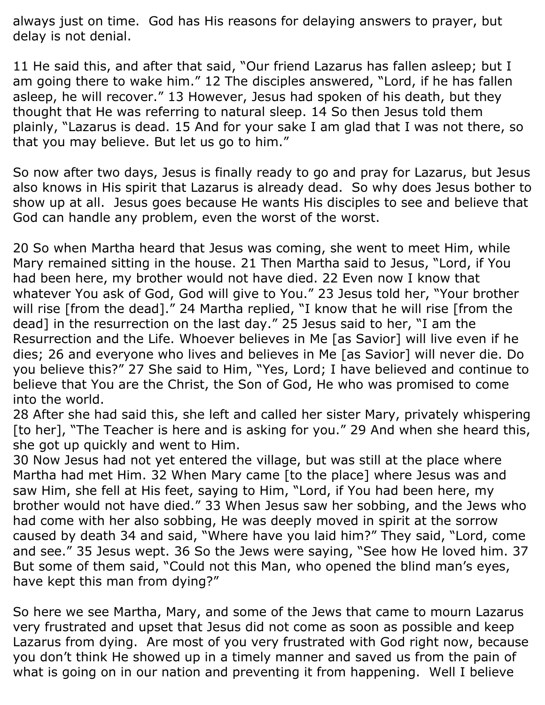always just on time. God has His reasons for delaying answers to prayer, but delay is not denial.

11 He said this, and after that said, "Our friend Lazarus has fallen asleep; but I am going there to wake him." 12 The disciples answered, "Lord, if he has fallen asleep, he will recover." 13 However, Jesus had spoken of his death, but they thought that He was referring to natural sleep. 14 So then Jesus told them plainly, "Lazarus is dead. 15 And for your sake I am glad that I was not there, so that you may believe. But let us go to him."

So now after two days, Jesus is finally ready to go and pray for Lazarus, but Jesus also knows in His spirit that Lazarus is already dead. So why does Jesus bother to show up at all. Jesus goes because He wants His disciples to see and believe that God can handle any problem, even the worst of the worst.

20 So when Martha heard that Jesus was coming, she went to meet Him, while Mary remained sitting in the house. 21 Then Martha said to Jesus, "Lord, if You had been here, my brother would not have died. 22 Even now I know that whatever You ask of God, God will give to You." 23 Jesus told her, "Your brother will rise [from the dead]." 24 Martha replied, "I know that he will rise [from the dead] in the resurrection on the last day." 25 Jesus said to her, "I am the Resurrection and the Life. Whoever believes in Me [as Savior] will live even if he dies; 26 and everyone who lives and believes in Me [as Savior] will never die. Do you believe this?" 27 She said to Him, "Yes, Lord; I have believed and continue to believe that You are the Christ, the Son of God, He who was promised to come into the world.

28 After she had said this, she left and called her sister Mary, privately whispering [to her], "The Teacher is here and is asking for you." 29 And when she heard this, she got up quickly and went to Him.

30 Now Jesus had not yet entered the village, but was still at the place where Martha had met Him. 32 When Mary came [to the place] where Jesus was and saw Him, she fell at His feet, saying to Him, "Lord, if You had been here, my brother would not have died." 33 When Jesus saw her sobbing, and the Jews who had come with her also sobbing, He was deeply moved in spirit at the sorrow caused by death 34 and said, "Where have you laid him?" They said, "Lord, come and see." 35 Jesus wept. 36 So the Jews were saying, "See how He loved him. 37 But some of them said, "Could not this Man, who opened the blind man's eyes, have kept this man from dying?"

So here we see Martha, Mary, and some of the Jews that came to mourn Lazarus very frustrated and upset that Jesus did not come as soon as possible and keep Lazarus from dying. Are most of you very frustrated with God right now, because you don't think He showed up in a timely manner and saved us from the pain of what is going on in our nation and preventing it from happening. Well I believe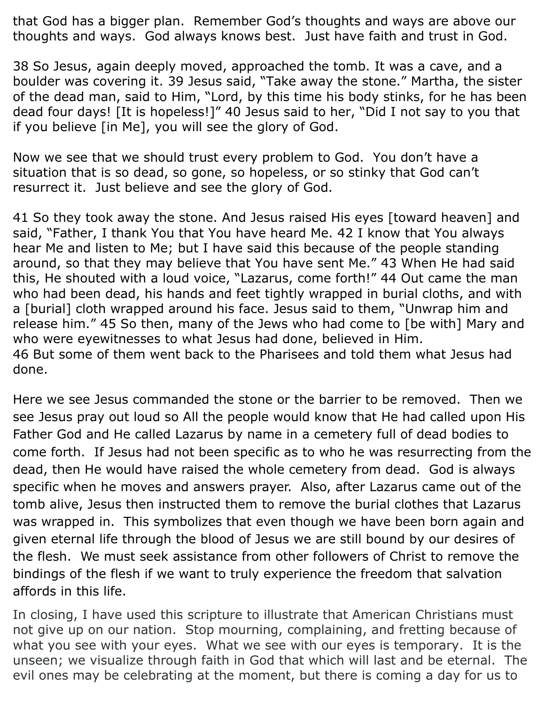that God has a bigger plan. Remember God's thoughts and ways are above our thoughts and ways. God always knows best. Just have faith and trust in God.

38 So Jesus, again deeply moved, approached the tomb. It was a cave, and a boulder was covering it. 39 Jesus said, "Take away the stone." Martha, the sister of the dead man, said to Him, "Lord, by this time his body stinks, for he has been dead four days! [It is hopeless!]" 40 Jesus said to her, "Did I not say to you that if you believe [in Me], you will see the glory of God.

Now we see that we should trust every problem to God. You don't have a situation that is so dead, so gone, so hopeless, or so stinky that God can't resurrect it. Just believe and see the glory of God.

41 So they took away the stone. And Jesus raised His eyes [toward heaven] and said, "Father, I thank You that You have heard Me. 42 I know that You always hear Me and listen to Me; but I have said this because of the people standing around, so that they may believe that You have sent Me." 43 When He had said this, He shouted with a loud voice, "Lazarus, come forth!" 44 Out came the man who had been dead, his hands and feet tightly wrapped in burial cloths, and with a [burial] cloth wrapped around his face. Jesus said to them, "Unwrap him and release him." 45 So then, many of the Jews who had come to [be with] Mary and who were eyewitnesses to what Jesus had done, believed in Him. 46 But some of them went back to the Pharisees and told them what Jesus had done.

Here we see Jesus commanded the stone or the barrier to be removed. Then we see Jesus pray out loud so All the people would know that He had called upon His Father God and He called Lazarus by name in a cemetery full of dead bodies to come forth. If Jesus had not been specific as to who he was resurrecting from the dead, then He would have raised the whole cemetery from dead. God is always specific when he moves and answers prayer. Also, after Lazarus came out of the tomb alive, Jesus then instructed them to remove the burial clothes that Lazarus was wrapped in. This symbolizes that even though we have been born again and given eternal life through the blood of Jesus we are still bound by our desires of the flesh. We must seek assistance from other followers of Christ to remove the bindings of the flesh if we want to truly experience the freedom that salvation affords in this life.

In closing, I have used this scripture to illustrate that American Christians must not give up on our nation. Stop mourning, complaining, and fretting because of what you see with your eyes. What we see with our eyes is temporary. It is the unseen; we visualize through faith in God that which will last and be eternal. The evil ones may be celebrating at the moment, but there is coming a day for us to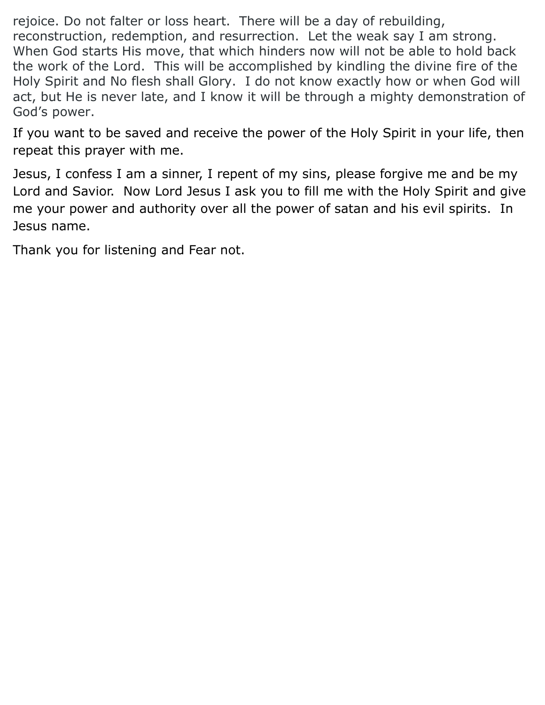rejoice. Do not falter or loss heart. There will be a day of rebuilding, reconstruction, redemption, and resurrection. Let the weak say I am strong. When God starts His move, that which hinders now will not be able to hold back the work of the Lord. This will be accomplished by kindling the divine fire of the Holy Spirit and No flesh shall Glory. I do not know exactly how or when God will act, but He is never late, and I know it will be through a mighty demonstration of God's power.

If you want to be saved and receive the power of the Holy Spirit in your life, then repeat this prayer with me.

Jesus, I confess I am a sinner, I repent of my sins, please forgive me and be my Lord and Savior. Now Lord Jesus I ask you to fill me with the Holy Spirit and give me your power and authority over all the power of satan and his evil spirits. In Jesus name.

Thank you for listening and Fear not.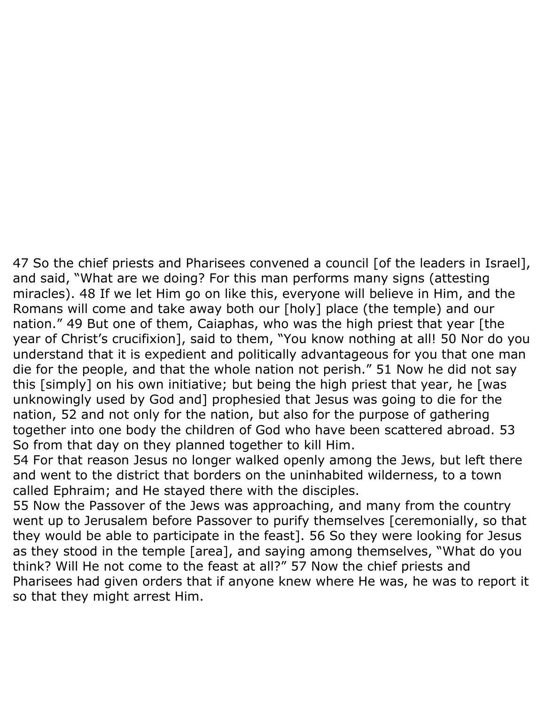47 So the chief priests and Pharisees convened a council [of the leaders in Israel], and said, "What are we doing? For this man performs many signs (attesting miracles). 48 If we let Him go on like this, everyone will believe in Him, and the Romans will come and take away both our [holy] place (the temple) and our nation." 49 But one of them, Caiaphas, who was the high priest that year [the year of Christ's crucifixion], said to them, "You know nothing at all! 50 Nor do you understand that it is expedient and politically advantageous for you that one man die for the people, and that the whole nation not perish." 51 Now he did not say this [simply] on his own initiative; but being the high priest that year, he [was unknowingly used by God and] prophesied that Jesus was going to die for the nation, 52 and not only for the nation, but also for the purpose of gathering together into one body the children of God who have been scattered abroad. 53 So from that day on they planned together to kill Him.

54 For that reason Jesus no longer walked openly among the Jews, but left there and went to the district that borders on the uninhabited wilderness, to a town called Ephraim; and He stayed there with the disciples.

55 Now the Passover of the Jews was approaching, and many from the country went up to Jerusalem before Passover to purify themselves [ceremonially, so that they would be able to participate in the feast]. 56 So they were looking for Jesus as they stood in the temple [area], and saying among themselves, "What do you think? Will He not come to the feast at all?" 57 Now the chief priests and Pharisees had given orders that if anyone knew where He was, he was to report it so that they might arrest Him.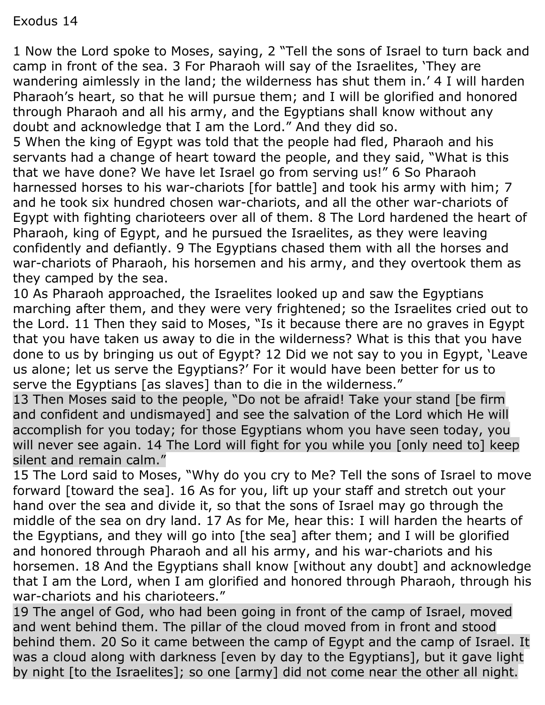# Exodus 14

1 Now the Lord spoke to Moses, saying, 2 "Tell the sons of Israel to turn back and camp in front of the sea. 3 For Pharaoh will say of the Israelites, 'They are wandering aimlessly in the land; the wilderness has shut them in.' 4 I will harden Pharaoh's heart, so that he will pursue them; and I will be glorified and honored through Pharaoh and all his army, and the Egyptians shall know without any doubt and acknowledge that I am the Lord." And they did so.

5 When the king of Egypt was told that the people had fled, Pharaoh and his servants had a change of heart toward the people, and they said, "What is this that we have done? We have let Israel go from serving us!" 6 So Pharaoh harnessed horses to his war-chariots [for battle] and took his army with him; 7 and he took six hundred chosen war-chariots, and all the other war-chariots of Egypt with fighting charioteers over all of them. 8 The Lord hardened the heart of Pharaoh, king of Egypt, and he pursued the Israelites, as they were leaving confidently and defiantly. 9 The Egyptians chased them with all the horses and war-chariots of Pharaoh, his horsemen and his army, and they overtook them as they camped by the sea.

10 As Pharaoh approached, the Israelites looked up and saw the Egyptians marching after them, and they were very frightened; so the Israelites cried out to the Lord. 11 Then they said to Moses, "Is it because there are no graves in Egypt that you have taken us away to die in the wilderness? What is this that you have done to us by bringing us out of Egypt? 12 Did we not say to you in Egypt, 'Leave us alone; let us serve the Egyptians?' For it would have been better for us to serve the Egyptians [as slaves] than to die in the wilderness."

13 Then Moses said to the people, "Do not be afraid! Take your stand [be firm and confident and undismayed] and see the salvation of the Lord which He will accomplish for you today; for those Egyptians whom you have seen today, you will never see again. 14 The Lord will fight for you while you [only need to] keep silent and remain calm."

15 The Lord said to Moses, "Why do you cry to Me? Tell the sons of Israel to move forward [toward the sea]. 16 As for you, lift up your staff and stretch out your hand over the sea and divide it, so that the sons of Israel may go through the middle of the sea on dry land. 17 As for Me, hear this: I will harden the hearts of the Egyptians, and they will go into [the sea] after them; and I will be glorified and honored through Pharaoh and all his army, and his war-chariots and his horsemen. 18 And the Egyptians shall know [without any doubt] and acknowledge that I am the Lord, when I am glorified and honored through Pharaoh, through his war-chariots and his charioteers."

19 The angel of God, who had been going in front of the camp of Israel, moved and went behind them. The pillar of the cloud moved from in front and stood behind them. 20 So it came between the camp of Egypt and the camp of Israel. It was a cloud along with darkness [even by day to the Egyptians], but it gave light by night [to the Israelites]; so one [army] did not come near the other all night.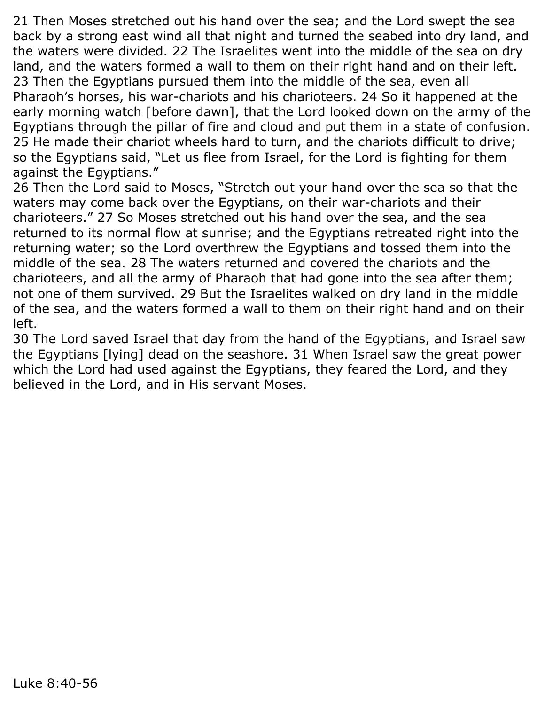21 Then Moses stretched out his hand over the sea; and the Lord swept the sea back by a strong east wind all that night and turned the seabed into dry land, and the waters were divided. 22 The Israelites went into the middle of the sea on dry land, and the waters formed a wall to them on their right hand and on their left. 23 Then the Egyptians pursued them into the middle of the sea, even all Pharaoh's horses, his war-chariots and his charioteers. 24 So it happened at the early morning watch [before dawn], that the Lord looked down on the army of the Egyptians through the pillar of fire and cloud and put them in a state of confusion. 25 He made their chariot wheels hard to turn, and the chariots difficult to drive; so the Egyptians said, "Let us flee from Israel, for the Lord is fighting for them against the Egyptians."

26 Then the Lord said to Moses, "Stretch out your hand over the sea so that the waters may come back over the Egyptians, on their war-chariots and their charioteers." 27 So Moses stretched out his hand over the sea, and the sea returned to its normal flow at sunrise; and the Egyptians retreated right into the returning water; so the Lord overthrew the Egyptians and tossed them into the middle of the sea. 28 The waters returned and covered the chariots and the charioteers, and all the army of Pharaoh that had gone into the sea after them; not one of them survived. 29 But the Israelites walked on dry land in the middle of the sea, and the waters formed a wall to them on their right hand and on their left.

30 The Lord saved Israel that day from the hand of the Egyptians, and Israel saw the Egyptians [lying] dead on the seashore. 31 When Israel saw the great power which the Lord had used against the Egyptians, they feared the Lord, and they believed in the Lord, and in His servant Moses.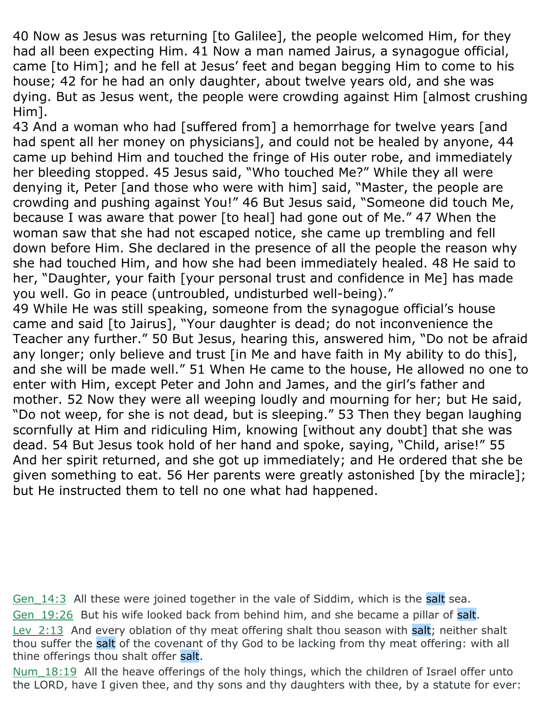40 Now as Jesus was returning [to Galilee], the people welcomed Him, for they had all been expecting Him. 41 Now a man named Jairus, a synagogue official, came [to Him]; and he fell at Jesus' feet and began begging Him to come to his house; 42 for he had an only daughter, about twelve years old, and she was dying. But as Jesus went, the people were crowding against Him [almost crushing Him].

43 And a woman who had [suffered from] a hemorrhage for twelve years [and had spent all her money on physicians], and could not be healed by anyone, 44 came up behind Him and touched the fringe of His outer robe, and immediately her bleeding stopped. 45 Jesus said, "Who touched Me?" While they all were denying it, Peter [and those who were with him] said, "Master, the people are crowding and pushing against You!" 46 But Jesus said, "Someone did touch Me, because I was aware that power [to heal] had gone out of Me." 47 When the woman saw that she had not escaped notice, she came up trembling and fell down before Him. She declared in the presence of all the people the reason why she had touched Him, and how she had been immediately healed. 48 He said to her, "Daughter, your faith [your personal trust and confidence in Me] has made you well. Go in peace (untroubled, undisturbed well-being)."

49 While He was still speaking, someone from the synagogue official's house came and said [to Jairus], "Your daughter is dead; do not inconvenience the Teacher any further." 50 But Jesus, hearing this, answered him, "Do not be afraid any longer; only believe and trust [in Me and have faith in My ability to do this], and she will be made well." 51 When He came to the house, He allowed no one to enter with Him, except Peter and John and James, and the girl's father and mother. 52 Now they were all weeping loudly and mourning for her; but He said, "Do not weep, for she is not dead, but is sleeping." 53 Then they began laughing scornfully at Him and ridiculing Him, knowing [without any doubt] that she was dead. 54 But Jesus took hold of her hand and spoke, saying, "Child, arise!" 55 And her spirit returned, and she got up immediately; and He ordered that she be given something to eat. 56 Her parents were greatly astonished [by the miracle]; but He instructed them to tell no one what had happened.

Gen 14:3 All these were joined together in the vale of Siddim, which is the salt sea.

Gen 19:26 But his wife looked back from behind him, and she became a pillar of salt.

Lev 2:13 And every oblation of thy meat offering shalt thou season with salt; neither shalt thou suffer the salt of the covenant of thy God to be lacking from thy meat offering: with all thine offerings thou shalt offer salt.

Num 18:19 All the heave offerings of the holy things, which the children of Israel offer unto the LORD, have I given thee, and thy sons and thy daughters with thee, by a statute for ever: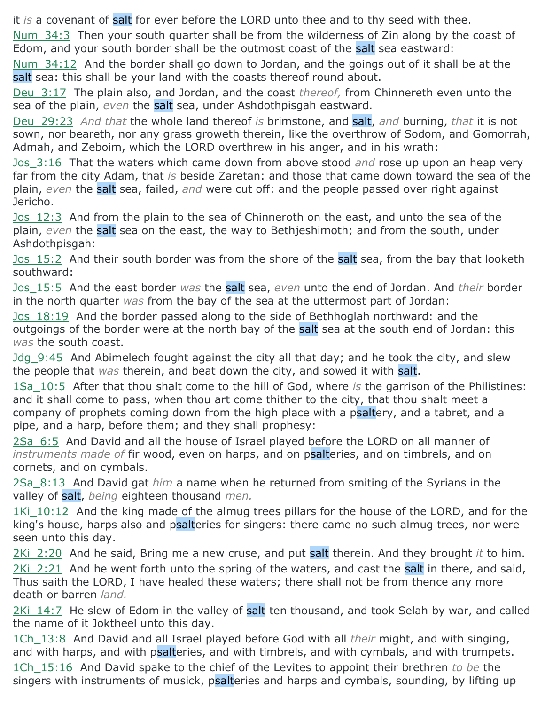it *is* a covenant of salt for ever before the LORD unto thee and to thy seed with thee.

Num 34:3 Then your south quarter shall be from the wilderness of Zin along by the coast of Edom, and your south border shall be the outmost coast of the salt sea eastward:

Num\_34:12 And the border shall go down to Jordan, and the goings out of it shall be at the salt sea: this shall be your land with the coasts thereof round about.

Deu\_3:17 The plain also, and Jordan, and the coast *thereof,* from Chinnereth even unto the sea of the plain, *even* the salt sea, under Ashdothpisgah eastward.

Deu\_29:23 *And that* the whole land thereof *is* brimstone, and salt, *and* burning, *that* it is not sown, nor beareth, nor any grass groweth therein, like the overthrow of Sodom, and Gomorrah, Admah, and Zeboim, which the LORD overthrew in his anger, and in his wrath:

Jos\_3:16 That the waters which came down from above stood *and* rose up upon an heap very far from the city Adam, that *is* beside Zaretan: and those that came down toward the sea of the plain, *even* the salt sea, failed, *and* were cut off: and the people passed over right against Jericho.

Jos 12:3 And from the plain to the sea of Chinneroth on the east, and unto the sea of the plain, *even* the salt sea on the east, the way to Bethjeshimoth; and from the south, under Ashdothpisgah:

Jos 15:2 And their south border was from the shore of the salt sea, from the bay that looketh southward:

Jos\_15:5 And the east border *was* the salt sea, *even* unto the end of Jordan. And *their* border in the north quarter *was* from the bay of the sea at the uttermost part of Jordan:

Jos\_18:19 And the border passed along to the side of Bethhoglah northward: and the outgoings of the border were at the north bay of the salt sea at the south end of Jordan: this *was* the south coast.

Jdg\_9:45 And Abimelech fought against the city all that day; and he took the city, and slew the people that *was* therein, and beat down the city, and sowed it with salt.

1Sa\_10:5 After that thou shalt come to the hill of God, where *is* the garrison of the Philistines: and it shall come to pass, when thou art come thither to the city, that thou shalt meet a company of prophets coming down from the high place with a psaltery, and a tabret, and a pipe, and a harp, before them; and they shall prophesy:

2Sa\_6:5 And David and all the house of Israel played before the LORD on all manner of *instruments made of* fir wood, even on harps, and on psalteries, and on timbrels, and on cornets, and on cymbals.

2Sa\_8:13 And David gat *him* a name when he returned from smiting of the Syrians in the valley of salt, *being* eighteen thousand *men.*

1Ki 10:12 And the king made of the almug trees pillars for the house of the LORD, and for the king's house, harps also and psalteries for singers: there came no such almug trees, nor were seen unto this day.

2Ki\_2:20 And he said, Bring me a new cruse, and put salt therein. And they brought *it* to him. 2Ki 2:21 And he went forth unto the spring of the waters, and cast the salt in there, and said, Thus saith the LORD, I have healed these waters; there shall not be from thence any more death or barren *land.*

 $2$ Ki  $14:7$  He slew of Edom in the valley of salt ten thousand, and took Selah by war, and called the name of it Joktheel unto this day.

1Ch\_13:8 And David and all Israel played before God with all *their* might, and with singing, and with harps, and with psalteries, and with timbrels, and with cymbals, and with trumpets. 1Ch\_15:16 And David spake to the chief of the Levites to appoint their brethren *to be* the

singers with instruments of musick, psalteries and harps and cymbals, sounding, by lifting up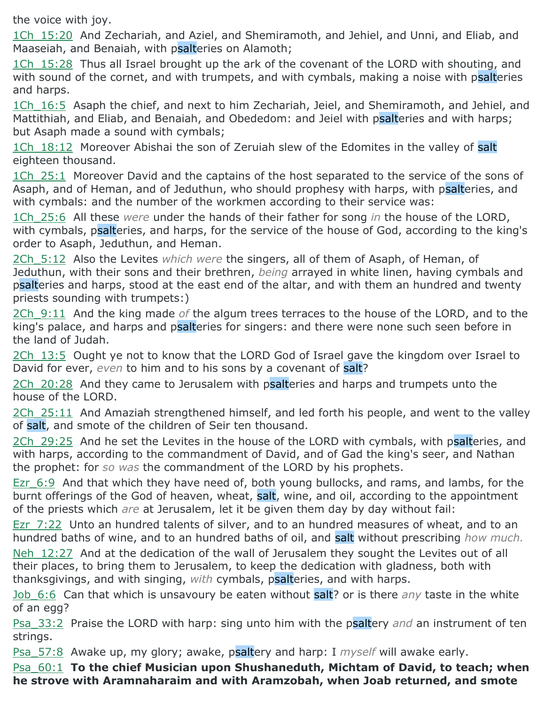the voice with joy.

1Ch\_15:20 And Zechariah, and Aziel, and Shemiramoth, and Jehiel, and Unni, and Eliab, and Maaseiah, and Benaiah, with psalteries on Alamoth;

1Ch 15:28 Thus all Israel brought up the ark of the covenant of the LORD with shouting, and with sound of the cornet, and with trumpets, and with cymbals, making a noise with psalteries and harps.

1Ch 16:5 Asaph the chief, and next to him Zechariah, Jeiel, and Shemiramoth, and Jehiel, and Mattithiah, and Eliab, and Benaiah, and Obededom: and Jeiel with psalteries and with harps; but Asaph made a sound with cymbals;

1Ch 18:12 Moreover Abishai the son of Zeruiah slew of the Edomites in the valley of salt eighteen thousand.

1Ch 25:1 Moreover David and the captains of the host separated to the service of the sons of Asaph, and of Heman, and of Jeduthun, who should prophesy with harps, with psalteries, and with cymbals: and the number of the workmen according to their service was:

1Ch\_25:6 All these *were* under the hands of their father for song *in* the house of the LORD, with cymbals, psalteries, and harps, for the service of the house of God, according to the king's order to Asaph, Jeduthun, and Heman.

2Ch\_5:12 Also the Levites *which were* the singers, all of them of Asaph, of Heman, of Jeduthun, with their sons and their brethren, *being* arrayed in white linen, having cymbals and psalteries and harps, stood at the east end of the altar, and with them an hundred and twenty priests sounding with trumpets:)

2Ch\_9:11 And the king made *of* the algum trees terraces to the house of the LORD, and to the king's palace, and harps and psalteries for singers: and there were none such seen before in the land of Judah.

2Ch 13:5 Ought ye not to know that the LORD God of Israel gave the kingdom over Israel to David for ever, *even* to him and to his sons by a covenant of salt?

2Ch 20:28 And they came to Jerusalem with psalteries and harps and trumpets unto the house of the LORD.

2Ch 25:11 And Amaziah strengthened himself, and led forth his people, and went to the valley of salt, and smote of the children of Seir ten thousand.

2Ch 29:25 And he set the Levites in the house of the LORD with cymbals, with psalteries, and with harps, according to the commandment of David, and of Gad the king's seer, and Nathan the prophet: for *so was* the commandment of the LORD by his prophets.

Ezr 6:9 And that which they have need of, both young bullocks, and rams, and lambs, for the burnt offerings of the God of heaven, wheat, salt, wine, and oil, according to the appointment of the priests which *are* at Jerusalem, let it be given them day by day without fail:

Ezr 7:22 Unto an hundred talents of silver, and to an hundred measures of wheat, and to an hundred baths of wine, and to an hundred baths of oil, and salt without prescribing *how much.*

Neh 12:27 And at the dedication of the wall of Jerusalem they sought the Levites out of all their places, to bring them to Jerusalem, to keep the dedication with gladness, both with thanksgivings, and with singing, *with* cymbals, psalteries, and with harps.

Job\_6:6 Can that which is unsavoury be eaten without salt? or is there *any* taste in the white of an egg?

Psa\_33:2 Praise the LORD with harp: sing unto him with the psaltery *and* an instrument of ten strings.

Psa\_57:8 Awake up, my glory; awake, psaltery and harp: I *myself* will awake early.

Psa\_60:1 **To the chief Musician upon Shushaneduth, Michtam of David, to teach; when he strove with Aramnaharaim and with Aramzobah, when Joab returned, and smote**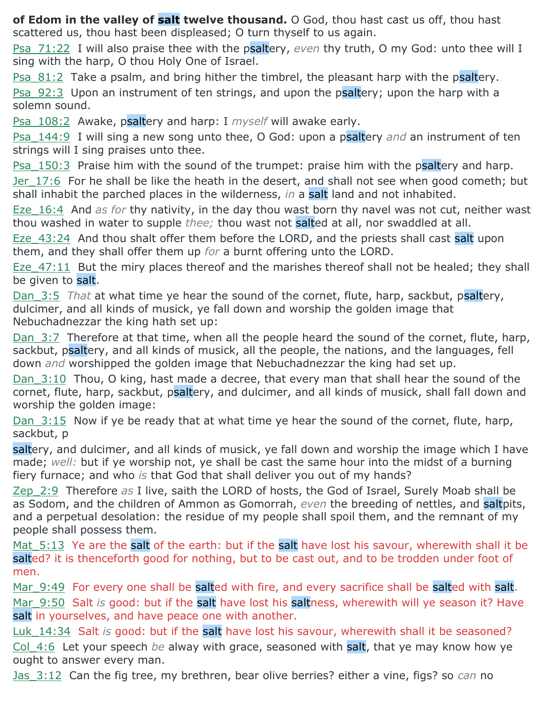**of Edom in the valley of salt twelve thousand.** O God, thou hast cast us off, thou hast scattered us, thou hast been displeased; O turn thyself to us again.

Psa\_71:22 I will also praise thee with the psaltery, *even* thy truth, O my God: unto thee will I sing with the harp, O thou Holy One of Israel.

Psa  $81:2$  Take a psalm, and bring hither the timbrel, the pleasant harp with the psaltery.

Psa 92:3 Upon an instrument of ten strings, and upon the psaltery; upon the harp with a solemn sound.

Psa\_108:2 Awake, psaltery and harp: I *myself* will awake early.

Psa\_144:9 I will sing a new song unto thee, O God: upon a psaltery *and* an instrument of ten strings will I sing praises unto thee.

**Psa\_150:3** Praise him with the sound of the trumpet: praise him with the psaltery and harp. Jer 17:6 For he shall be like the heath in the desert, and shall not see when good cometh; but shall inhabit the parched places in the wilderness, *in* a salt land and not inhabited.

Eze\_16:4 And *as for* thy nativity, in the day thou wast born thy navel was not cut, neither wast thou washed in water to supple *thee;* thou wast not salted at all, nor swaddled at all.

Eze 43:24 And thou shalt offer them before the LORD, and the priests shall cast salt upon them, and they shall offer them up *for* a burnt offering unto the LORD.

Eze 47:11 But the miry places thereof and the marishes thereof shall not be healed; they shall be given to salt.

Dan 3:5 *That* at what time ye hear the sound of the cornet, flute, harp, sackbut, psaltery, dulcimer, and all kinds of musick, ye fall down and worship the golden image that Nebuchadnezzar the king hath set up:

Dan 3:7 Therefore at that time, when all the people heard the sound of the cornet, flute, harp, sackbut, psaltery, and all kinds of musick, all the people, the nations, and the languages, fell down *and* worshipped the golden image that Nebuchadnezzar the king had set up.

Dan 3:10 Thou, O king, hast made a decree, that every man that shall hear the sound of the cornet, flute, harp, sackbut, psaltery, and dulcimer, and all kinds of musick, shall fall down and worship the golden image:

Dan  $3:15$  Now if ye be ready that at what time ye hear the sound of the cornet, flute, harp, sackbut, p

saltery, and dulcimer, and all kinds of musick, ye fall down and worship the image which I have made; *well:* but if ye worship not, ye shall be cast the same hour into the midst of a burning fiery furnace; and who *is* that God that shall deliver you out of my hands?

Zep\_2:9 Therefore *as* I live, saith the LORD of hosts, the God of Israel, Surely Moab shall be as Sodom, and the children of Ammon as Gomorrah, *even* the breeding of nettles, and saltpits, and a perpetual desolation: the residue of my people shall spoil them, and the remnant of my people shall possess them.

Mat 5:13 Ye are the salt of the earth: but if the salt have lost his savour, wherewith shall it be salted? it is thenceforth good for nothing, but to be cast out, and to be trodden under foot of men.

Mar 9:49 For every one shall be salted with fire, and every sacrifice shall be salted with salt. Mar 9:50 Salt *is* good: but if the salt have lost his saltness, wherewith will ye season it? Have salt in yourselves, and have peace one with another.

Luk 14:34 Salt *is* good: but if the salt have lost his savour, wherewith shall it be seasoned? Col\_4:6 Let your speech *be* alway with grace, seasoned with salt, that ye may know how ye ought to answer every man.

Jas\_3:12 Can the fig tree, my brethren, bear olive berries? either a vine, figs? so *can* no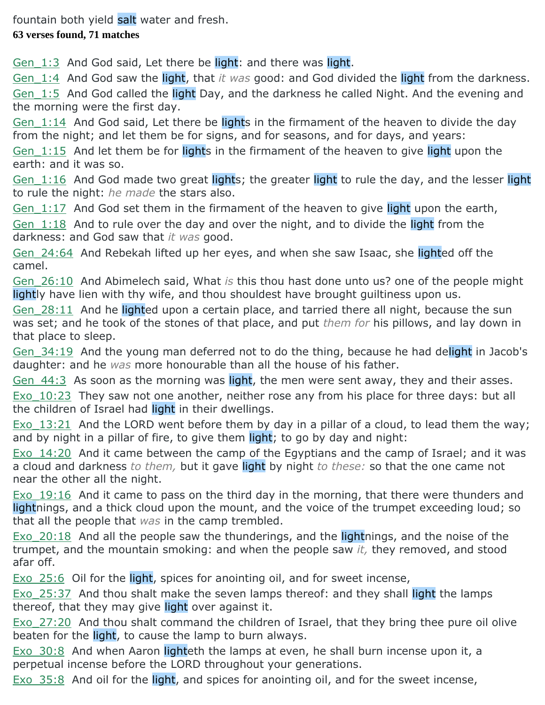fountain both yield salt water and fresh.

#### **63 verses found, 71 matches**

Gen  $1:3$  And God said, Let there be light: and there was light.

Gen\_1:4 And God saw the light, that *it was* good: and God divided the light from the darkness. Gen 1:5 And God called the light Day, and the darkness he called Night. And the evening and the morning were the first day.

Gen 1:14 And God said, Let there be lights in the firmament of the heaven to divide the day from the night; and let them be for signs, and for seasons, and for days, and years:

Gen 1:15 And let them be for lights in the firmament of the heaven to give light upon the earth: and it was so.

Gen 1:16 And God made two great lights; the greater light to rule the day, and the lesser light to rule the night: *he made* the stars also.

Gen  $1:17$  And God set them in the firmament of the heaven to give light upon the earth,

Gen  $1:18$  And to rule over the day and over the night, and to divide the light from the darkness: and God saw that *it was* good.

Gen 24:64 And Rebekah lifted up her eyes, and when she saw Isaac, she lighted off the camel.

Gen\_26:10 And Abimelech said, What *is* this thou hast done unto us? one of the people might lightly have lien with thy wife, and thou shouldest have brought guiltiness upon us.

Gen 28:11 And he lighted upon a certain place, and tarried there all night, because the sun was set; and he took of the stones of that place, and put *them for* his pillows, and lay down in that place to sleep.

Gen 34:19 And the young man deferred not to do the thing, because he had delight in Jacob's daughter: and he *was* more honourable than all the house of his father.

Gen 44:3 As soon as the morning was light, the men were sent away, they and their asses.

 $Exo$  10:23 They saw not one another, neither rose any from his place for three days: but all the children of Israel had light in their dwellings.

Exo 13:21 And the LORD went before them by day in a pillar of a cloud, to lead them the way; and by night in a pillar of fire, to give them light; to go by day and night:

Exo 14:20 And it came between the camp of the Egyptians and the camp of Israel; and it was a cloud and darkness *to them,* but it gave light by night *to these:* so that the one came not near the other all the night.

Exo 19:16 And it came to pass on the third day in the morning, that there were thunders and lightnings, and a thick cloud upon the mount, and the voice of the trumpet exceeding loud; so that all the people that *was* in the camp trembled.

Exo 20:18 And all the people saw the thunderings, and the lightnings, and the noise of the trumpet, and the mountain smoking: and when the people saw *it,* they removed, and stood afar off.

Exo 25:6 Oil for the light, spices for anointing oil, and for sweet incense,

Exo 25:37 And thou shalt make the seven lamps thereof: and they shall light the lamps thereof, that they may give light over against it.

Exo 27:20 And thou shalt command the children of Israel, that they bring thee pure oil olive beaten for the light, to cause the lamp to burn always.

Exo 30:8 And when Aaron lighteth the lamps at even, he shall burn incense upon it, a perpetual incense before the LORD throughout your generations.

 $Exo<sub>35:8</sub>$  And oil for the light, and spices for anointing oil, and for the sweet incense,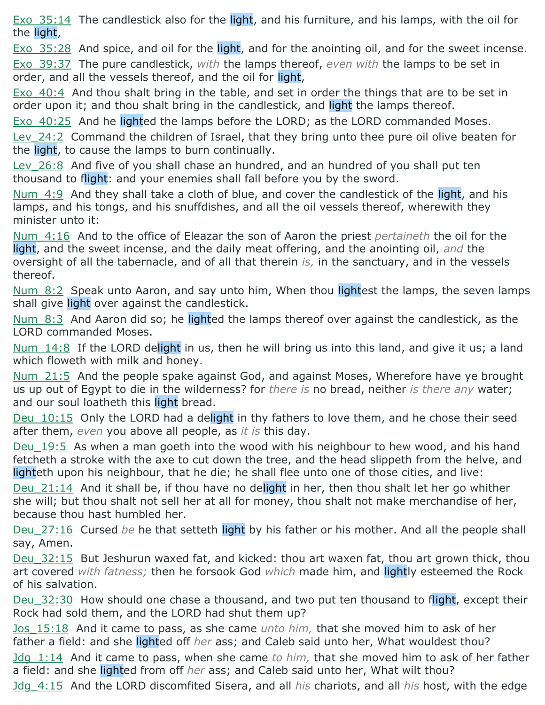Exo 35:14 The candlestick also for the light, and his furniture, and his lamps, with the oil for the light,

Exo 35:28 And spice, and oil for the light, and for the anointing oil, and for the sweet incense. Exo\_39:37 The pure candlestick, *with* the lamps thereof, *even with* the lamps to be set in order, and all the vessels thereof, and the oil for light,

Exo 40:4 And thou shalt bring in the table, and set in order the things that are to be set in order upon it; and thou shalt bring in the candlestick, and light the lamps thereof.

Exo 40:25 And he lighted the lamps before the LORD; as the LORD commanded Moses. Lev 24:2 Command the children of Israel, that they bring unto thee pure oil olive beaten for the light, to cause the lamps to burn continually.

Lev 26:8 And five of you shall chase an hundred, and an hundred of you shall put ten thousand to flight: and your enemies shall fall before you by the sword.

Num 4:9 And they shall take a cloth of blue, and cover the candlestick of the light, and his lamps, and his tongs, and his snuffdishes, and all the oil vessels thereof, wherewith they minister unto it:

Num\_4:16 And to the office of Eleazar the son of Aaron the priest *pertaineth* the oil for the light, and the sweet incense, and the daily meat offering, and the anointing oil, *and* the oversight of all the tabernacle, and of all that therein *is,* in the sanctuary, and in the vessels thereof.

Num 8:2 Speak unto Aaron, and say unto him, When thou lightest the lamps, the seven lamps shall give light over against the candlestick.

Num 8:3 And Aaron did so; he lighted the lamps thereof over against the candlestick, as the LORD commanded Moses.

Num 14:8 If the LORD delight in us, then he will bring us into this land, and give it us; a land which floweth with milk and honey.

Num\_21:5 And the people spake against God, and against Moses, Wherefore have ye brought us up out of Egypt to die in the wilderness? for *there is* no bread, neither *is there any* water; and our soul loatheth this light bread.

Deu 10:15 Only the LORD had a delight in thy fathers to love them, and he chose their seed after them, *even* you above all people, as *it is* this day.

Deu 19:5 As when a man goeth into the wood with his neighbour to hew wood, and his hand fetcheth a stroke with the axe to cut down the tree, and the head slippeth from the helve, and lighteth upon his neighbour, that he die; he shall flee unto one of those cities, and live:

Deu  $21:14$  And it shall be, if thou have no delight in her, then thou shalt let her go whither she will; but thou shalt not sell her at all for money, thou shalt not make merchandise of her, because thou hast humbled her.

Deu\_27:16 Cursed *be* he that setteth light by his father or his mother. And all the people shall say, Amen.

Deu 32:15 But Jeshurun waxed fat, and kicked: thou art waxen fat, thou art grown thick, thou art covered *with fatness;* then he forsook God *which* made him, and lightly esteemed the Rock of his salvation.

Deu 32:30 How should one chase a thousand, and two put ten thousand to flight, except their Rock had sold them, and the LORD had shut them up?

Jos\_15:18 And it came to pass, as she came *unto him,* that she moved him to ask of her father a field: and she lighted off *her* ass; and Caleb said unto her, What wouldest thou?

Jdg\_1:14 And it came to pass, when she came *to him,* that she moved him to ask of her father a field: and she lighted from off *her* ass; and Caleb said unto her, What wilt thou?

Jdg\_4:15 And the LORD discomfited Sisera, and all *his* chariots, and all *his* host, with the edge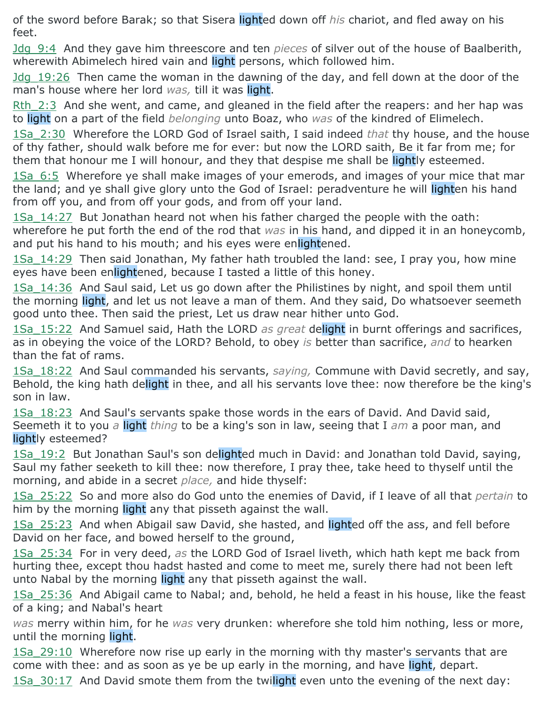of the sword before Barak; so that Sisera lighted down off *his* chariot, and fled away on his feet.

Jdg\_9:4 And they gave him threescore and ten *pieces* of silver out of the house of Baalberith, wherewith Abimelech hired vain and light persons, which followed him.

Jdg\_19:26 Then came the woman in the dawning of the day, and fell down at the door of the man's house where her lord *was,* till it was light.

Rth  $2:3$  And she went, and came, and gleaned in the field after the reapers: and her hap was to light on a part of the field *belonging* unto Boaz, who *was* of the kindred of Elimelech.

1Sa\_2:30 Wherefore the LORD God of Israel saith, I said indeed *that* thy house, and the house of thy father, should walk before me for ever: but now the LORD saith, Be it far from me; for them that honour me I will honour, and they that despise me shall be lightly esteemed.

1Sa 6:5 Wherefore ye shall make images of your emerods, and images of your mice that mar the land; and ye shall give glory unto the God of Israel: peradventure he will lighten his hand from off you, and from off your gods, and from off your land.

1Sa\_14:27 But Jonathan heard not when his father charged the people with the oath: wherefore he put forth the end of the rod that *was* in his hand, and dipped it in an honeycomb, and put his hand to his mouth; and his eyes were enlightened.

1Sa 14:29 Then said Jonathan, My father hath troubled the land: see, I pray you, how mine eyes have been enlightened, because I tasted a little of this honey.

1Sa\_14:36 And Saul said, Let us go down after the Philistines by night, and spoil them until the morning light, and let us not leave a man of them. And they said, Do whatsoever seemeth good unto thee. Then said the priest, Let us draw near hither unto God.

1Sa\_15:22 And Samuel said, Hath the LORD *as great* delight in burnt offerings and sacrifices, as in obeying the voice of the LORD? Behold, to obey *is* better than sacrifice, *and* to hearken than the fat of rams.

1Sa\_18:22 And Saul commanded his servants, *saying,* Commune with David secretly, and say, Behold, the king hath delight in thee, and all his servants love thee: now therefore be the king's son in law.

1Sa\_18:23 And Saul's servants spake those words in the ears of David. And David said, Seemeth it to you *a* light *thing* to be a king's son in law, seeing that I *am* a poor man, and lightly esteemed?

1Sa 19:2 But Jonathan Saul's son delighted much in David: and Jonathan told David, saying, Saul my father seeketh to kill thee: now therefore, I pray thee, take heed to thyself until the morning, and abide in a secret *place,* and hide thyself:

1Sa\_25:22 So and more also do God unto the enemies of David, if I leave of all that *pertain* to him by the morning light any that pisseth against the wall.

1Sa 25:23 And when Abigail saw David, she hasted, and lighted off the ass, and fell before David on her face, and bowed herself to the ground,

1Sa\_25:34 For in very deed, *as* the LORD God of Israel liveth, which hath kept me back from hurting thee, except thou hadst hasted and come to meet me, surely there had not been left unto Nabal by the morning light any that pisseth against the wall.

1Sa 25:36 And Abigail came to Nabal; and, behold, he held a feast in his house, like the feast of a king; and Nabal's heart

*was* merry within him, for he *was* very drunken: wherefore she told him nothing, less or more, until the morning light.

1Sa\_29:10 Wherefore now rise up early in the morning with thy master's servants that are come with thee: and as soon as ye be up early in the morning, and have light, depart.

1Sa\_30:17 And David smote them from the twilight even unto the evening of the next day: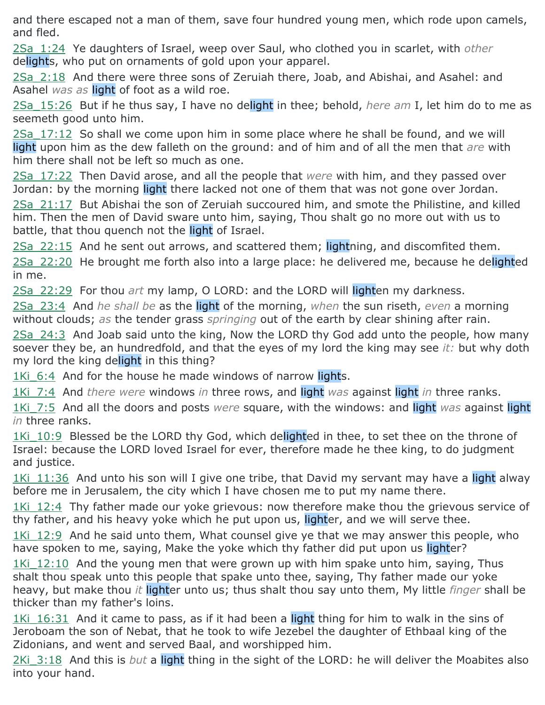and there escaped not a man of them, save four hundred young men, which rode upon camels, and fled.

2Sa\_1:24 Ye daughters of Israel, weep over Saul, who clothed you in scarlet, with *other* delights, who put on ornaments of gold upon your apparel.

2Sa\_2:18 And there were three sons of Zeruiah there, Joab, and Abishai, and Asahel: and Asahel *was as* light of foot as a wild roe.

2Sa\_15:26 But if he thus say, I have no delight in thee; behold, *here am* I, let him do to me as seemeth good unto him.

2Sa\_17:12 So shall we come upon him in some place where he shall be found, and we will light upon him as the dew falleth on the ground: and of him and of all the men that *are* with him there shall not be left so much as one.

2Sa\_17:22 Then David arose, and all the people that *were* with him, and they passed over Jordan: by the morning light there lacked not one of them that was not gone over Jordan.

2Sa\_21:17 But Abishai the son of Zeruiah succoured him, and smote the Philistine, and killed him. Then the men of David sware unto him, saying, Thou shalt go no more out with us to battle, that thou quench not the light of Israel.

2Sa\_22:15 And he sent out arrows, and scattered them; lightning, and discomfited them.

2Sa 22:20 He brought me forth also into a large place: he delivered me, because he delighted in me.

2Sa\_22:29 For thou *art* my lamp, O LORD: and the LORD will lighten my darkness.

2Sa\_23:4 And *he shall be* as the light of the morning, *when* the sun riseth, *even* a morning without clouds; *as* the tender grass *springing* out of the earth by clear shining after rain.

2Sa\_24:3 And Joab said unto the king, Now the LORD thy God add unto the people, how many soever they be, an hundredfold, and that the eyes of my lord the king may see *it:* but why doth my lord the king delight in this thing?

1Ki 6:4 And for the house he made windows of narrow lights.

1Ki\_7:4 And *there were* windows *in* three rows, and light *was* against light *in* three ranks.

1Ki\_7:5 And all the doors and posts *were* square, with the windows: and light *was* against light *in* three ranks.

1Ki 10:9 Blessed be the LORD thy God, which delighted in thee, to set thee on the throne of Israel: because the LORD loved Israel for ever, therefore made he thee king, to do judgment and justice.

1Ki 11:36 And unto his son will I give one tribe, that David my servant may have a light alway before me in Jerusalem, the city which I have chosen me to put my name there.

1Ki 12:4 Thy father made our yoke grievous: now therefore make thou the grievous service of thy father, and his heavy yoke which he put upon us, lighter, and we will serve thee.

1Ki 12:9 And he said unto them, What counsel give ye that we may answer this people, who have spoken to me, saying, Make the yoke which thy father did put upon us lighter?

1Ki 12:10 And the young men that were grown up with him spake unto him, saving, Thus shalt thou speak unto this people that spake unto thee, saying, Thy father made our yoke heavy, but make thou *it* lighter unto us; thus shalt thou say unto them, My little *finger* shall be thicker than my father's loins.

1Ki 16:31 And it came to pass, as if it had been a light thing for him to walk in the sins of Jeroboam the son of Nebat, that he took to wife Jezebel the daughter of Ethbaal king of the Zidonians, and went and served Baal, and worshipped him.

2Ki\_3:18 And this is *but* a light thing in the sight of the LORD: he will deliver the Moabites also into your hand.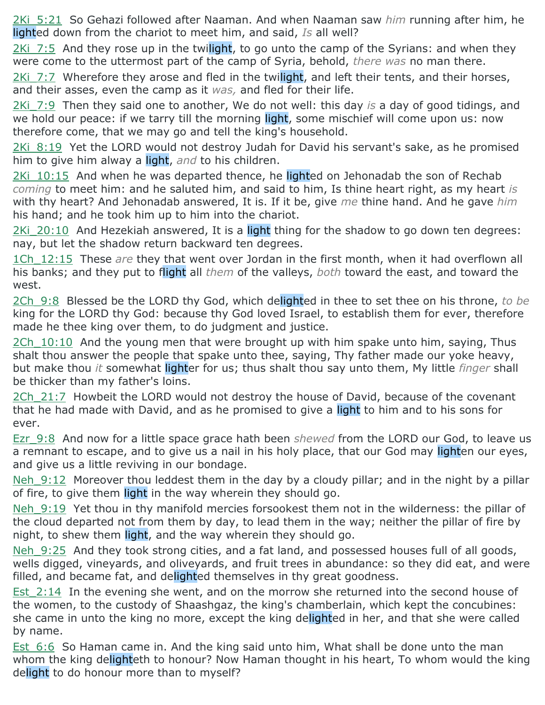2Ki\_5:21 So Gehazi followed after Naaman. And when Naaman saw *him* running after him, he lighted down from the chariot to meet him, and said, *Is* all well?

2Ki 7:5 And they rose up in the twilight, to go unto the camp of the Syrians: and when they were come to the uttermost part of the camp of Syria, behold, *there was* no man there.

2Ki 7:7 Wherefore they arose and fled in the twilight, and left their tents, and their horses, and their asses, even the camp as it *was,* and fled for their life.

2Ki\_7:9 Then they said one to another, We do not well: this day *is* a day of good tidings, and we hold our peace: if we tarry till the morning light, some mischief will come upon us: now therefore come, that we may go and tell the king's household.

2Ki 8:19 Yet the LORD would not destroy Judah for David his servant's sake, as he promised him to give him alway a light, *and* to his children.

 $2$ Ki  $10:15$  And when he was departed thence, he lighted on Jehonadab the son of Rechab *coming* to meet him: and he saluted him, and said to him, Is thine heart right, as my heart *is* with thy heart? And Jehonadab answered, It is. If it be, give *me* thine hand. And he gave *him* his hand; and he took him up to him into the chariot.

2Ki 20:10 And Hezekiah answered, It is a light thing for the shadow to go down ten degrees: nay, but let the shadow return backward ten degrees.

1Ch 12:15 These *are* they that went over Jordan in the first month, when it had overflown all his banks; and they put to flight all *them* of the valleys, *both* toward the east, and toward the west.

2Ch\_9:8 Blessed be the LORD thy God, which delighted in thee to set thee on his throne, *to be* king for the LORD thy God: because thy God loved Israel, to establish them for ever, therefore made he thee king over them, to do judgment and justice.

 $2Ch$  10:10 And the young men that were brought up with him spake unto him, saying, Thus shalt thou answer the people that spake unto thee, saying, Thy father made our yoke heavy, but make thou *it* somewhat lighter for us; thus shalt thou say unto them, My little *finger* shall be thicker than my father's loins.

2Ch 21:7 Howbeit the LORD would not destroy the house of David, because of the covenant that he had made with David, and as he promised to give a light to him and to his sons for ever.

Ezr\_9:8 And now for a little space grace hath been *shewed* from the LORD our God, to leave us a remnant to escape, and to give us a nail in his holy place, that our God may lighten our eyes, and give us a little reviving in our bondage.

Neh 9:12 Moreover thou leddest them in the day by a cloudy pillar; and in the night by a pillar of fire, to give them light in the way wherein they should go.

Neh 9:19 Yet thou in thy manifold mercies forsookest them not in the wilderness: the pillar of the cloud departed not from them by day, to lead them in the way; neither the pillar of fire by night, to shew them light, and the way wherein they should go.

Neh 9:25 And they took strong cities, and a fat land, and possessed houses full of all goods, wells digged, vineyards, and oliveyards, and fruit trees in abundance: so they did eat, and were filled, and became fat, and delighted themselves in thy great goodness.

Est 2:14 In the evening she went, and on the morrow she returned into the second house of the women, to the custody of Shaashgaz, the king's chamberlain, which kept the concubines: she came in unto the king no more, except the king delighted in her, and that she were called by name.

Est 6:6 So Haman came in. And the king said unto him, What shall be done unto the man whom the king delighteth to honour? Now Haman thought in his heart, To whom would the king delight to do honour more than to myself?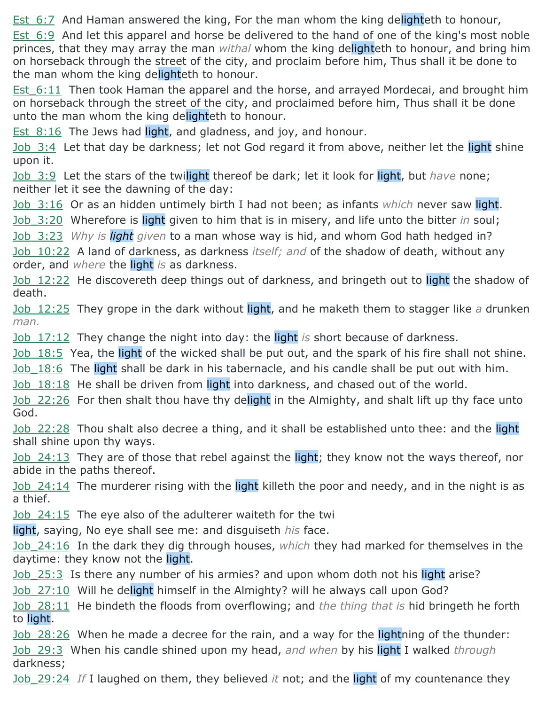Est 6:7 And Haman answered the king, For the man whom the king delighteth to honour,

Est 6:9 And let this apparel and horse be delivered to the hand of one of the king's most noble princes, that they may array the man *withal* whom the king delighteth to honour, and bring him on horseback through the street of the city, and proclaim before him, Thus shall it be done to the man whom the king delighteth to honour.

Est 6:11 Then took Haman the apparel and the horse, and arrayed Mordecai, and brought him on horseback through the street of the city, and proclaimed before him, Thus shall it be done unto the man whom the king delighteth to honour.

Est  $8:16$  The Jews had light, and gladness, and joy, and honour.

Job 3:4 Let that day be darkness; let not God regard it from above, neither let the light shine upon it.

Job 3:9 Let the stars of the twilight thereof be dark; let it look for light, but *have* none; neither let it see the dawning of the day:

Job\_3:16 Or as an hidden untimely birth I had not been; as infants *which* never saw light.

Job\_3:20 Wherefore is light given to him that is in misery, and life unto the bitter *in* soul;

Job\_3:23 *Why is light given* to a man whose way is hid, and whom God hath hedged in?

Job\_10:22 A land of darkness, as darkness *itself; and* of the shadow of death, without any order, and *where* the light *is* as darkness.

Job 12:22 He discovereth deep things out of darkness, and bringeth out to light the shadow of death.

Job\_12:25 They grope in the dark without light, and he maketh them to stagger like *a* drunken *man.*

Job\_17:12 They change the night into day: the light *is* short because of darkness.

Job 18:5 Yea, the light of the wicked shall be put out, and the spark of his fire shall not shine.

Job 18:6 The light shall be dark in his tabernacle, and his candle shall be put out with him.

Job 18:18 He shall be driven from light into darkness, and chased out of the world.

Job 22:26 For then shalt thou have thy delight in the Almighty, and shalt lift up thy face unto God.

Job 22:28 Thou shalt also decree a thing, and it shall be established unto thee: and the light shall shine upon thy ways.

Job 24:13 They are of those that rebel against the light; they know not the ways thereof, nor abide in the paths thereof.

Job 24:14 The murderer rising with the light killeth the poor and needy, and in the night is as a thief.

Job 24:15 The eye also of the adulterer waiteth for the twi

light, saying, No eye shall see me: and disguiseth *his* face.

Job\_24:16 In the dark they dig through houses, *which* they had marked for themselves in the daytime: they know not the light.

Job 25:3 Is there any number of his armies? and upon whom doth not his light arise?

Job 27:10 Will he delight himself in the Almighty? will he always call upon God?

Job\_28:11 He bindeth the floods from overflowing; and *the thing that is* hid bringeth he forth to light.

Job 28:26 When he made a decree for the rain, and a way for the lightning of the thunder: Job\_29:3 When his candle shined upon my head, *and when* by his light I walked *through* darkness;

Job\_29:24 *If* I laughed on them, they believed *it* not; and the light of my countenance they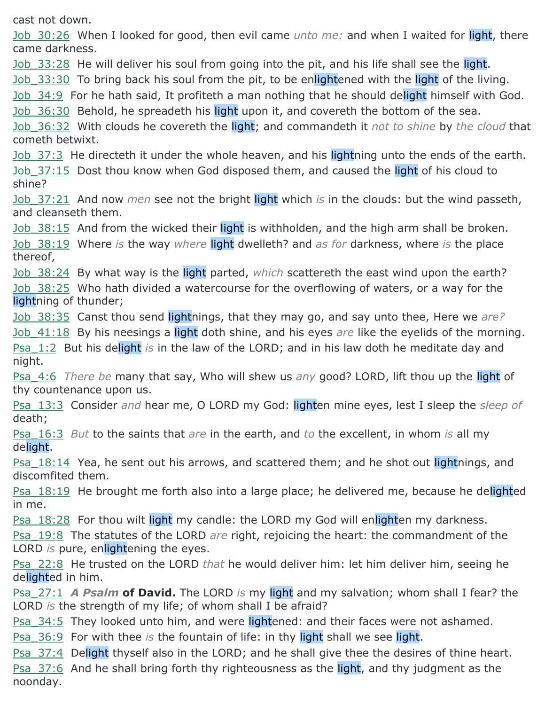cast not down.

Job\_30:26 When I looked for good, then evil came *unto me:* and when I waited for light, there came darkness.

Job 33:28 He will deliver his soul from going into the pit, and his life shall see the light.

Job 33:30 To bring back his soul from the pit, to be enlightened with the light of the living.

Job 34:9 For he hath said, It profiteth a man nothing that he should delight himself with God.

Job 36:30 Behold, he spreadeth his light upon it, and covereth the bottom of the sea.

Job\_36:32 With clouds he covereth the light; and commandeth it *not to shine* by *the cloud* that cometh betwixt.

Job 37:3 He directeth it under the whole heaven, and his lightning unto the ends of the earth. Job 37:15 Dost thou know when God disposed them, and caused the light of his cloud to shine?

Job\_37:21 And now *men* see not the bright light which *is* in the clouds: but the wind passeth, and cleanseth them.

Job 38:15 And from the wicked their light is withholden, and the high arm shall be broken. Job\_38:19 Where *is* the way *where* light dwelleth? and *as for* darkness, where *is* the place thereof,

Job\_38:24 By what way is the light parted, *which* scattereth the east wind upon the earth? Job\_38:25 Who hath divided a watercourse for the overflowing of waters, or a way for the lightning of thunder;

Job\_38:35 Canst thou send lightnings, that they may go, and say unto thee, Here we *are?*

Job\_41:18 By his neesings a light doth shine, and his eyes *are* like the eyelids of the morning. Psa\_1:2 But his delight *is* in the law of the LORD; and in his law doth he meditate day and night.

Psa\_4:6 *There be* many that say, Who will shew us *any* good? LORD, lift thou up the light of thy countenance upon us.

Psa\_13:3 Consider *and* hear me, O LORD my God: lighten mine eyes, lest I sleep the *sleep of* death;

Psa\_16:3 *But* to the saints that *are* in the earth, and *to* the excellent, in whom *is* all my delight.

**Psa** 18:14 Yea, he sent out his arrows, and scattered them; and he shot out lightnings, and discomfited them.

Psa\_18:19 He brought me forth also into a large place; he delivered me, because he delighted in me.

Psa 18:28 For thou wilt light my candle: the LORD my God will enlighten my darkness.

Psa\_19:8 The statutes of the LORD *are* right, rejoicing the heart: the commandment of the LORD *is* pure, enlightening the eyes.

Psa\_22:8 He trusted on the LORD *that* he would deliver him: let him deliver him, seeing he delighted in him.

Psa\_27:1 *A Psalm* **of David.** The LORD *is* my light and my salvation; whom shall I fear? the LORD *is* the strength of my life; of whom shall I be afraid?

Psa 34:5 They looked unto him, and were lightened: and their faces were not ashamed.

Psa\_36:9 For with thee *is* the fountain of life: in thy light shall we see light.

Psa 37:4 Delight thyself also in the LORD; and he shall give thee the desires of thine heart. Psa 37:6 And he shall bring forth thy righteousness as the light, and thy judgment as the noonday.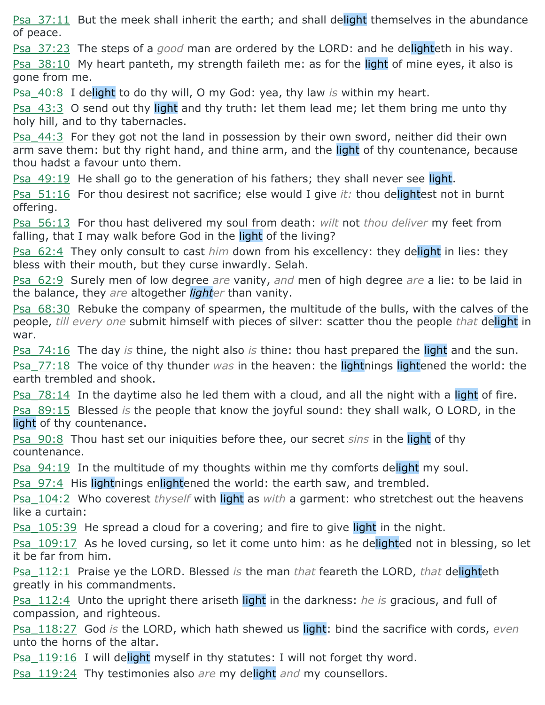Psa 37:11 But the meek shall inherit the earth; and shall delight themselves in the abundance of peace.

Psa\_37:23 The steps of a *good* man are ordered by the LORD: and he delighteth in his way.

Psa 38:10 My heart panteth, my strength faileth me: as for the light of mine eyes, it also is gone from me.

Psa\_40:8 I delight to do thy will, O my God: yea, thy law *is* within my heart.

Psa 43:3 O send out thy light and thy truth: let them lead me; let them bring me unto thy holy hill, and to thy tabernacles.

Psa 44:3 For they got not the land in possession by their own sword, neither did their own arm save them: but thy right hand, and thine arm, and the light of thy countenance, because thou hadst a favour unto them.

Psa 49:19 He shall go to the generation of his fathers; they shall never see light.

Psa\_51:16 For thou desirest not sacrifice; else would I give *it:* thou delightest not in burnt offering.

Psa\_56:13 For thou hast delivered my soul from death: *wilt* not *thou deliver* my feet from falling, that I may walk before God in the light of the living?

Psa\_62:4 They only consult to cast *him* down from his excellency: they delight in lies: they bless with their mouth, but they curse inwardly. Selah.

Psa\_62:9 Surely men of low degree *are* vanity, *and* men of high degree *are* a lie: to be laid in the balance, they *are* altogether *lighter* than vanity.

Psa  $68:30$  Rebuke the company of spearmen, the multitude of the bulls, with the calves of the people, *till every one* submit himself with pieces of silver: scatter thou the people *that* delight in war.

Psa\_74:16 The day *is* thine, the night also *is* thine: thou hast prepared the light and the sun. Psa\_77:18 The voice of thy thunder *was* in the heaven: the lightnings lightened the world: the earth trembled and shook.

**Psa**  $78:14$  In the daytime also he led them with a cloud, and all the night with a light of fire. Psa\_89:15 Blessed *is* the people that know the joyful sound: they shall walk, O LORD, in the light of thy countenance.

Psa\_90:8 Thou hast set our iniquities before thee, our secret *sins* in the light of thy countenance.

Psa 94:19 In the multitude of my thoughts within me thy comforts delight my soul.

Psa 97:4 His lightnings enlightened the world: the earth saw, and trembled.

Psa\_104:2 Who coverest *thyself* with light as *with* a garment: who stretchest out the heavens like a curtain:

Psa 105:39 He spread a cloud for a covering; and fire to give light in the night.

Psa 109:17 As he loved cursing, so let it come unto him: as he delighted not in blessing, so let it be far from him.

Psa\_112:1 Praise ye the LORD. Blessed *is* the man *that* feareth the LORD, *that* delighteth greatly in his commandments.

Psa\_112:4 Unto the upright there ariseth light in the darkness: *he is* gracious, and full of compassion, and righteous.

Psa\_118:27 God *is* the LORD, which hath shewed us light: bind the sacrifice with cords, *even* unto the horns of the altar.

Psa 119:16 I will delight myself in thy statutes: I will not forget thy word.

Psa\_119:24 Thy testimonies also *are* my delight *and* my counsellors.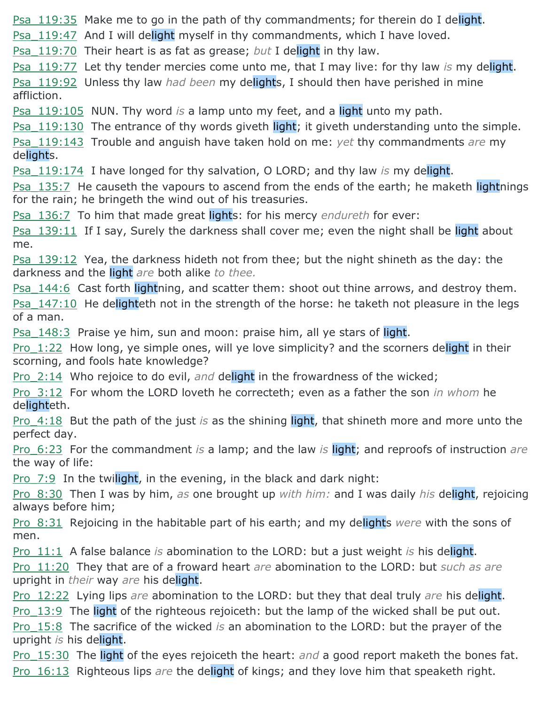Psa 119:35 Make me to go in the path of thy commandments; for therein do I delight.

Psa 119:47 And I will delight myself in thy commandments, which I have loved.

Psa\_119:70 Their heart is as fat as grease; *but* I delight in thy law.

Psa\_119:77 Let thy tender mercies come unto me, that I may live: for thy law *is* my delight. Psa\_119:92 Unless thy law *had been* my delights, I should then have perished in mine affliction.

Psa\_119:105 NUN. Thy word *is* a lamp unto my feet, and a light unto my path.

**Psa\_119:130** The entrance of thy words giveth light; it giveth understanding unto the simple. Psa\_119:143 Trouble and anguish have taken hold on me: *yet* thy commandments *are* my delights.

Psa\_119:174 I have longed for thy salvation, O LORD; and thy law *is* my delight.

Psa 135:7 He causeth the vapours to ascend from the ends of the earth; he maketh lightnings for the rain; he bringeth the wind out of his treasuries.

Psa\_136:7 To him that made great lights: for his mercy *endureth* for ever:

Psa 139:11 If I say, Surely the darkness shall cover me; even the night shall be light about me.

Psa 139:12 Yea, the darkness hideth not from thee; but the night shineth as the day: the darkness and the light *are* both alike *to thee.*

**Psa\_144:6** Cast forth lightning, and scatter them: shoot out thine arrows, and destroy them. Psa 147:10 He delighteth not in the strength of the horse: he taketh not pleasure in the legs of a man.

Psa 148:3 Praise ye him, sun and moon: praise him, all ye stars of light.

Pro 1:22 How long, ye simple ones, will ye love simplicity? and the scorners delight in their scorning, and fools hate knowledge?

Pro\_2:14 Who rejoice to do evil, *and* delight in the frowardness of the wicked;

Pro\_3:12 For whom the LORD loveth he correcteth; even as a father the son *in whom* he delighteth.

Pro\_4:18 But the path of the just *is* as the shining light, that shineth more and more unto the perfect day.

Pro\_6:23 For the commandment *is* a lamp; and the law *is* light; and reproofs of instruction *are* the way of life:

Pro\_7:9 In the twilight, in the evening, in the black and dark night:

Pro\_8:30 Then I was by him, *as* one brought up *with him:* and I was daily *his* delight, rejoicing always before him;

Pro\_8:31 Rejoicing in the habitable part of his earth; and my delights *were* with the sons of men.

Pro\_11:1 A false balance *is* abomination to the LORD: but a just weight *is* his delight.

Pro\_11:20 They that are of a froward heart *are* abomination to the LORD: but *such as are* upright in *their* way *are* his delight.

Pro\_12:22 Lying lips *are* abomination to the LORD: but they that deal truly *are* his delight. Pro 13:9 The light of the righteous rejoiceth: but the lamp of the wicked shall be put out.

Pro\_15:8 The sacrifice of the wicked *is* an abomination to the LORD: but the prayer of the upright *is* his delight.

Pro\_15:30 The light of the eyes rejoiceth the heart: *and* a good report maketh the bones fat. Pro\_16:13 Righteous lips *are* the delight of kings; and they love him that speaketh right.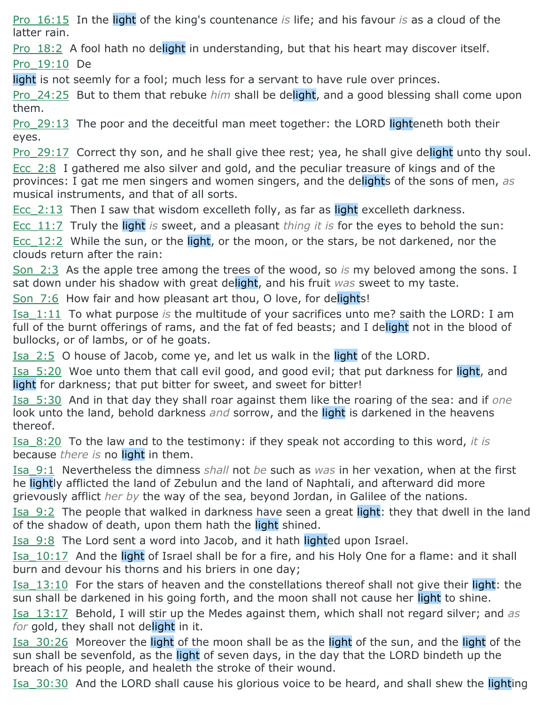Pro\_16:15 In the light of the king's countenance *is* life; and his favour *is* as a cloud of the latter rain.

Pro 18:2 A fool hath no delight in understanding, but that his heart may discover itself. Pro\_19:10 De

light is not seemly for a fool; much less for a servant to have rule over princes.

Pro\_24:25 But to them that rebuke *him* shall be delight, and a good blessing shall come upon them.

Pro 29:13 The poor and the deceitful man meet together: the LORD lighteneth both their eyes.

Pro 29:17 Correct thy son, and he shall give thee rest; yea, he shall give delight unto thy soul.

Ecc\_2:8 I gathered me also silver and gold, and the peculiar treasure of kings and of the provinces: I gat me men singers and women singers, and the delights of the sons of men, *as* musical instruments, and that of all sorts.

Ecc. 2:13 Then I saw that wisdom excelleth folly, as far as light excelleth darkness.

Ecc\_11:7 Truly the light *is* sweet, and a pleasant *thing it is* for the eyes to behold the sun: Ecc 12:2 While the sun, or the light, or the moon, or the stars, be not darkened, nor the clouds return after the rain:

Son\_2:3 As the apple tree among the trees of the wood, so *is* my beloved among the sons. I sat down under his shadow with great delight, and his fruit *was* sweet to my taste.

Son 7:6 How fair and how pleasant art thou, O love, for delights!

Isa\_1:11 To what purpose *is* the multitude of your sacrifices unto me? saith the LORD: I am full of the burnt offerings of rams, and the fat of fed beasts; and I delight not in the blood of bullocks, or of lambs, or of he goats.

Isa 2:5 O house of Jacob, come ye, and let us walk in the light of the LORD.

Isa\_5:20 Woe unto them that call evil good, and good evil; that put darkness for light, and light for darkness; that put bitter for sweet, and sweet for bitter!

Isa\_5:30 And in that day they shall roar against them like the roaring of the sea: and if *one* look unto the land, behold darkness *and* sorrow, and the light is darkened in the heavens thereof.

Isa\_8:20 To the law and to the testimony: if they speak not according to this word, *it is* because *there is* no light in them.

Isa\_9:1 Nevertheless the dimness *shall* not *be* such as *was* in her vexation, when at the first he lightly afflicted the land of Zebulun and the land of Naphtali, and afterward did more grievously afflict *her by* the way of the sea, beyond Jordan, in Galilee of the nations.

Isa\_9:2 The people that walked in darkness have seen a great light: they that dwell in the land of the shadow of death, upon them hath the light shined.

Isa\_9:8 The Lord sent a word into Jacob, and it hath lighted upon Israel.

Isa 10:17 And the light of Israel shall be for a fire, and his Holy One for a flame: and it shall burn and devour his thorns and his briers in one day;

Isa 13:10 For the stars of heaven and the constellations thereof shall not give their light: the sun shall be darkened in his going forth, and the moon shall not cause her light to shine.

Isa\_13:17 Behold, I will stir up the Medes against them, which shall not regard silver; and *as for* gold, they shall not delight in it.

Isa 30:26 Moreover the light of the moon shall be as the light of the sun, and the light of the sun shall be sevenfold, as the light of seven days, in the day that the LORD bindeth up the breach of his people, and healeth the stroke of their wound.

Isa 30:30 And the LORD shall cause his glorious voice to be heard, and shall shew the lighting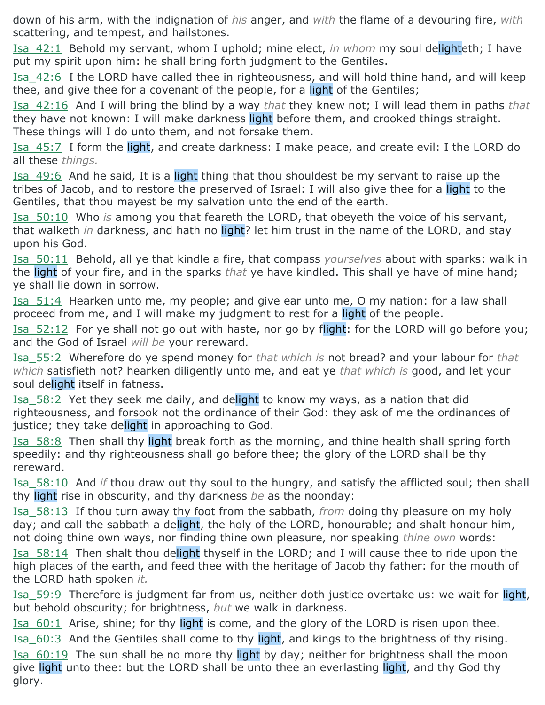down of his arm, with the indignation of *his* anger, and *with* the flame of a devouring fire, *with* scattering, and tempest, and hailstones.

Isa\_42:1 Behold my servant, whom I uphold; mine elect, *in whom* my soul delighteth; I have put my spirit upon him: he shall bring forth judgment to the Gentiles.

Isa\_42:6 I the LORD have called thee in righteousness, and will hold thine hand, and will keep thee, and give thee for a covenant of the people, for a light of the Gentiles;

Isa\_42:16 And I will bring the blind by a way *that* they knew not; I will lead them in paths *that* they have not known: I will make darkness light before them, and crooked things straight. These things will I do unto them, and not forsake them.

Isa 45:7 I form the light, and create darkness: I make peace, and create evil: I the LORD do all these *things.*

Isa 49:6 And he said, It is a light thing that thou shouldest be my servant to raise up the tribes of Jacob, and to restore the preserved of Israel: I will also give thee for a light to the Gentiles, that thou mayest be my salvation unto the end of the earth.

Isa\_50:10 Who *is* among you that feareth the LORD, that obeyeth the voice of his servant, that walketh *in* darkness, and hath no light? let him trust in the name of the LORD, and stay upon his God.

Isa\_50:11 Behold, all ye that kindle a fire, that compass *yourselves* about with sparks: walk in the light of your fire, and in the sparks *that* ye have kindled. This shall ye have of mine hand; ye shall lie down in sorrow.

Isa 51:4 Hearken unto me, my people; and give ear unto me, O my nation: for a law shall proceed from me, and I will make my judgment to rest for a light of the people.

Isa 52:12 For ye shall not go out with haste, nor go by flight: for the LORD will go before you; and the God of Israel *will be* your rereward.

Isa\_55:2 Wherefore do ye spend money for *that which is* not bread? and your labour for *that which* satisfieth not? hearken diligently unto me, and eat ye *that which is* good, and let your soul delight itself in fatness.

Isa 58:2 Yet they seek me daily, and delight to know my ways, as a nation that did righteousness, and forsook not the ordinance of their God: they ask of me the ordinances of justice; they take delight in approaching to God.

Isa\_58:8 Then shall thy light break forth as the morning, and thine health shall spring forth speedily: and thy righteousness shall go before thee; the glory of the LORD shall be thy rereward.

Isa\_58:10 And *if* thou draw out thy soul to the hungry, and satisfy the afflicted soul; then shall thy light rise in obscurity, and thy darkness *be* as the noonday:

Isa\_58:13 If thou turn away thy foot from the sabbath, *from* doing thy pleasure on my holy day; and call the sabbath a delight, the holy of the LORD, honourable; and shalt honour him, not doing thine own ways, nor finding thine own pleasure, nor speaking *thine own* words:

Isa 58:14 Then shalt thou delight thyself in the LORD; and I will cause thee to ride upon the high places of the earth, and feed thee with the heritage of Jacob thy father: for the mouth of the LORD hath spoken *it.*

Isa\_59:9 Therefore is judgment far from us, neither doth justice overtake us: we wait for light, but behold obscurity; for brightness, *but* we walk in darkness.

Isa  $60:1$  Arise, shine; for thy light is come, and the glory of the LORD is risen upon thee.

Isa 60:3 And the Gentiles shall come to thy light, and kings to the brightness of thy rising.

Isa 60:19 The sun shall be no more thy light by day; neither for brightness shall the moon give light unto thee: but the LORD shall be unto thee an everlasting light, and thy God thy glory.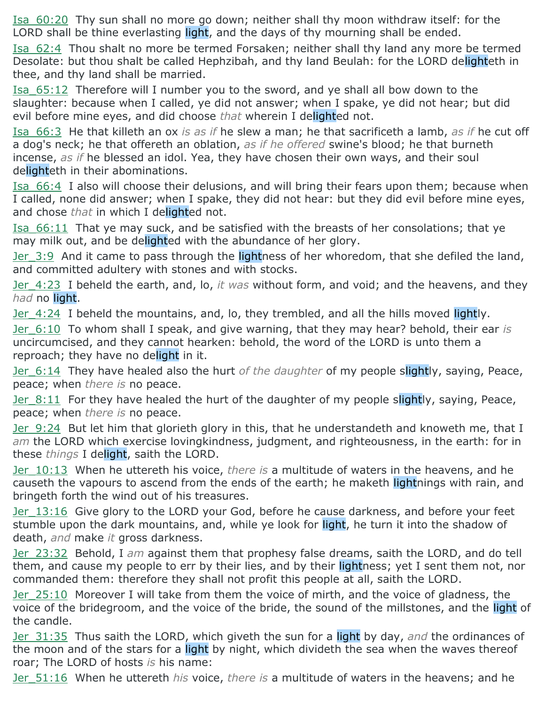Isa\_60:20 Thy sun shall no more go down; neither shall thy moon withdraw itself: for the LORD shall be thine everlasting light, and the days of thy mourning shall be ended.

Isa\_62:4 Thou shalt no more be termed Forsaken; neither shall thy land any more be termed Desolate: but thou shalt be called Hephzibah, and thy land Beulah: for the LORD delighteth in thee, and thy land shall be married.

Isa\_65:12 Therefore will I number you to the sword, and ye shall all bow down to the slaughter: because when I called, ye did not answer; when I spake, ye did not hear; but did evil before mine eyes, and did choose *that* wherein I delighted not.

Isa\_66:3 He that killeth an ox *is as if* he slew a man; he that sacrificeth a lamb, *as if* he cut off a dog's neck; he that offereth an oblation, *as if he offered* swine's blood; he that burneth incense, *as if* he blessed an idol. Yea, they have chosen their own ways, and their soul delighteth in their abominations.

Isa\_66:4 I also will choose their delusions, and will bring their fears upon them; because when I called, none did answer; when I spake, they did not hear: but they did evil before mine eyes, and chose *that* in which I delighted not.

Isa\_66:11 That ye may suck, and be satisfied with the breasts of her consolations; that ye may milk out, and be delighted with the abundance of her glory.

Jer 3:9 And it came to pass through the lightness of her whoredom, that she defiled the land, and committed adultery with stones and with stocks.

Jer\_4:23 I beheld the earth, and, lo, *it was* without form, and void; and the heavens, and they *had* no light.

Jer 4:24 I beheld the mountains, and, lo, they trembled, and all the hills moved lightly.

Jer\_6:10 To whom shall I speak, and give warning, that they may hear? behold, their ear *is* uncircumcised, and they cannot hearken: behold, the word of the LORD is unto them a reproach; they have no delight in it.

Jer\_6:14 They have healed also the hurt *of the daughter* of my people slightly, saying, Peace, peace; when *there is* no peace.

Jer 8:11 For they have healed the hurt of the daughter of my people slightly, saying, Peace, peace; when *there is* no peace.

Jer 9:24 But let him that glorieth glory in this, that he understandeth and knoweth me, that I *am* the LORD which exercise lovingkindness, judgment, and righteousness, in the earth: for in these *things* I delight, saith the LORD.

Jer\_10:13 When he uttereth his voice, *there is* a multitude of waters in the heavens, and he causeth the vapours to ascend from the ends of the earth; he maketh lightnings with rain, and bringeth forth the wind out of his treasures.

Jer 13:16 Give glory to the LORD your God, before he cause darkness, and before your feet stumble upon the dark mountains, and, while ye look for light, he turn it into the shadow of death, *and* make *it* gross darkness.

Jer\_23:32 Behold, I *am* against them that prophesy false dreams, saith the LORD, and do tell them, and cause my people to err by their lies, and by their lightness; yet I sent them not, nor commanded them: therefore they shall not profit this people at all, saith the LORD.

Jer\_25:10 Moreover I will take from them the voice of mirth, and the voice of gladness, the voice of the bridegroom, and the voice of the bride, the sound of the millstones, and the light of the candle.

Jer\_31:35 Thus saith the LORD, which giveth the sun for a light by day, *and* the ordinances of the moon and of the stars for a light by night, which divideth the sea when the waves thereof roar; The LORD of hosts *is* his name:

Jer\_51:16 When he uttereth *his* voice, *there is* a multitude of waters in the heavens; and he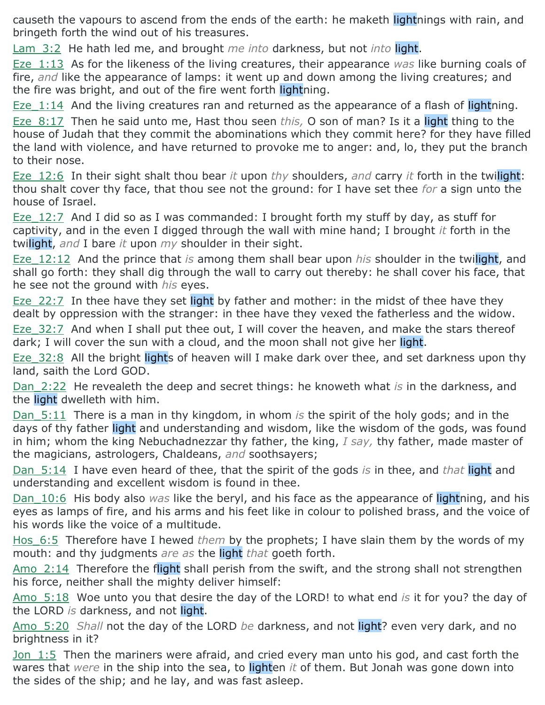causeth the vapours to ascend from the ends of the earth: he maketh lightnings with rain, and bringeth forth the wind out of his treasures.

Lam\_3:2 He hath led me, and brought *me into* darkness, but not *into* light.

Eze\_1:13 As for the likeness of the living creatures, their appearance *was* like burning coals of fire, *and* like the appearance of lamps: it went up and down among the living creatures; and the fire was bright, and out of the fire went forth lightning.

Eze 1:14 And the living creatures ran and returned as the appearance of a flash of lightning.

Eze\_8:17 Then he said unto me, Hast thou seen *this,* O son of man? Is it a light thing to the house of Judah that they commit the abominations which they commit here? for they have filled the land with violence, and have returned to provoke me to anger: and, lo, they put the branch to their nose.

Eze\_12:6 In their sight shalt thou bear *it* upon *thy* shoulders, *and* carry *it* forth in the twilight: thou shalt cover thy face, that thou see not the ground: for I have set thee *for* a sign unto the house of Israel.

Eze 12:7 And I did so as I was commanded: I brought forth my stuff by day, as stuff for captivity, and in the even I digged through the wall with mine hand; I brought *it* forth in the twilight, *and* I bare *it* upon *my* shoulder in their sight.

Eze\_12:12 And the prince that *is* among them shall bear upon *his* shoulder in the twilight, and shall go forth: they shall dig through the wall to carry out thereby: he shall cover his face, that he see not the ground with *his* eyes.

Eze 22:7 In thee have they set light by father and mother: in the midst of thee have they dealt by oppression with the stranger: in thee have they vexed the fatherless and the widow.

Eze 32:7 And when I shall put thee out, I will cover the heaven, and make the stars thereof dark; I will cover the sun with a cloud, and the moon shall not give her light.

Eze 32:8 All the bright lights of heaven will I make dark over thee, and set darkness upon thy land, saith the Lord GOD.

Dan\_2:22 He revealeth the deep and secret things: he knoweth what *is* in the darkness, and the light dwelleth with him.

Dan\_5:11 There is a man in thy kingdom, in whom *is* the spirit of the holy gods; and in the days of thy father light and understanding and wisdom, like the wisdom of the gods, was found in him; whom the king Nebuchadnezzar thy father, the king, *I say,* thy father, made master of the magicians, astrologers, Chaldeans, *and* soothsayers;

Dan\_5:14 I have even heard of thee, that the spirit of the gods *is* in thee, and *that* light and understanding and excellent wisdom is found in thee.

Dan\_10:6 His body also *was* like the beryl, and his face as the appearance of lightning, and his eyes as lamps of fire, and his arms and his feet like in colour to polished brass, and the voice of his words like the voice of a multitude.

Hos 6:5 Therefore have I hewed *them* by the prophets; I have slain them by the words of my mouth: and thy judgments *are as* the light *that* goeth forth.

Amo 2:14 Therefore the flight shall perish from the swift, and the strong shall not strengthen his force, neither shall the mighty deliver himself:

Amo\_5:18 Woe unto you that desire the day of the LORD! to what end *is* it for you? the day of the LORD *is* darkness, and not light.

Amo\_5:20 *Shall* not the day of the LORD *be* darkness, and not light? even very dark, and no brightness in it?

Jon 1:5 Then the mariners were afraid, and cried every man unto his god, and cast forth the wares that *were* in the ship into the sea, to lighten *it* of them. But Jonah was gone down into the sides of the ship; and he lay, and was fast asleep.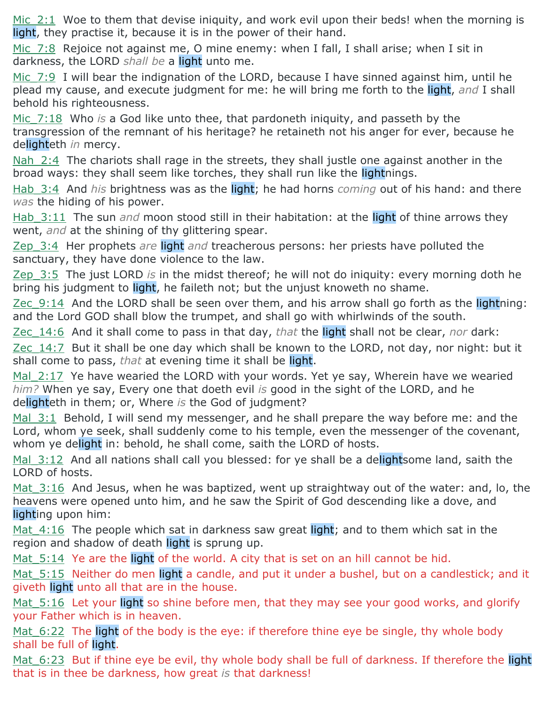Mic 2:1 Woe to them that devise iniquity, and work evil upon their beds! when the morning is light, they practise it, because it is in the power of their hand.

Mic  $7:8$  Rejoice not against me, O mine enemy: when I fall, I shall arise; when I sit in darkness, the LORD *shall be* a light unto me.

Mic 7:9 I will bear the indignation of the LORD, because I have sinned against him, until he plead my cause, and execute judgment for me: he will bring me forth to the light, *and* I shall behold his righteousness.

Mic\_7:18 Who *is* a God like unto thee, that pardoneth iniquity, and passeth by the transgression of the remnant of his heritage? he retaineth not his anger for ever, because he delighteth *in* mercy.

Nah  $2:4$  The chariots shall rage in the streets, they shall justle one against another in the broad ways: they shall seem like torches, they shall run like the lightnings.

Hab 3:4 And *his* brightness was as the light; he had horns *coming* out of his hand: and there *was* the hiding of his power.

Hab 3:11 The sun *and* moon stood still in their habitation: at the light of thine arrows they went, *and* at the shining of thy glittering spear.

Zep\_3:4 Her prophets *are* light *and* treacherous persons: her priests have polluted the sanctuary, they have done violence to the law.

Zep\_3:5 The just LORD *is* in the midst thereof; he will not do iniquity: every morning doth he bring his judgment to light, he faileth not; but the unjust knoweth no shame.

Zec  $9:14$  And the LORD shall be seen over them, and his arrow shall go forth as the lightning: and the Lord GOD shall blow the trumpet, and shall go with whirlwinds of the south.

Zec\_14:6 And it shall come to pass in that day, *that* the light shall not be clear, *nor* dark:

Zec\_14:7 But it shall be one day which shall be known to the LORD, not day, nor night: but it shall come to pass, *that* at evening time it shall be light.

Mal  $2:17$  Ye have wearied the LORD with your words. Yet ye say, Wherein have we wearied *him?* When ye say, Every one that doeth evil *is* good in the sight of the LORD, and he delighteth in them; or, Where *is* the God of judgment?

Mal 3:1 Behold, I will send my messenger, and he shall prepare the way before me: and the Lord, whom ye seek, shall suddenly come to his temple, even the messenger of the covenant, whom ye delight in: behold, he shall come, saith the LORD of hosts.

Mal 3:12 And all nations shall call you blessed: for ye shall be a delightsome land, saith the LORD of hosts.

Mat 3:16 And Jesus, when he was baptized, went up straightway out of the water: and, lo, the heavens were opened unto him, and he saw the Spirit of God descending like a dove, and lighting upon him:

Mat 4:16 The people which sat in darkness saw great light; and to them which sat in the region and shadow of death light is sprung up.

Mat 5:14 Ye are the light of the world. A city that is set on an hill cannot be hid.

Mat 5:15 Neither do men light a candle, and put it under a bushel, but on a candlestick; and it giveth light unto all that are in the house.

Mat 5:16 Let your light so shine before men, that they may see your good works, and glorify your Father which is in heaven.

Mat 6:22 The light of the body is the eye: if therefore thine eye be single, thy whole body shall be full of light.

Mat 6:23 But if thine eye be evil, thy whole body shall be full of darkness. If therefore the light that is in thee be darkness, how great *is* that darkness!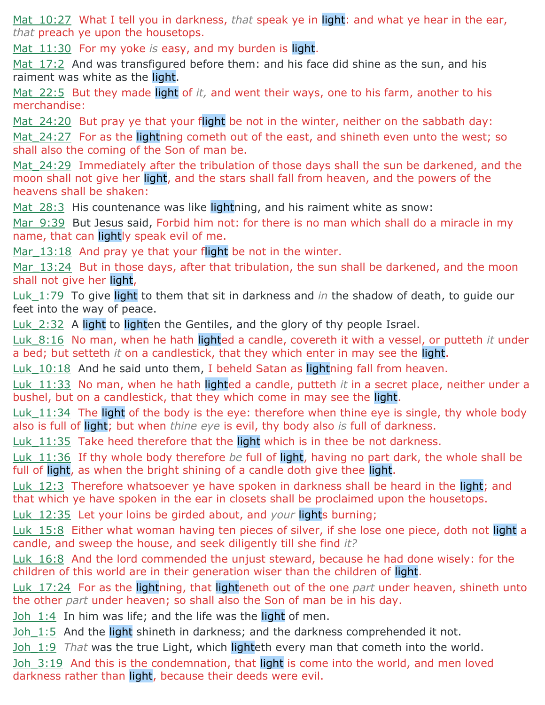Mat 10:27 What I tell you in darkness, *that* speak ye in light: and what ye hear in the ear, *that* preach ye upon the housetops.

Mat 11:30 For my yoke *is* easy, and my burden is light.

Mat 17:2 And was transfigured before them: and his face did shine as the sun, and his raiment was white as the light.

Mat 22:5 But they made light of *it*, and went their ways, one to his farm, another to his merchandise:

Mat  $24:20$  But pray ye that your flight be not in the winter, neither on the sabbath day: Mat 24:27 For as the lightning cometh out of the east, and shineth even unto the west; so shall also the coming of the Son of man be.

Mat 24:29 Immediately after the tribulation of those days shall the sun be darkened, and the moon shall not give her light, and the stars shall fall from heaven, and the powers of the heavens shall be shaken:

Mat 28:3 His countenance was like lightning, and his raiment white as snow:

Mar 9:39 But Jesus said, Forbid him not: for there is no man which shall do a miracle in my name, that can lightly speak evil of me.

Mar 13:18 And pray ye that your flight be not in the winter.

Mar 13:24 But in those days, after that tribulation, the sun shall be darkened, and the moon shall not give her light,

Luk\_1:79 To give light to them that sit in darkness and *in* the shadow of death, to guide our feet into the way of peace.

Luk 2:32 A light to lighten the Gentiles, and the glory of thy people Israel.

Luk\_8:16 No man, when he hath lighted a candle, covereth it with a vessel, or putteth *it* under a bed; but setteth *it* on a candlestick, that they which enter in may see the light.

Luk 10:18 And he said unto them, I beheld Satan as lightning fall from heaven.

Luk\_11:33 No man, when he hath lighted a candle, putteth *it* in a secret place, neither under a bushel, but on a candlestick, that they which come in may see the light.

Luk 11:34 The light of the body is the eye: therefore when thine eye is single, thy whole body also is full of light; but when *thine eye* is evil, thy body also *is* full of darkness.

Luk 11:35 Take heed therefore that the light which is in thee be not darkness.

Luk\_11:36 If thy whole body therefore *be* full of light, having no part dark, the whole shall be full of light, as when the bright shining of a candle doth give thee light.

Luk 12:3 Therefore whatsoever ye have spoken in darkness shall be heard in the light; and that which ye have spoken in the ear in closets shall be proclaimed upon the housetops.

Luk\_12:35 Let your loins be girded about, and *your* lights burning;

Luk 15:8 Either what woman having ten pieces of silver, if she lose one piece, doth not light a candle, and sweep the house, and seek diligently till she find *it?*

Luk 16:8 And the lord commended the unjust steward, because he had done wisely: for the children of this world are in their generation wiser than the children of light.

Luk\_17:24 For as the lightning, that lighteneth out of the one *part* under heaven, shineth unto the other *part* under heaven; so shall also the Son of man be in his day.

 $Joh$  1:4 In him was life; and the life was the light of men.

Joh 1:5 And the light shineth in darkness; and the darkness comprehended it not.

Joh 1:9 *That* was the true Light, which lighteth every man that cometh into the world.

Joh 3:19 And this is the condemnation, that light is come into the world, and men loved darkness rather than light, because their deeds were evil.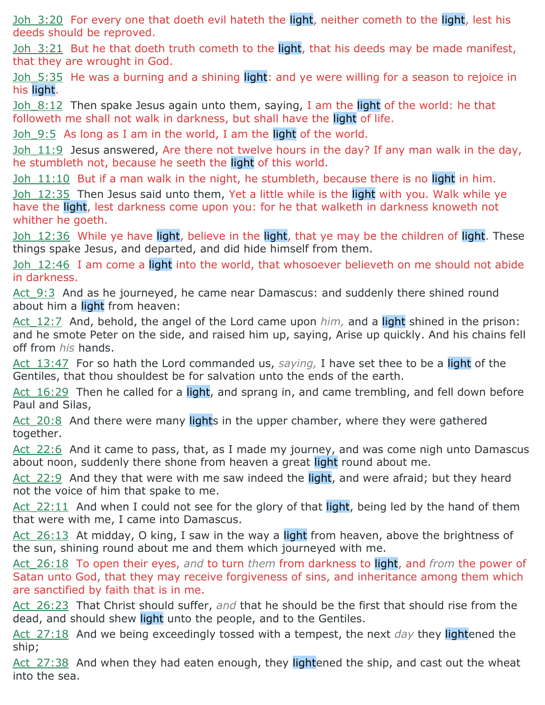Joh 3:20 For every one that doeth evil hateth the light, neither cometh to the light, lest his deeds should be reproved.

Joh 3:21 But he that doeth truth cometh to the light, that his deeds may be made manifest, that they are wrought in God.

Joh 5:35 He was a burning and a shining light: and ye were willing for a season to rejoice in his light.

<u>Joh  $8:12$ </u> Then spake Jesus again unto them, saying, I am the light of the world: he that followeth me shall not walk in darkness, but shall have the light of life.

Joh 9:5 As long as I am in the world, I am the light of the world.

Joh 11:9 Jesus answered, Are there not twelve hours in the day? If any man walk in the day, he stumbleth not, because he seeth the light of this world.

Joh 11:10 But if a man walk in the night, he stumbleth, because there is no light in him.

Joh 12:35 Then Jesus said unto them, Yet a little while is the light with you. Walk while ye have the light, lest darkness come upon you: for he that walketh in darkness knoweth not whither he goeth.

Joh 12:36 While ye have light, believe in the light, that ye may be the children of light. These things spake Jesus, and departed, and did hide himself from them.

Joh 12:46 I am come a light into the world, that whosoever believeth on me should not abide in darkness.

Act  $9:3$  And as he journeyed, he came near Damascus: and suddenly there shined round about him a light from heaven:

Act 12:7 And, behold, the angel of the Lord came upon *him*, and a light shined in the prison: and he smote Peter on the side, and raised him up, saying, Arise up quickly. And his chains fell off from *his* hands.

Act 13:47 For so hath the Lord commanded us, *saying*, I have set thee to be a light of the Gentiles, that thou shouldest be for salvation unto the ends of the earth.

Act 16:29 Then he called for a light, and sprang in, and came trembling, and fell down before Paul and Silas,

Act 20:8 And there were many lights in the upper chamber, where they were gathered together.

Act 22:6 And it came to pass, that, as I made my journey, and was come nigh unto Damascus about noon, suddenly there shone from heaven a great light round about me.

Act 22:9 And they that were with me saw indeed the light, and were afraid; but they heard not the voice of him that spake to me.

Act  $22:11$  And when I could not see for the glory of that light, being led by the hand of them that were with me, I came into Damascus.

Act 26:13 At midday, O king, I saw in the way a light from heaven, above the brightness of the sun, shining round about me and them which journeyed with me.

Act\_26:18 To open their eyes, *and* to turn *them* from darkness to light, and *from* the power of Satan unto God, that they may receive forgiveness of sins, and inheritance among them which are sanctified by faith that is in me.

Act 26:23 That Christ should suffer, *and* that he should be the first that should rise from the dead, and should shew light unto the people, and to the Gentiles.

Act\_27:18 And we being exceedingly tossed with a tempest, the next *day* they lightened the ship;

 $Act$  27:38 And when they had eaten enough, they lightened the ship, and cast out the wheat into the sea.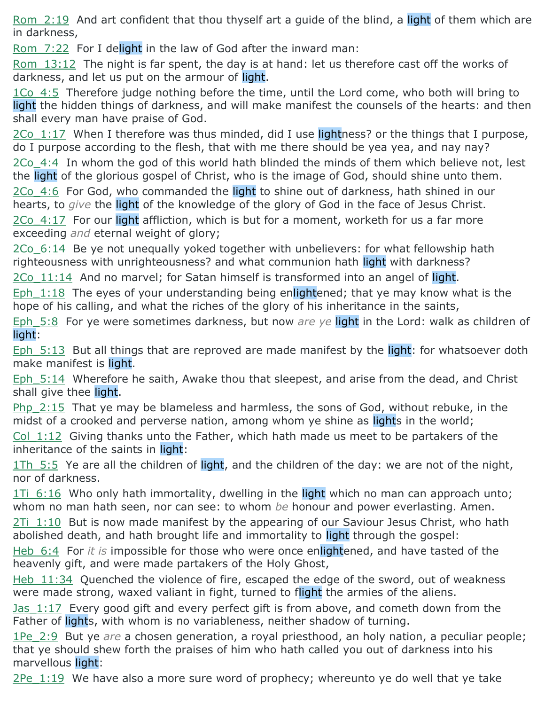Rom 2:19 And art confident that thou thyself art a guide of the blind, a light of them which are in darkness,

Rom 7:22 For I delight in the law of God after the inward man:

Rom\_13:12 The night is far spent, the day is at hand: let us therefore cast off the works of darkness, and let us put on the armour of light.

1Co 4:5 Therefore judge nothing before the time, until the Lord come, who both will bring to light the hidden things of darkness, and will make manifest the counsels of the hearts: and then shall every man have praise of God.

2Co 1:17 When I therefore was thus minded, did I use lightness? or the things that I purpose, do I purpose according to the flesh, that with me there should be yea yea, and nay nay?

2Co 4:4 In whom the god of this world hath blinded the minds of them which believe not, lest the light of the glorious gospel of Christ, who is the image of God, should shine unto them.

2Co 4:6 For God, who commanded the light to shine out of darkness, hath shined in our hearts, to *give* the light of the knowledge of the glory of God in the face of Jesus Christ.

2Co 4:17 For our light affliction, which is but for a moment, worketh for us a far more exceeding *and* eternal weight of glory;

2Co\_6:14 Be ye not unequally yoked together with unbelievers: for what fellowship hath righteousness with unrighteousness? and what communion hath light with darkness?

 $2Co$  11:14 And no marvel; for Satan himself is transformed into an angel of light.

Eph  $1:18$  The eyes of your understanding being enlightened; that ye may know what is the hope of his calling, and what the riches of the glory of his inheritance in the saints,

Eph\_5:8 For ye were sometimes darkness, but now *are ye* light in the Lord: walk as children of light:

Eph  $5:13$  But all things that are reproved are made manifest by the light: for whatsoever doth make manifest is light.

Eph\_5:14 Wherefore he saith, Awake thou that sleepest, and arise from the dead, and Christ shall give thee light.

Php 2:15 That ye may be blameless and harmless, the sons of God, without rebuke, in the midst of a crooked and perverse nation, among whom ye shine as lights in the world;

Col  $1:12$  Giving thanks unto the Father, which hath made us meet to be partakers of the inheritance of the saints in light:

1Th 5:5 Ye are all the children of light, and the children of the day: we are not of the night, nor of darkness.

 $1Ti$  6:16 Who only hath immortality, dwelling in the light which no man can approach unto; whom no man hath seen, nor can see: to whom *be* honour and power everlasting. Amen.

2Ti 1:10 But is now made manifest by the appearing of our Saviour Jesus Christ, who hath abolished death, and hath brought life and immortality to light through the gospel:

Heb 6:4 For *it is* impossible for those who were once enlightened, and have tasted of the heavenly gift, and were made partakers of the Holy Ghost,

Heb 11:34 Quenched the violence of fire, escaped the edge of the sword, out of weakness were made strong, waxed valiant in fight, turned to flight the armies of the aliens.

Jas 1:17 Every good gift and every perfect gift is from above, and cometh down from the Father of lights, with whom is no variableness, neither shadow of turning.

1Pe\_2:9 But ye *are* a chosen generation, a royal priesthood, an holy nation, a peculiar people; that ye should shew forth the praises of him who hath called you out of darkness into his marvellous light:

2Pe\_1:19 We have also a more sure word of prophecy; whereunto ye do well that ye take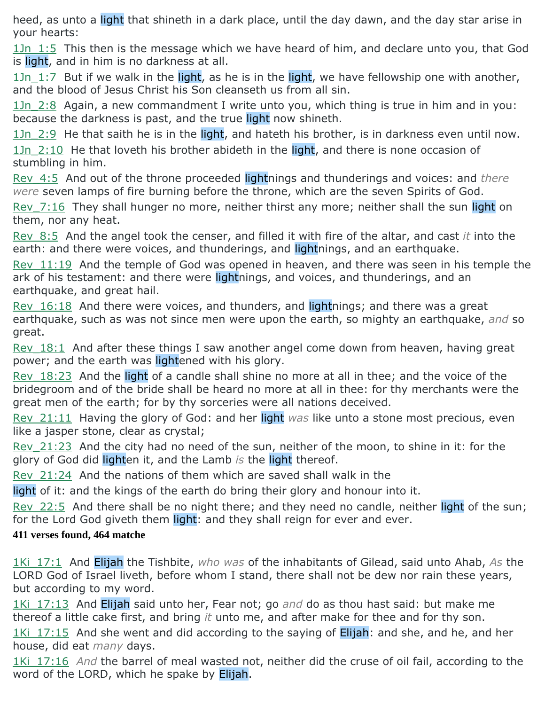heed, as unto a light that shineth in a dark place, until the day dawn, and the day star arise in your hearts:

 $1Jn$   $1:5$  This then is the message which we have heard of him, and declare unto you, that God is light, and in him is no darkness at all.

1Jn 1:7 But if we walk in the light, as he is in the light, we have fellowship one with another, and the blood of Jesus Christ his Son cleanseth us from all sin.

1Jn\_2:8 Again, a new commandment I write unto you, which thing is true in him and in you: because the darkness is past, and the true light now shineth.

1Jn 2:9 He that saith he is in the light, and hateth his brother, is in darkness even until now. 1Jn 2:10 He that loveth his brother abideth in the light, and there is none occasion of stumbling in him.

Rev\_4:5 And out of the throne proceeded lightnings and thunderings and voices: and *there were* seven lamps of fire burning before the throne, which are the seven Spirits of God.

Rev 7:16 They shall hunger no more, neither thirst any more; neither shall the sun light on them, nor any heat.

Rev\_8:5 And the angel took the censer, and filled it with fire of the altar, and cast *it* into the earth: and there were voices, and thunderings, and lightnings, and an earthquake.

Rev 11:19 And the temple of God was opened in heaven, and there was seen in his temple the ark of his testament: and there were lightnings, and voices, and thunderings, and an earthquake, and great hail.

Rev 16:18 And there were voices, and thunders, and lightnings; and there was a great earthquake, such as was not since men were upon the earth, so mighty an earthquake, *and* so great.

Rev 18:1 And after these things I saw another angel come down from heaven, having great power; and the earth was lightened with his glory.

Rev  $18:23$  And the light of a candle shall shine no more at all in thee; and the voice of the bridegroom and of the bride shall be heard no more at all in thee: for thy merchants were the great men of the earth; for by thy sorceries were all nations deceived.

Rev\_21:11 Having the glory of God: and her light *was* like unto a stone most precious, even like a jasper stone, clear as crystal;

Rev 21:23 And the city had no need of the sun, neither of the moon, to shine in it: for the glory of God did lighten it, and the Lamb *is* the light thereof.

Rev\_21:24 And the nations of them which are saved shall walk in the

light of it: and the kings of the earth do bring their glory and honour into it.

Rev 22:5 And there shall be no night there; and they need no candle, neither light of the sun; for the Lord God giveth them light: and they shall reign for ever and ever.

### **411 verses found, 464 matche**

1Ki\_17:1 And Elijah the Tishbite, *who was* of the inhabitants of Gilead, said unto Ahab, *As* the LORD God of Israel liveth, before whom I stand, there shall not be dew nor rain these years, but according to my word.

1Ki\_17:13 And Elijah said unto her, Fear not; go *and* do as thou hast said: but make me thereof a little cake first, and bring *it* unto me, and after make for thee and for thy son.

1Ki 17:15 And she went and did according to the saying of Elijah: and she, and he, and her house, did eat *many* days.

1Ki\_17:16 *And* the barrel of meal wasted not, neither did the cruse of oil fail, according to the word of the LORD, which he spake by Elijah.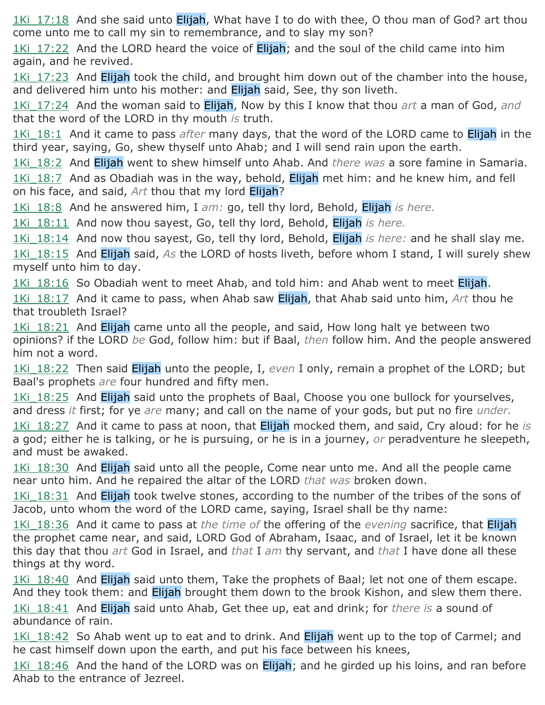1Ki 17:18 And she said unto Elijah, What have I to do with thee, O thou man of God? art thou come unto me to call my sin to remembrance, and to slay my son?

1Ki 17:22 And the LORD heard the voice of **Elijah**; and the soul of the child came into him again, and he revived.

1Ki 17:23 And Elijah took the child, and brought him down out of the chamber into the house, and delivered him unto his mother: and Elijah said, See, thy son liveth.

1Ki\_17:24 And the woman said to Elijah, Now by this I know that thou *art* a man of God, *and* that the word of the LORD in thy mouth *is* truth.

1Ki\_18:1 And it came to pass *after* many days, that the word of the LORD came to Elijah in the third year, saying, Go, shew thyself unto Ahab; and I will send rain upon the earth.

1Ki\_18:2 And Elijah went to shew himself unto Ahab. And *there was* a sore famine in Samaria.

1Ki 18:7 And as Obadiah was in the way, behold, Elijah met him: and he knew him, and fell on his face, and said, *Art* thou that my lord Elijah?

1Ki\_18:8 And he answered him, I *am:* go, tell thy lord, Behold, Elijah *is here.*

1Ki\_18:11 And now thou sayest, Go, tell thy lord, Behold, Elijah *is here.*

1Ki\_18:14 And now thou sayest, Go, tell thy lord, Behold, Elijah *is here:* and he shall slay me. 1Ki\_18:15 And Elijah said, *As* the LORD of hosts liveth, before whom I stand, I will surely shew myself unto him to day.

1Ki 18:16 So Obadiah went to meet Ahab, and told him: and Ahab went to meet Elijah.

1Ki\_18:17 And it came to pass, when Ahab saw Elijah, that Ahab said unto him, *Art* thou he that troubleth Israel?

 $1$ Ki  $18:21$  And Elijah came unto all the people, and said, How long halt ye between two opinions? if the LORD *be* God, follow him: but if Baal, *then* follow him. And the people answered him not a word.

1Ki 18:22 Then said Elijah unto the people, I, *even* I only, remain a prophet of the LORD; but Baal's prophets *are* four hundred and fifty men.

1Ki 18:25 And Elijah said unto the prophets of Baal, Choose you one bullock for yourselves, and dress *it* first; for ye *are* many; and call on the name of your gods, but put no fire *under.*

1Ki\_18:27 And it came to pass at noon, that Elijah mocked them, and said, Cry aloud: for he *is* a god; either he is talking, or he is pursuing, or he is in a journey, *or* peradventure he sleepeth, and must be awaked.

1Ki 18:30 And Elijah said unto all the people, Come near unto me. And all the people came near unto him. And he repaired the altar of the LORD *that was* broken down.

1Ki 18:31 And Elijah took twelve stones, according to the number of the tribes of the sons of Jacob, unto whom the word of the LORD came, saying, Israel shall be thy name:

1Ki\_18:36 And it came to pass at *the time of* the offering of the *evening* sacrifice, that Elijah the prophet came near, and said, LORD God of Abraham, Isaac, and of Israel, let it be known this day that thou *art* God in Israel, and *that* I *am* thy servant, and *that* I have done all these things at thy word.

1Ki 18:40 And Elijah said unto them, Take the prophets of Baal; let not one of them escape. And they took them: and Elijah brought them down to the brook Kishon, and slew them there.

1Ki\_18:41 And Elijah said unto Ahab, Get thee up, eat and drink; for *there is* a sound of abundance of rain.

1Ki 18:42 So Ahab went up to eat and to drink. And **Elijah** went up to the top of Carmel; and he cast himself down upon the earth, and put his face between his knees,

1Ki 18:46 And the hand of the LORD was on **Elijah**; and he girded up his loins, and ran before Ahab to the entrance of Jezreel.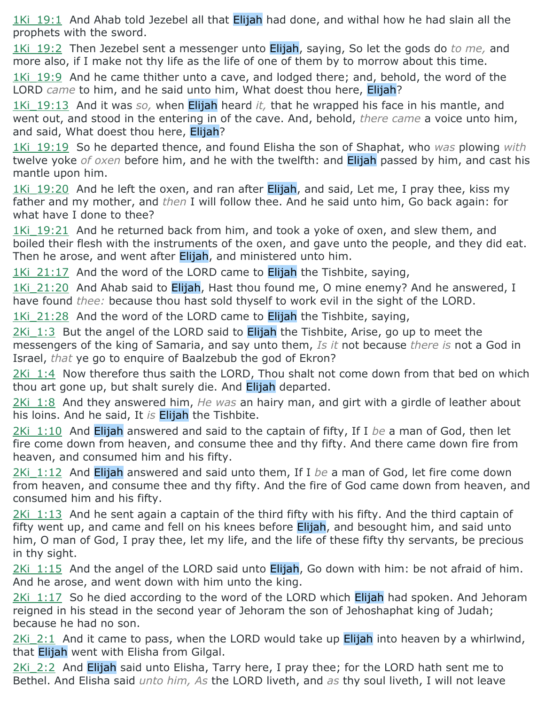1Ki 19:1 And Ahab told Jezebel all that **Elijah** had done, and withal how he had slain all the prophets with the sword.

1Ki\_19:2 Then Jezebel sent a messenger unto Elijah, saying, So let the gods do *to me,* and more also, if I make not thy life as the life of one of them by to morrow about this time.

1Ki  $19:9$  And he came thither unto a cave, and lodged there; and, behold, the word of the LORD *came* to him, and he said unto him, What doest thou here, Elijah?

1Ki\_19:13 And it was *so,* when Elijah heard *it,* that he wrapped his face in his mantle, and went out, and stood in the entering in of the cave. And, behold, *there came* a voice unto him, and said, What doest thou here, Elijah?

1Ki\_19:19 So he departed thence, and found Elisha the son of Shaphat, who *was* plowing *with* twelve yoke *of oxen* before him, and he with the twelfth: and Elijah passed by him, and cast his mantle upon him.

1Ki 19:20 And he left the oxen, and ran after Elijah, and said, Let me, I pray thee, kiss my father and my mother, and *then* I will follow thee. And he said unto him, Go back again: for what have I done to thee?

1Ki 19:21 And he returned back from him, and took a yoke of oxen, and slew them, and boiled their flesh with the instruments of the oxen, and gave unto the people, and they did eat. Then he arose, and went after **Elijah**, and ministered unto him.

1Ki  $21:17$  And the word of the LORD came to Elijah the Tishbite, saying,

1Ki 21:20 And Ahab said to Elijah, Hast thou found me, O mine enemy? And he answered, I have found *thee:* because thou hast sold thyself to work evil in the sight of the LORD.

 $1$ Ki  $21:28$  And the word of the LORD came to Elijah the Tishbite, saying,

 $2$ Ki  $1:3$  But the angel of the LORD said to Elijah the Tishbite, Arise, go up to meet the messengers of the king of Samaria, and say unto them, *Is it* not because *there is* not a God in Israel, *that* ye go to enquire of Baalzebub the god of Ekron?

2Ki 1:4 Now therefore thus saith the LORD, Thou shalt not come down from that bed on which thou art gone up, but shalt surely die. And Elijah departed.

2Ki\_1:8 And they answered him, *He was* an hairy man, and girt with a girdle of leather about his loins. And he said, It *is* Elijah the Tishbite.

2Ki\_1:10 And Elijah answered and said to the captain of fifty, If I *be* a man of God, then let fire come down from heaven, and consume thee and thy fifty. And there came down fire from heaven, and consumed him and his fifty.

2Ki\_1:12 And Elijah answered and said unto them, If I *be* a man of God, let fire come down from heaven, and consume thee and thy fifty. And the fire of God came down from heaven, and consumed him and his fifty.

 $2$ Ki  $1:13$  And he sent again a captain of the third fifty with his fifty. And the third captain of fifty went up, and came and fell on his knees before **Elijah**, and besought him, and said unto him, O man of God, I pray thee, let my life, and the life of these fifty thy servants, be precious in thy sight.

2Ki  $1:15$  And the angel of the LORD said unto Elijah, Go down with him: be not afraid of him. And he arose, and went down with him unto the king.

2Ki 1:17 So he died according to the word of the LORD which Elijah had spoken. And Jehoram reigned in his stead in the second year of Jehoram the son of Jehoshaphat king of Judah; because he had no son.

 $2$ Ki  $2:1$  And it came to pass, when the LORD would take up Elijah into heaven by a whirlwind, that Elijah went with Elisha from Gilgal.

 $2$ Ki 2:2 And Elijah said unto Elisha, Tarry here, I pray thee; for the LORD hath sent me to Bethel. And Elisha said *unto him, As* the LORD liveth, and *as* thy soul liveth, I will not leave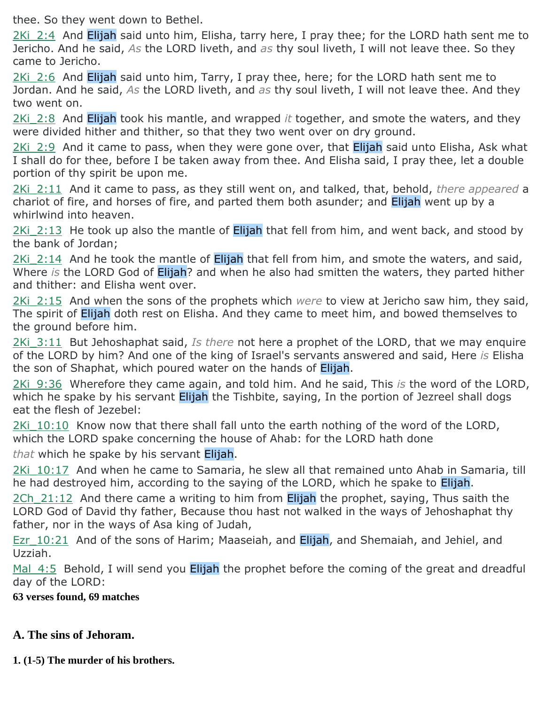thee. So they went down to Bethel.

2Ki 2:4 And Elijah said unto him, Elisha, tarry here, I pray thee; for the LORD hath sent me to Jericho. And he said, *As* the LORD liveth, and *as* thy soul liveth, I will not leave thee. So they came to Jericho.

 $2$ Ki  $2:6$  And Elijah said unto him, Tarry, I pray thee, here; for the LORD hath sent me to Jordan. And he said, *As* the LORD liveth, and *as* thy soul liveth, I will not leave thee. And they two went on.

2Ki\_2:8 And Elijah took his mantle, and wrapped *it* together, and smote the waters, and they were divided hither and thither, so that they two went over on dry ground.

2Ki 2:9 And it came to pass, when they were gone over, that Elijah said unto Elisha, Ask what I shall do for thee, before I be taken away from thee. And Elisha said, I pray thee, let a double portion of thy spirit be upon me.

2Ki\_2:11 And it came to pass, as they still went on, and talked, that, behold, *there appeared* a chariot of fire, and horses of fire, and parted them both asunder; and Elijah went up by a whirlwind into heaven.

2Ki 2:13 He took up also the mantle of Elijah that fell from him, and went back, and stood by the bank of Jordan;

 $2$ Ki  $2:14$  And he took the mantle of Elijah that fell from him, and smote the waters, and said, Where *is* the LORD God of Elijah? and when he also had smitten the waters, they parted hither and thither: and Elisha went over.

2Ki\_2:15 And when the sons of the prophets which *were* to view at Jericho saw him, they said, The spirit of Elijah doth rest on Elisha. And they came to meet him, and bowed themselves to the ground before him.

2Ki\_3:11 But Jehoshaphat said, *Is there* not here a prophet of the LORD, that we may enquire of the LORD by him? And one of the king of Israel's servants answered and said, Here *is* Elisha the son of Shaphat, which poured water on the hands of Elijah.

2Ki\_9:36 Wherefore they came again, and told him. And he said, This *is* the word of the LORD, which he spake by his servant **Elijah** the Tishbite, saying, In the portion of Jezreel shall dogs eat the flesh of Jezebel:

 $2$ Ki  $10:10$  Know now that there shall fall unto the earth nothing of the word of the LORD, which the LORD spake concerning the house of Ahab: for the LORD hath done

*that* which he spake by his servant Elijah.

2Ki 10:17 And when he came to Samaria, he slew all that remained unto Ahab in Samaria, till he had destroyed him, according to the saying of the LORD, which he spake to Elijah.

 $2Ch$  21:12 And there came a writing to him from Elijah the prophet, saying, Thus saith the LORD God of David thy father, Because thou hast not walked in the ways of Jehoshaphat thy father, nor in the ways of Asa king of Judah,

Ezr 10:21 And of the sons of Harim; Maaseiah, and Elijah, and Shemaiah, and Jehiel, and Uzziah.

Mal 4:5 Behold, I will send you **Elijah** the prophet before the coming of the great and dreadful day of the LORD:

**63 verses found, 69 matches**

### **A. The sins of Jehoram.**

**1. (1-5) The murder of his brothers.**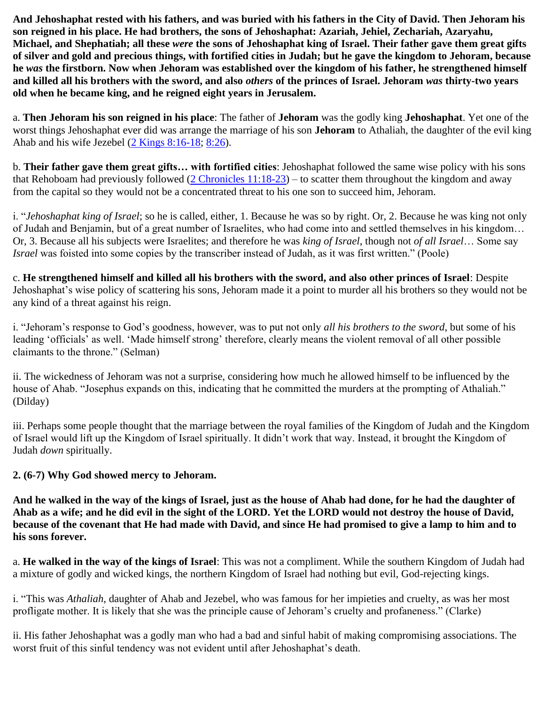**And Jehoshaphat rested with his fathers, and was buried with his fathers in the City of David. Then Jehoram his son reigned in his place. He had brothers, the sons of Jehoshaphat: Azariah, Jehiel, Zechariah, Azaryahu, Michael, and Shephatiah; all these** *were* **the sons of Jehoshaphat king of Israel. Their father gave them great gifts of silver and gold and precious things, with fortified cities in Judah; but he gave the kingdom to Jehoram, because he** *was* **the firstborn. Now when Jehoram was established over the kingdom of his father, he strengthened himself and killed all his brothers with the sword, and also** *others* **of the princes of Israel. Jehoram** *was* **thirty-two years old when he became king, and he reigned eight years in Jerusalem.**

a. **Then Jehoram his son reigned in his place**: The father of **Jehoram** was the godly king **Jehoshaphat**. Yet one of the worst things Jehoshaphat ever did was arrange the marriage of his son **Jehoram** to Athaliah, the daughter of the evil king Ahab and his wife Jezebel [\(2 Kings 8:16-18;](https://www.blueletterbible.org/search/preSearch.cfm?Criteria=2Kings+8.16-18&t=NKJV) [8:26\)](https://www.blueletterbible.org/search/preSearch.cfm?Criteria=2Kings+8.26&t=NKJV).

b. **Their father gave them great gifts… with fortified cities**: Jehoshaphat followed the same wise policy with his sons that Rehoboam had previously followed  $(2 \text{ Chromicles } 11:18-23)$  – to scatter them throughout the kingdom and away from the capital so they would not be a concentrated threat to his one son to succeed him, Jehoram.

i. "*Jehoshaphat king of Israel*; so he is called, either, 1. Because he was so by right. Or, 2. Because he was king not only of Judah and Benjamin, but of a great number of Israelites, who had come into and settled themselves in his kingdom… Or, 3. Because all his subjects were Israelites; and therefore he was *king of Israel*, though not *of all Israel*… Some say *Israel* was foisted into some copies by the transcriber instead of Judah, as it was first written." (Poole)

c. **He strengthened himself and killed all his brothers with the sword, and also other princes of Israel**: Despite Jehoshaphat's wise policy of scattering his sons, Jehoram made it a point to murder all his brothers so they would not be any kind of a threat against his reign.

i. "Jehoram's response to God's goodness, however, was to put not only *all his brothers to the sword*, but some of his leading 'officials' as well. 'Made himself strong' therefore, clearly means the violent removal of all other possible claimants to the throne." (Selman)

ii. The wickedness of Jehoram was not a surprise, considering how much he allowed himself to be influenced by the house of Ahab. "Josephus expands on this, indicating that he committed the murders at the prompting of Athaliah." (Dilday)

iii. Perhaps some people thought that the marriage between the royal families of the Kingdom of Judah and the Kingdom of Israel would lift up the Kingdom of Israel spiritually. It didn't work that way. Instead, it brought the Kingdom of Judah *down* spiritually.

#### **2. (6-7) Why God showed mercy to Jehoram.**

**And he walked in the way of the kings of Israel, just as the house of Ahab had done, for he had the daughter of Ahab as a wife; and he did evil in the sight of the LORD. Yet the LORD would not destroy the house of David, because of the covenant that He had made with David, and since He had promised to give a lamp to him and to his sons forever.**

a. **He walked in the way of the kings of Israel**: This was not a compliment. While the southern Kingdom of Judah had a mixture of godly and wicked kings, the northern Kingdom of Israel had nothing but evil, God-rejecting kings.

i. "This was *Athaliah*, daughter of Ahab and Jezebel, who was famous for her impieties and cruelty, as was her most profligate mother. It is likely that she was the principle cause of Jehoram's cruelty and profaneness." (Clarke)

ii. His father Jehoshaphat was a godly man who had a bad and sinful habit of making compromising associations. The worst fruit of this sinful tendency was not evident until after Jehoshaphat's death.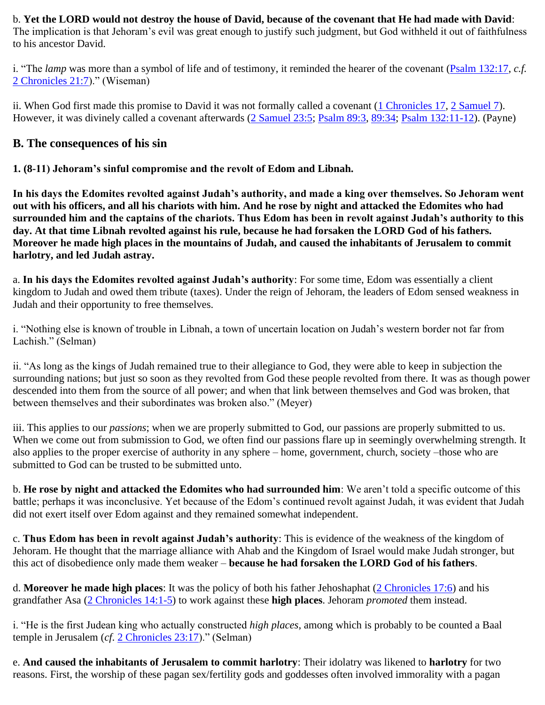b. **Yet the LORD would not destroy the house of David, because of the covenant that He had made with David**: The implication is that Jehoram's evil was great enough to justify such judgment, but God withheld it out of faithfulness to his ancestor David.

i. "The *lamp* was more than a symbol of life and of testimony, it reminded the hearer of the covenant [\(Psalm 132:17,](https://www.blueletterbible.org/search/preSearch.cfm?Criteria=Psalm+132.17&t=NKJV) *c.f.* [2 Chronicles 21:7\)](https://www.blueletterbible.org/search/preSearch.cfm?Criteria=2Chronicles+21.7&t=NKJV)." (Wiseman)

ii. When God first made this promise to David it was not formally called a covenant [\(1 Chronicles 17,](https://www.blueletterbible.org/search/preSearch.cfm?Criteria=1Chronicles+17&t=NKJV) [2 Samuel 7\)](https://www.blueletterbible.org/search/preSearch.cfm?Criteria=2Samuel+7&t=NKJV). However, it was divinely called a covenant afterwards [\(2 Samuel 23:5;](https://www.blueletterbible.org/search/preSearch.cfm?Criteria=2Samuel+23.5&t=NKJV) [Psalm 89:3,](https://www.blueletterbible.org/search/preSearch.cfm?Criteria=Psalm+89.3&t=NKJV) [89:34;](https://www.blueletterbible.org/search/preSearch.cfm?Criteria=Psalm+89.34&t=NKJV) [Psalm 132:11-12\)](https://www.blueletterbible.org/search/preSearch.cfm?Criteria=Psalm+132.11-12&t=NKJV). (Payne)

#### **B. The consequences of his sin**

**1. (8-11) Jehoram's sinful compromise and the revolt of Edom and Libnah.**

**In his days the Edomites revolted against Judah's authority, and made a king over themselves. So Jehoram went out with his officers, and all his chariots with him. And he rose by night and attacked the Edomites who had surrounded him and the captains of the chariots. Thus Edom has been in revolt against Judah's authority to this day. At that time Libnah revolted against his rule, because he had forsaken the LORD God of his fathers. Moreover he made high places in the mountains of Judah, and caused the inhabitants of Jerusalem to commit harlotry, and led Judah astray.**

a. **In his days the Edomites revolted against Judah's authority**: For some time, Edom was essentially a client kingdom to Judah and owed them tribute (taxes). Under the reign of Jehoram, the leaders of Edom sensed weakness in Judah and their opportunity to free themselves.

i. "Nothing else is known of trouble in Libnah, a town of uncertain location on Judah's western border not far from Lachish." (Selman)

ii. "As long as the kings of Judah remained true to their allegiance to God, they were able to keep in subjection the surrounding nations; but just so soon as they revolted from God these people revolted from there. It was as though power descended into them from the source of all power; and when that link between themselves and God was broken, that between themselves and their subordinates was broken also." (Meyer)

iii. This applies to our *passions*; when we are properly submitted to God, our passions are properly submitted to us. When we come out from submission to God, we often find our passions flare up in seemingly overwhelming strength. It also applies to the proper exercise of authority in any sphere – home, government, church, society –those who are submitted to God can be trusted to be submitted unto.

b. **He rose by night and attacked the Edomites who had surrounded him**: We aren't told a specific outcome of this battle; perhaps it was inconclusive. Yet because of the Edom's continued revolt against Judah, it was evident that Judah did not exert itself over Edom against and they remained somewhat independent.

c. **Thus Edom has been in revolt against Judah's authority**: This is evidence of the weakness of the kingdom of Jehoram. He thought that the marriage alliance with Ahab and the Kingdom of Israel would make Judah stronger, but this act of disobedience only made them weaker – **because he had forsaken the LORD God of his fathers**.

d. **Moreover he made high places**: It was the policy of both his father Jehoshaphat [\(2 Chronicles 17:6\)](https://www.blueletterbible.org/search/preSearch.cfm?Criteria=2Chronicles+17.6&t=NKJV) and his grandfather Asa [\(2 Chronicles 14:1-5\)](https://www.blueletterbible.org/search/preSearch.cfm?Criteria=2Chronicles+14.1-5&t=NKJV) to work against these **high places**. Jehoram *promoted* them instead.

i. "He is the first Judean king who actually constructed *high places*, among which is probably to be counted a Baal temple in Jerusalem (*cf*. [2 Chronicles 23:17\)](https://www.blueletterbible.org/search/preSearch.cfm?Criteria=2Chronicles+23.17&t=NKJV)." (Selman)

e. **And caused the inhabitants of Jerusalem to commit harlotry**: Their idolatry was likened to **harlotry** for two reasons. First, the worship of these pagan sex/fertility gods and goddesses often involved immorality with a pagan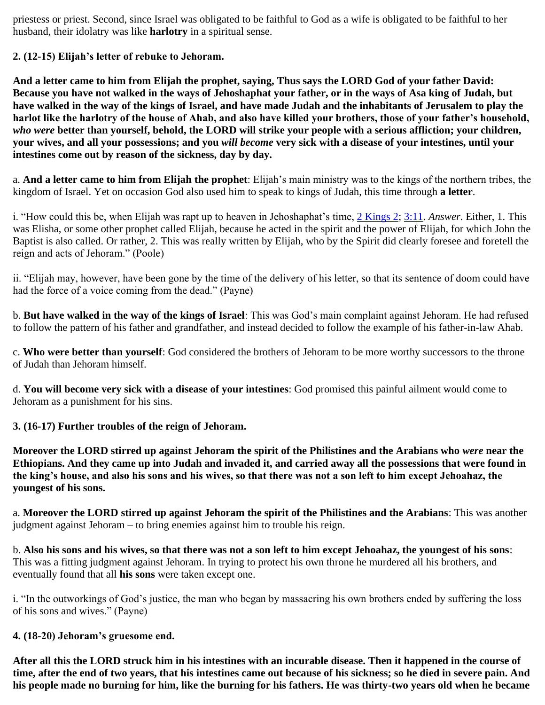priestess or priest. Second, since Israel was obligated to be faithful to God as a wife is obligated to be faithful to her husband, their idolatry was like **harlotry** in a spiritual sense.

**2. (12-15) Elijah's letter of rebuke to Jehoram.**

**And a letter came to him from Elijah the prophet, saying, Thus says the LORD God of your father David: Because you have not walked in the ways of Jehoshaphat your father, or in the ways of Asa king of Judah, but have walked in the way of the kings of Israel, and have made Judah and the inhabitants of Jerusalem to play the harlot like the harlotry of the house of Ahab, and also have killed your brothers, those of your father's household,**  *who were* **better than yourself, behold, the LORD will strike your people with a serious affliction; your children, your wives, and all your possessions; and you** *will become* **very sick with a disease of your intestines, until your intestines come out by reason of the sickness, day by day.**

a. **And a letter came to him from Elijah the prophet**: Elijah's main ministry was to the kings of the northern tribes, the kingdom of Israel. Yet on occasion God also used him to speak to kings of Judah, this time through **a letter**.

i. "How could this be, when Elijah was rapt up to heaven in Jehoshaphat's time, [2 Kings 2;](https://www.blueletterbible.org/search/preSearch.cfm?Criteria=2Kings+2&t=NKJV) [3:11.](https://www.blueletterbible.org/search/preSearch.cfm?Criteria=2Kings+3.11&t=NKJV) *Answer*. Either, 1. This was Elisha, or some other prophet called Elijah, because he acted in the spirit and the power of Elijah, for which John the Baptist is also called. Or rather, 2. This was really written by Elijah, who by the Spirit did clearly foresee and foretell the reign and acts of Jehoram." (Poole)

ii. "Elijah may, however, have been gone by the time of the delivery of his letter, so that its sentence of doom could have had the force of a voice coming from the dead." (Payne)

b. **But have walked in the way of the kings of Israel**: This was God's main complaint against Jehoram. He had refused to follow the pattern of his father and grandfather, and instead decided to follow the example of his father-in-law Ahab.

c. **Who were better than yourself**: God considered the brothers of Jehoram to be more worthy successors to the throne of Judah than Jehoram himself.

d. **You will become very sick with a disease of your intestines**: God promised this painful ailment would come to Jehoram as a punishment for his sins.

**3. (16-17) Further troubles of the reign of Jehoram.**

**Moreover the LORD stirred up against Jehoram the spirit of the Philistines and the Arabians who** *were* **near the Ethiopians. And they came up into Judah and invaded it, and carried away all the possessions that were found in the king's house, and also his sons and his wives, so that there was not a son left to him except Jehoahaz, the youngest of his sons.**

a. **Moreover the LORD stirred up against Jehoram the spirit of the Philistines and the Arabians**: This was another judgment against Jehoram – to bring enemies against him to trouble his reign.

b. **Also his sons and his wives, so that there was not a son left to him except Jehoahaz, the youngest of his sons**: This was a fitting judgment against Jehoram. In trying to protect his own throne he murdered all his brothers, and eventually found that all **his sons** were taken except one.

i. "In the outworkings of God's justice, the man who began by massacring his own brothers ended by suffering the loss of his sons and wives." (Payne)

#### **4. (18-20) Jehoram's gruesome end.**

**After all this the LORD struck him in his intestines with an incurable disease. Then it happened in the course of time, after the end of two years, that his intestines came out because of his sickness; so he died in severe pain. And his people made no burning for him, like the burning for his fathers. He was thirty-two years old when he became**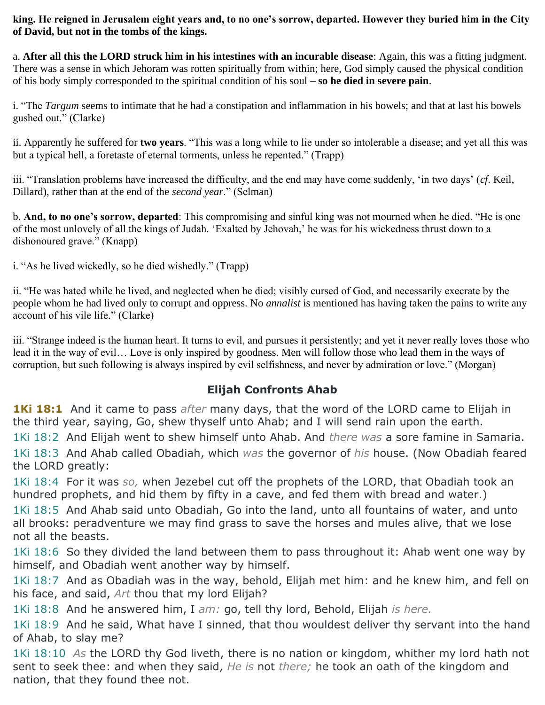**king. He reigned in Jerusalem eight years and, to no one's sorrow, departed. However they buried him in the City of David, but not in the tombs of the kings.**

a. **After all this the LORD struck him in his intestines with an incurable disease**: Again, this was a fitting judgment. There was a sense in which Jehoram was rotten spiritually from within; here, God simply caused the physical condition of his body simply corresponded to the spiritual condition of his soul – **so he died in severe pain**.

i. "The *Targum* seems to intimate that he had a constipation and inflammation in his bowels; and that at last his bowels gushed out." (Clarke)

ii. Apparently he suffered for **two years**. "This was a long while to lie under so intolerable a disease; and yet all this was but a typical hell, a foretaste of eternal torments, unless he repented." (Trapp)

iii. "Translation problems have increased the difficulty, and the end may have come suddenly, 'in two days' (*cf*. Keil, Dillard), rather than at the end of the *second year*." (Selman)

b. **And, to no one's sorrow, departed**: This compromising and sinful king was not mourned when he died. "He is one of the most unlovely of all the kings of Judah. 'Exalted by Jehovah,' he was for his wickedness thrust down to a dishonoured grave." (Knapp)

i. "As he lived wickedly, so he died wishedly." (Trapp)

ii. "He was hated while he lived, and neglected when he died; visibly cursed of God, and necessarily execrate by the people whom he had lived only to corrupt and oppress. No *annalist* is mentioned has having taken the pains to write any account of his vile life." (Clarke)

iii. "Strange indeed is the human heart. It turns to evil, and pursues it persistently; and yet it never really loves those who lead it in the way of evil… Love is only inspired by goodness. Men will follow those who lead them in the ways of corruption, but such following is always inspired by evil selfishness, and never by admiration or love." (Morgan)

### **Elijah Confronts Ahab**

**1Ki 18:1** And it came to pass *after* many days, that the word of the LORD came to Elijah in the third year, saying, Go, shew thyself unto Ahab; and I will send rain upon the earth.

1Ki 18:2 And Elijah went to shew himself unto Ahab. And *there was* a sore famine in Samaria. 1Ki 18:3 And Ahab called Obadiah, which *was* the governor of *his* house. (Now Obadiah feared the LORD greatly:

1Ki 18:4 For it was *so,* when Jezebel cut off the prophets of the LORD, that Obadiah took an hundred prophets, and hid them by fifty in a cave, and fed them with bread and water.)

1Ki 18:5 And Ahab said unto Obadiah, Go into the land, unto all fountains of water, and unto all brooks: peradventure we may find grass to save the horses and mules alive, that we lose not all the beasts.

1Ki 18:6 So they divided the land between them to pass throughout it: Ahab went one way by himself, and Obadiah went another way by himself.

1Ki 18:7 And as Obadiah was in the way, behold, Elijah met him: and he knew him, and fell on his face, and said, *Art* thou that my lord Elijah?

1Ki 18:8 And he answered him, I *am:* go, tell thy lord, Behold, Elijah *is here.*

1Ki 18:9 And he said, What have I sinned, that thou wouldest deliver thy servant into the hand of Ahab, to slay me?

1Ki 18:10 *As* the LORD thy God liveth, there is no nation or kingdom, whither my lord hath not sent to seek thee: and when they said, *He is* not *there;* he took an oath of the kingdom and nation, that they found thee not.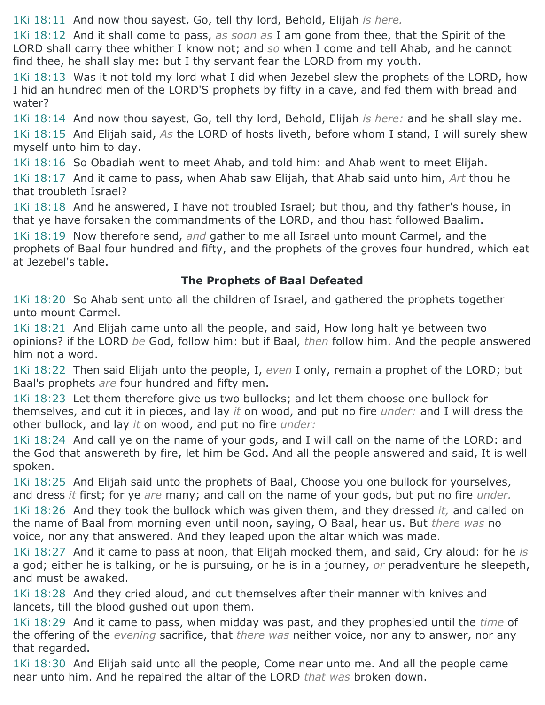1Ki 18:11 And now thou sayest, Go, tell thy lord, Behold, Elijah *is here.*

1Ki 18:12 And it shall come to pass, *as soon as* I am gone from thee, that the Spirit of the LORD shall carry thee whither I know not; and *so* when I come and tell Ahab, and he cannot find thee, he shall slay me: but I thy servant fear the LORD from my youth.

1Ki 18:13 Was it not told my lord what I did when Jezebel slew the prophets of the LORD, how I hid an hundred men of the LORD'S prophets by fifty in a cave, and fed them with bread and water?

1Ki 18:14 And now thou sayest, Go, tell thy lord, Behold, Elijah *is here:* and he shall slay me. 1Ki 18:15 And Elijah said, *As* the LORD of hosts liveth, before whom I stand, I will surely shew myself unto him to day.

1Ki 18:16 So Obadiah went to meet Ahab, and told him: and Ahab went to meet Elijah.

1Ki 18:17 And it came to pass, when Ahab saw Elijah, that Ahab said unto him, *Art* thou he that troubleth Israel?

1Ki 18:18 And he answered, I have not troubled Israel; but thou, and thy father's house, in that ye have forsaken the commandments of the LORD, and thou hast followed Baalim.

1Ki 18:19 Now therefore send, *and* gather to me all Israel unto mount Carmel, and the prophets of Baal four hundred and fifty, and the prophets of the groves four hundred, which eat at Jezebel's table.

# **The Prophets of Baal Defeated**

1Ki 18:20 So Ahab sent unto all the children of Israel, and gathered the prophets together unto mount Carmel.

1Ki 18:21 And Elijah came unto all the people, and said, How long halt ye between two opinions? if the LORD *be* God, follow him: but if Baal, *then* follow him. And the people answered him not a word.

1Ki 18:22 Then said Elijah unto the people, I, *even* I only, remain a prophet of the LORD; but Baal's prophets *are* four hundred and fifty men.

1Ki 18:23 Let them therefore give us two bullocks; and let them choose one bullock for themselves, and cut it in pieces, and lay *it* on wood, and put no fire *under:* and I will dress the other bullock, and lay *it* on wood, and put no fire *under:*

1Ki 18:24 And call ye on the name of your gods, and I will call on the name of the LORD: and the God that answereth by fire, let him be God. And all the people answered and said, It is well spoken.

1Ki 18:25 And Elijah said unto the prophets of Baal, Choose you one bullock for yourselves, and dress *it* first; for ye *are* many; and call on the name of your gods, but put no fire *under.*

1Ki 18:26 And they took the bullock which was given them, and they dressed *it,* and called on the name of Baal from morning even until noon, saying, O Baal, hear us. But *there was* no voice, nor any that answered. And they leaped upon the altar which was made.

1Ki 18:27 And it came to pass at noon, that Elijah mocked them, and said, Cry aloud: for he *is* a god; either he is talking, or he is pursuing, or he is in a journey, *or* peradventure he sleepeth, and must be awaked.

1Ki 18:28 And they cried aloud, and cut themselves after their manner with knives and lancets, till the blood gushed out upon them.

1Ki 18:29 And it came to pass, when midday was past, and they prophesied until the *time* of the offering of the *evening* sacrifice, that *there was* neither voice, nor any to answer, nor any that regarded.

1Ki 18:30 And Elijah said unto all the people, Come near unto me. And all the people came near unto him. And he repaired the altar of the LORD *that was* broken down.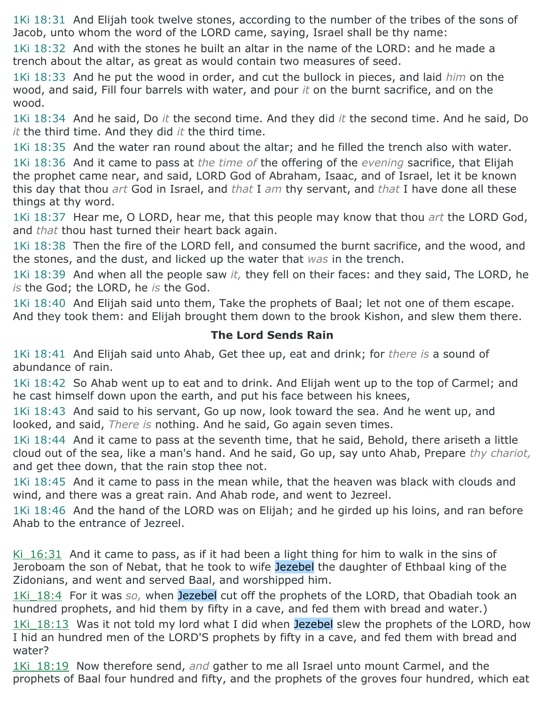1Ki 18:31 And Elijah took twelve stones, according to the number of the tribes of the sons of Jacob, unto whom the word of the LORD came, saying, Israel shall be thy name:

1Ki 18:32 And with the stones he built an altar in the name of the LORD: and he made a trench about the altar, as great as would contain two measures of seed.

1Ki 18:33 And he put the wood in order, and cut the bullock in pieces, and laid *him* on the wood, and said, Fill four barrels with water, and pour *it* on the burnt sacrifice, and on the wood.

1Ki 18:34 And he said, Do *it* the second time. And they did *it* the second time. And he said, Do *it* the third time. And they did *it* the third time.

1Ki 18:35 And the water ran round about the altar; and he filled the trench also with water.

1Ki 18:36 And it came to pass at *the time of* the offering of the *evening* sacrifice, that Elijah the prophet came near, and said, LORD God of Abraham, Isaac, and of Israel, let it be known this day that thou *art* God in Israel, and *that* I *am* thy servant, and *that* I have done all these things at thy word.

1Ki 18:37 Hear me, O LORD, hear me, that this people may know that thou *art* the LORD God, and *that* thou hast turned their heart back again.

1Ki 18:38 Then the fire of the LORD fell, and consumed the burnt sacrifice, and the wood, and the stones, and the dust, and licked up the water that *was* in the trench.

1Ki 18:39 And when all the people saw *it,* they fell on their faces: and they said, The LORD, he *is* the God; the LORD, he *is* the God.

1Ki 18:40 And Elijah said unto them, Take the prophets of Baal; let not one of them escape. And they took them: and Elijah brought them down to the brook Kishon, and slew them there.

### **The Lord Sends Rain**

1Ki 18:41 And Elijah said unto Ahab, Get thee up, eat and drink; for *there is* a sound of abundance of rain.

1Ki 18:42 So Ahab went up to eat and to drink. And Elijah went up to the top of Carmel; and he cast himself down upon the earth, and put his face between his knees,

1Ki 18:43 And said to his servant, Go up now, look toward the sea. And he went up, and looked, and said, *There is* nothing. And he said, Go again seven times.

1Ki 18:44 And it came to pass at the seventh time, that he said, Behold, there ariseth a little cloud out of the sea, like a man's hand. And he said, Go up, say unto Ahab, Prepare *thy chariot,* and get thee down, that the rain stop thee not.

1Ki 18:45 And it came to pass in the mean while, that the heaven was black with clouds and wind, and there was a great rain. And Ahab rode, and went to Jezreel.

1Ki 18:46 And the hand of the LORD was on Elijah; and he girded up his loins, and ran before Ahab to the entrance of Jezreel.

Ki $16:31$  And it came to pass, as if it had been a light thing for him to walk in the sins of Jeroboam the son of Nebat, that he took to wife Jezebel the daughter of Ethbaal king of the Zidonians, and went and served Baal, and worshipped him.

1Ki 18:4 For it was so, when Jezebel cut off the prophets of the LORD, that Obadiah took an hundred prophets, and hid them by fifty in a cave, and fed them with bread and water.)

1Ki 18:13 Was it not told my lord what I did when Jezebel slew the prophets of the LORD, how I hid an hundred men of the LORD'S prophets by fifty in a cave, and fed them with bread and water?

1Ki\_18:19 Now therefore send, *and* gather to me all Israel unto mount Carmel, and the prophets of Baal four hundred and fifty, and the prophets of the groves four hundred, which eat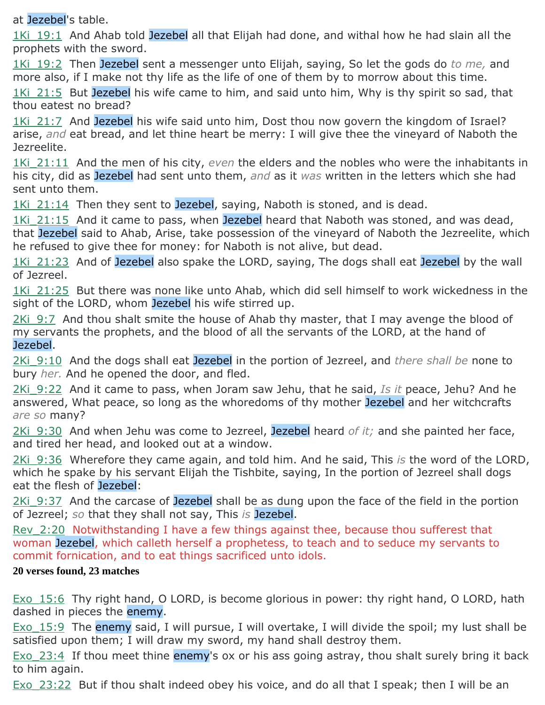at Jezebel's table.

1Ki 19:1 And Ahab told Jezebel all that Elijah had done, and withal how he had slain all the prophets with the sword.

1Ki\_19:2 Then Jezebel sent a messenger unto Elijah, saying, So let the gods do *to me,* and more also, if I make not thy life as the life of one of them by to morrow about this time.

1Ki 21:5 But Jezebel his wife came to him, and said unto him, Why is thy spirit so sad, that thou eatest no bread?

1Ki 21:7 And Jezebel his wife said unto him, Dost thou now govern the kingdom of Israel? arise, *and* eat bread, and let thine heart be merry: I will give thee the vineyard of Naboth the Jezreelite.

1Ki\_21:11 And the men of his city, *even* the elders and the nobles who were the inhabitants in his city, did as Jezebel had sent unto them, *and* as it *was* written in the letters which she had sent unto them.

1Ki 21:14 Then they sent to Jezebel, saying, Naboth is stoned, and is dead.

1Ki 21:15 And it came to pass, when Jezebel heard that Naboth was stoned, and was dead, that Jezebel said to Ahab, Arise, take possession of the vineyard of Naboth the Jezreelite, which he refused to give thee for money: for Naboth is not alive, but dead.

1Ki 21:23 And of Jezebel also spake the LORD, saying, The dogs shall eat Jezebel by the wall of Jezreel.

1Ki 21:25 But there was none like unto Ahab, which did sell himself to work wickedness in the sight of the LORD, whom Jezebel his wife stirred up.

2Ki 9:7 And thou shalt smite the house of Ahab thy master, that I may avenge the blood of my servants the prophets, and the blood of all the servants of the LORD, at the hand of Jezebel.

2Ki\_9:10 And the dogs shall eat Jezebel in the portion of Jezreel, and *there shall be* none to bury *her.* And he opened the door, and fled.

2Ki\_9:22 And it came to pass, when Joram saw Jehu, that he said, *Is it* peace, Jehu? And he answered, What peace, so long as the whoredoms of thy mother Jezebel and her witchcrafts *are so* many?

2Ki\_9:30 And when Jehu was come to Jezreel, Jezebel heard *of it;* and she painted her face, and tired her head, and looked out at a window.

2Ki\_9:36 Wherefore they came again, and told him. And he said, This *is* the word of the LORD, which he spake by his servant Elijah the Tishbite, saying, In the portion of Jezreel shall dogs eat the flesh of Jezebel:

2Ki 9:37 And the carcase of Jezebel shall be as dung upon the face of the field in the portion of Jezreel; *so* that they shall not say, This *is* Jezebel.

Rev\_2:20 Notwithstanding I have a few things against thee, because thou sufferest that woman Jezebel, which calleth herself a prophetess, to teach and to seduce my servants to commit fornication, and to eat things sacrificed unto idols.

#### **20 verses found, 23 matches**

Exo 15:6 Thy right hand, O LORD, is become glorious in power: thy right hand, O LORD, hath dashed in pieces the enemy.

Exo 15:9 The enemy said, I will pursue, I will overtake, I will divide the spoil; my lust shall be satisfied upon them; I will draw my sword, my hand shall destroy them.

Exo  $23:4$  If thou meet thine enemy's ox or his ass going astray, thou shalt surely bring it back to him again.

Exo 23:22 But if thou shalt indeed obey his voice, and do all that I speak; then I will be an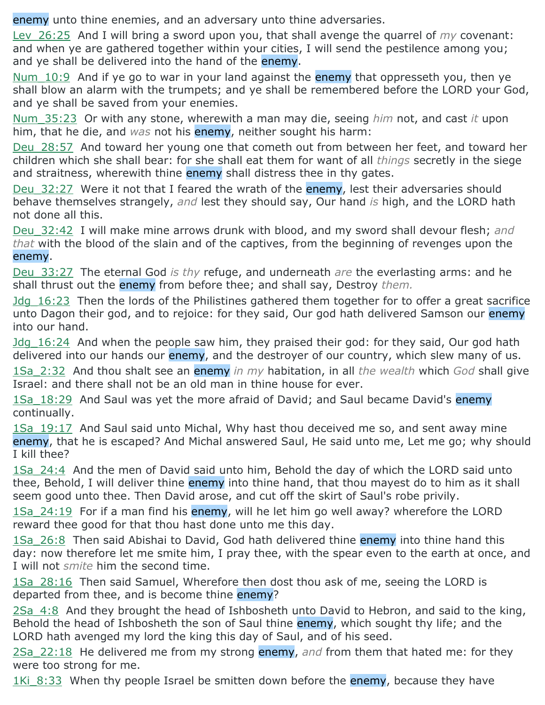enemy unto thine enemies, and an adversary unto thine adversaries.

Lev\_26:25 And I will bring a sword upon you, that shall avenge the quarrel of *my* covenant: and when ye are gathered together within your cities, I will send the pestilence among you; and ye shall be delivered into the hand of the enemy.

Num 10:9 And if ye go to war in your land against the enemy that oppresseth you, then ye shall blow an alarm with the trumpets; and ye shall be remembered before the LORD your God, and ye shall be saved from your enemies.

Num\_35:23 Or with any stone, wherewith a man may die, seeing *him* not, and cast *it* upon him, that he die, and *was* not his enemy, neither sought his harm:

Deu 28:57 And toward her young one that cometh out from between her feet, and toward her children which she shall bear: for she shall eat them for want of all *things* secretly in the siege and straitness, wherewith thine enemy shall distress thee in thy gates.

Deu 32:27 Were it not that I feared the wrath of the enemy, lest their adversaries should behave themselves strangely, *and* lest they should say, Our hand *is* high, and the LORD hath not done all this.

Deu\_32:42 I will make mine arrows drunk with blood, and my sword shall devour flesh; *and that* with the blood of the slain and of the captives, from the beginning of revenges upon the enemy.

Deu\_33:27 The eternal God *is thy* refuge, and underneath *are* the everlasting arms: and he shall thrust out the enemy from before thee; and shall say, Destroy *them.*

Jdg\_16:23 Then the lords of the Philistines gathered them together for to offer a great sacrifice unto Dagon their god, and to rejoice: for they said, Our god hath delivered Samson our enemy into our hand.

Jdg 16:24 And when the people saw him, they praised their god: for they said, Our god hath delivered into our hands our enemy, and the destroyer of our country, which slew many of us.

1Sa\_2:32 And thou shalt see an enemy *in my* habitation, in all *the wealth* which *God* shall give Israel: and there shall not be an old man in thine house for ever.

1Sa 18:29 And Saul was yet the more afraid of David; and Saul became David's enemy continually.

1Sa 19:17 And Saul said unto Michal, Why hast thou deceived me so, and sent away mine enemy, that he is escaped? And Michal answered Saul, He said unto me, Let me go; why should I kill thee?

1Sa\_24:4 And the men of David said unto him, Behold the day of which the LORD said unto thee, Behold, I will deliver thine enemy into thine hand, that thou mayest do to him as it shall seem good unto thee. Then David arose, and cut off the skirt of Saul's robe privily.

1Sa 24:19 For if a man find his enemy, will he let him go well away? wherefore the LORD reward thee good for that thou hast done unto me this day.

1Sa 26:8 Then said Abishai to David, God hath delivered thine enemy into thine hand this day: now therefore let me smite him, I pray thee, with the spear even to the earth at once, and I will not *smite* him the second time.

1Sa 28:16 Then said Samuel, Wherefore then dost thou ask of me, seeing the LORD is departed from thee, and is become thine enemy?

2Sa\_4:8 And they brought the head of Ishbosheth unto David to Hebron, and said to the king, Behold the head of Ishbosheth the son of Saul thine enemy, which sought thy life; and the LORD hath avenged my lord the king this day of Saul, and of his seed.

2Sa\_22:18 He delivered me from my strong enemy, *and* from them that hated me: for they were too strong for me.

1Ki 8:33 When thy people Israel be smitten down before the enemy, because they have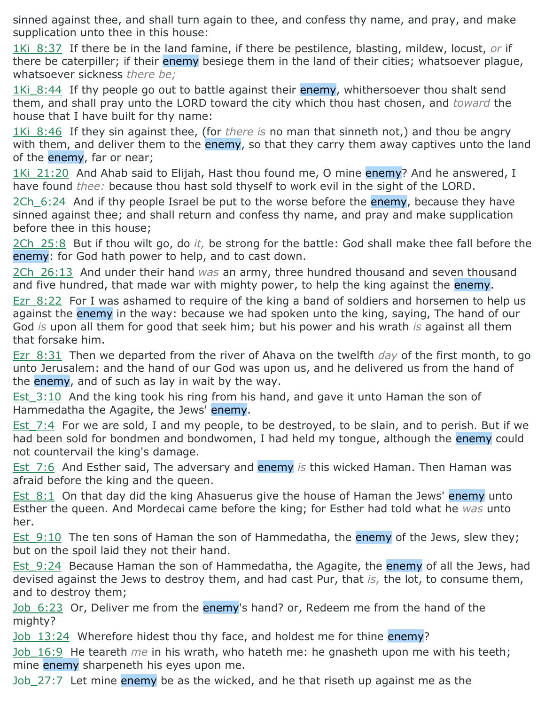sinned against thee, and shall turn again to thee, and confess thy name, and pray, and make supplication unto thee in this house:

1Ki\_8:37 If there be in the land famine, if there be pestilence, blasting, mildew, locust, *or* if there be caterpiller; if their enemy besiege them in the land of their cities; whatsoever plague, whatsoever sickness *there be;*

1Ki 8:44 If thy people go out to battle against their enemy, whithersoever thou shalt send them, and shall pray unto the LORD toward the city which thou hast chosen, and *toward* the house that I have built for thy name:

1Ki 8:46 If they sin against thee, (for *there is* no man that sinneth not,) and thou be angry with them, and deliver them to the enemy, so that they carry them away captives unto the land of the enemy, far or near;

1Ki 21:20 And Ahab said to Elijah, Hast thou found me, O mine enemy? And he answered, I have found *thee:* because thou hast sold thyself to work evil in the sight of the LORD.

2Ch 6:24 And if thy people Israel be put to the worse before the enemy, because they have sinned against thee; and shall return and confess thy name, and pray and make supplication before thee in this house;

2Ch\_25:8 But if thou wilt go, do *it,* be strong for the battle: God shall make thee fall before the enemy: for God hath power to help, and to cast down.

2Ch\_26:13 And under their hand *was* an army, three hundred thousand and seven thousand and five hundred, that made war with mighty power, to help the king against the enemy.

Ezr 8:22 For I was ashamed to require of the king a band of soldiers and horsemen to help us against the enemy in the way: because we had spoken unto the king, saying, The hand of our God *is* upon all them for good that seek him; but his power and his wrath *is* against all them that forsake him.

Ezr\_8:31 Then we departed from the river of Ahava on the twelfth *day* of the first month, to go unto Jerusalem: and the hand of our God was upon us, and he delivered us from the hand of the **enemy**, and of such as lay in wait by the way.

Est 3:10 And the king took his ring from his hand, and gave it unto Haman the son of Hammedatha the Agagite, the Jews' enemy.

Est 7:4 For we are sold, I and my people, to be destroyed, to be slain, and to perish. But if we had been sold for bondmen and bondwomen, I had held my tongue, although the enemy could not countervail the king's damage.

Est\_7:6 And Esther said, The adversary and enemy *is* this wicked Haman. Then Haman was afraid before the king and the queen.

Est 8:1 On that day did the king Ahasuerus give the house of Haman the Jews' enemy unto Esther the queen. And Mordecai came before the king; for Esther had told what he *was* unto her.

Est  $9:10$  The ten sons of Haman the son of Hammedatha, the enemy of the Jews, slew they; but on the spoil laid they not their hand.

Est 9:24 Because Haman the son of Hammedatha, the Agagite, the enemy of all the Jews, had devised against the Jews to destroy them, and had cast Pur, that *is,* the lot, to consume them, and to destroy them;

Job 6:23 Or, Deliver me from the enemy's hand? or, Redeem me from the hand of the mighty?

Job 13:24 Wherefore hidest thou thy face, and holdest me for thine enemy?

Job\_16:9 He teareth *me* in his wrath, who hateth me: he gnasheth upon me with his teeth; mine enemy sharpeneth his eyes upon me.

Job 27:7 Let mine enemy be as the wicked, and he that riseth up against me as the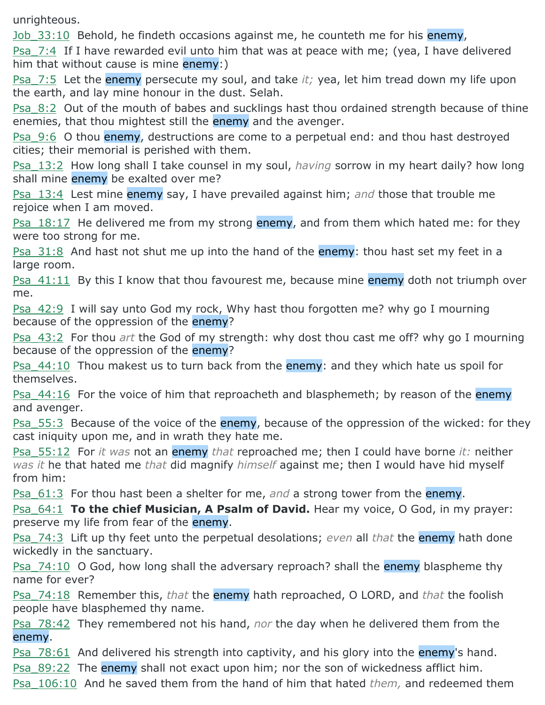unrighteous.

Job 33:10 Behold, he findeth occasions against me, he counteth me for his enemy,

Psa 7:4 If I have rewarded evil unto him that was at peace with me; (yea, I have delivered him that without cause is mine enemy:)

Psa\_7:5 Let the enemy persecute my soul, and take *it;* yea, let him tread down my life upon the earth, and lay mine honour in the dust. Selah.

Psa 8:2 Out of the mouth of babes and sucklings hast thou ordained strength because of thine enemies, that thou mightest still the enemy and the avenger.

Psa 9:6 O thou enemy, destructions are come to a perpetual end: and thou hast destroyed cities; their memorial is perished with them.

Psa\_13:2 How long shall I take counsel in my soul, *having* sorrow in my heart daily? how long shall mine enemy be exalted over me?

Psa\_13:4 Lest mine enemy say, I have prevailed against him; *and* those that trouble me rejoice when I am moved.

**Psa\_18:17** He delivered me from my strong enemy, and from them which hated me: for they were too strong for me.

Psa 31:8 And hast not shut me up into the hand of the enemy: thou hast set my feet in a large room.

Psa  $41:11$  By this I know that thou favourest me, because mine enemy doth not triumph over me.

Psa 42:9 I will say unto God my rock, Why hast thou forgotten me? why go I mourning because of the oppression of the enemy?

Psa\_43:2 For thou *art* the God of my strength: why dost thou cast me off? why go I mourning because of the oppression of the enemy?

**Psa\_44:10** Thou makest us to turn back from the enemy: and they which hate us spoil for themselves.

Psa 44:16 For the voice of him that reproacheth and blasphemeth; by reason of the enemy and avenger.

Psa 55:3 Because of the voice of the enemy, because of the oppression of the wicked: for they cast iniquity upon me, and in wrath they hate me.

Psa\_55:12 For *it was* not an enemy *that* reproached me; then I could have borne *it:* neither *was it* he that hated me *that* did magnify *himself* against me; then I would have hid myself from him:

Psa\_61:3 For thou hast been a shelter for me, *and* a strong tower from the enemy.

Psa 64:1 **To the chief Musician, A Psalm of David.** Hear my voice, O God, in my prayer: preserve my life from fear of the enemy.

Psa\_74:3 Lift up thy feet unto the perpetual desolations; *even* all *that* the enemy hath done wickedly in the sanctuary.

Psa  $74:10$  O God, how long shall the adversary reproach? shall the enemy blaspheme thy name for ever?

Psa\_74:18 Remember this, *that* the enemy hath reproached, O LORD, and *that* the foolish people have blasphemed thy name.

Psa\_78:42 They remembered not his hand, *nor* the day when he delivered them from the enemy.

Psa 78:61 And delivered his strength into captivity, and his glory into the enemy's hand.

Psa 89:22 The enemy shall not exact upon him; nor the son of wickedness afflict him.

Psa\_106:10 And he saved them from the hand of him that hated *them,* and redeemed them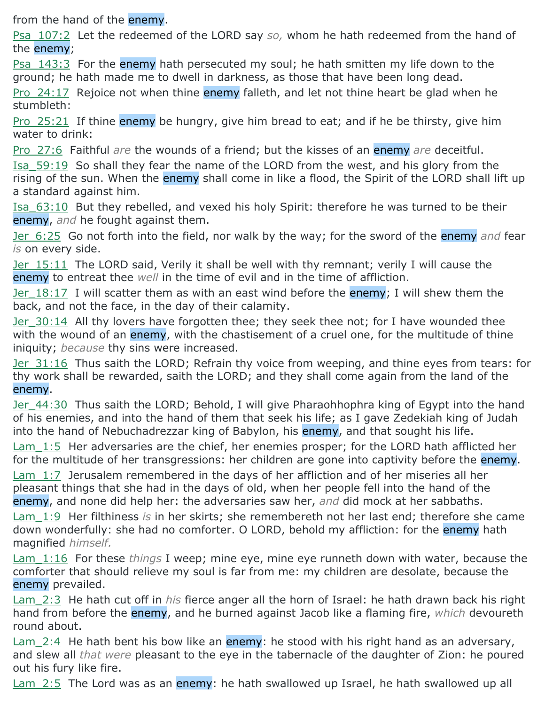from the hand of the enemy.

Psa\_107:2 Let the redeemed of the LORD say *so,* whom he hath redeemed from the hand of the enemy;

Psa 143:3 For the enemy hath persecuted my soul; he hath smitten my life down to the ground; he hath made me to dwell in darkness, as those that have been long dead.

Pro 24:17 Rejoice not when thine enemy falleth, and let not thine heart be glad when he stumbleth:

Pro 25:21 If thine enemy be hungry, give him bread to eat; and if he be thirsty, give him water to drink:

Pro\_27:6 Faithful *are* the wounds of a friend; but the kisses of an enemy *are* deceitful.

Isa\_59:19 So shall they fear the name of the LORD from the west, and his glory from the rising of the sun. When the enemy shall come in like a flood, the Spirit of the LORD shall lift up a standard against him.

Isa\_63:10 But they rebelled, and vexed his holy Spirit: therefore he was turned to be their enemy, *and* he fought against them.

Jer\_6:25 Go not forth into the field, nor walk by the way; for the sword of the enemy *and* fear *is* on every side.

Jer 15:11 The LORD said, Verily it shall be well with thy remnant; verily I will cause the enemy to entreat thee *well* in the time of evil and in the time of affliction.

Jer 18:17 I will scatter them as with an east wind before the enemy; I will shew them the back, and not the face, in the day of their calamity.

Jer 30:14 All thy lovers have forgotten thee; they seek thee not; for I have wounded thee with the wound of an enemy, with the chastisement of a cruel one, for the multitude of thine iniquity; *because* thy sins were increased.

Jer 31:16 Thus saith the LORD; Refrain thy voice from weeping, and thine eyes from tears: for thy work shall be rewarded, saith the LORD; and they shall come again from the land of the enemy.

Jer 44:30 Thus saith the LORD; Behold, I will give Pharaohhophra king of Egypt into the hand of his enemies, and into the hand of them that seek his life; as I gave Zedekiah king of Judah into the hand of Nebuchadrezzar king of Babylon, his enemy, and that sought his life.

 $Lam$  1:5 Her adversaries are the chief, her enemies prosper; for the LORD hath afflicted her for the multitude of her transgressions: her children are gone into captivity before the enemy.

Lam 1:7 Jerusalem remembered in the days of her affliction and of her miseries all her pleasant things that she had in the days of old, when her people fell into the hand of the enemy, and none did help her: the adversaries saw her, *and* did mock at her sabbaths.

Lam\_1:9 Her filthiness *is* in her skirts; she remembereth not her last end; therefore she came down wonderfully: she had no comforter. O LORD, behold my affliction: for the enemy hath magnified *himself.*

Lam\_1:16 For these *things* I weep; mine eye, mine eye runneth down with water, because the comforter that should relieve my soul is far from me: my children are desolate, because the enemy prevailed.

Lam\_2:3 He hath cut off in *his* fierce anger all the horn of Israel: he hath drawn back his right hand from before the enemy, and he burned against Jacob like a flaming fire, *which* devoureth round about.

Lam 2:4 He hath bent his bow like an enemy: he stood with his right hand as an adversary, and slew all *that were* pleasant to the eye in the tabernacle of the daughter of Zion: he poured out his fury like fire.

Lam 2:5 The Lord was as an enemy: he hath swallowed up Israel, he hath swallowed up all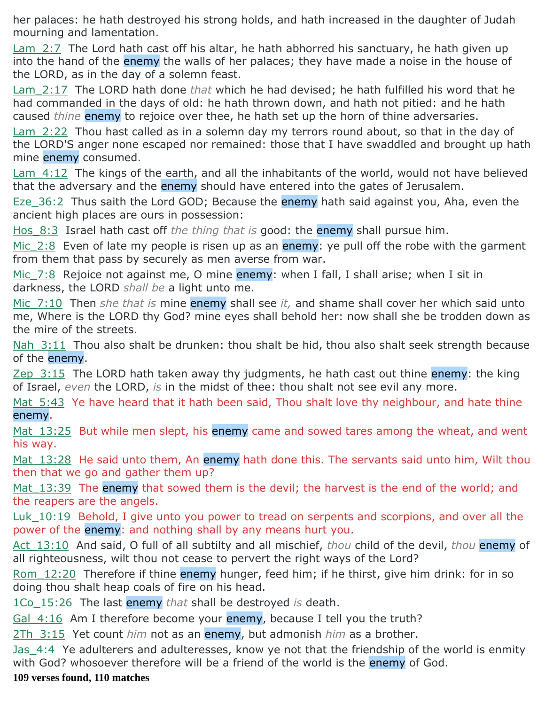her palaces: he hath destroyed his strong holds, and hath increased in the daughter of Judah mourning and lamentation.

Lam 2:7 The Lord hath cast off his altar, he hath abhorred his sanctuary, he hath given up into the hand of the enemy the walls of her palaces; they have made a noise in the house of the LORD, as in the day of a solemn feast.

Lam\_2:17 The LORD hath done *that* which he had devised; he hath fulfilled his word that he had commanded in the days of old: he hath thrown down, and hath not pitied: and he hath caused *thine* enemy to rejoice over thee, he hath set up the horn of thine adversaries.

Lam 2:22 Thou hast called as in a solemn day my terrors round about, so that in the day of the LORD'S anger none escaped nor remained: those that I have swaddled and brought up hath mine enemy consumed.

Lam 4:12 The kings of the earth, and all the inhabitants of the world, would not have believed that the adversary and the enemy should have entered into the gates of Jerusalem.

Eze 36:2 Thus saith the Lord GOD; Because the enemy hath said against you, Aha, even the ancient high places are ours in possession:

Hos\_8:3 Israel hath cast off *the thing that is* good: the enemy shall pursue him.

Mic  $2:8$  Even of late my people is risen up as an enemy: ye pull off the robe with the garment from them that pass by securely as men averse from war.

Mic 7:8 Rejoice not against me, O mine enemy: when I fall, I shall arise; when I sit in darkness, the LORD *shall be* a light unto me.

Mic\_7:10 Then *she that is* mine enemy shall see *it,* and shame shall cover her which said unto me, Where is the LORD thy God? mine eyes shall behold her: now shall she be trodden down as the mire of the streets.

Nah 3:11 Thou also shalt be drunken: thou shalt be hid, thou also shalt seek strength because of the enemy.

Zep  $3:15$  The LORD hath taken away thy judgments, he hath cast out thine enemy: the king of Israel, *even* the LORD, *is* in the midst of thee: thou shalt not see evil any more.

Mat 5:43 Ye have heard that it hath been said, Thou shalt love thy neighbour, and hate thine enemy.

Mat 13:25 But while men slept, his enemy came and sowed tares among the wheat, and went his way.

Mat 13:28 He said unto them, An enemy hath done this. The servants said unto him, Wilt thou then that we go and gather them up?

Mat  $13:39$  The enemy that sowed them is the devil; the harvest is the end of the world; and the reapers are the angels.

Luk 10:19 Behold, I give unto you power to tread on serpents and scorpions, and over all the power of the enemy: and nothing shall by any means hurt you.

Act\_13:10 And said, O full of all subtilty and all mischief, *thou* child of the devil, *thou* enemy of all righteousness, wilt thou not cease to pervert the right ways of the Lord?

Rom 12:20 Therefore if thine enemy hunger, feed him; if he thirst, give him drink: for in so doing thou shalt heap coals of fire on his head.

1Co\_15:26 The last enemy *that* shall be destroyed *is* death.

Gal 4:16 Am I therefore become your enemy, because I tell you the truth?

2Th\_3:15 Yet count *him* not as an enemy, but admonish *him* as a brother.

Jas 4:4 Ye adulterers and adulteresses, know ye not that the friendship of the world is enmity with God? whosoever therefore will be a friend of the world is the enemy of God.

**109 verses found, 110 matches**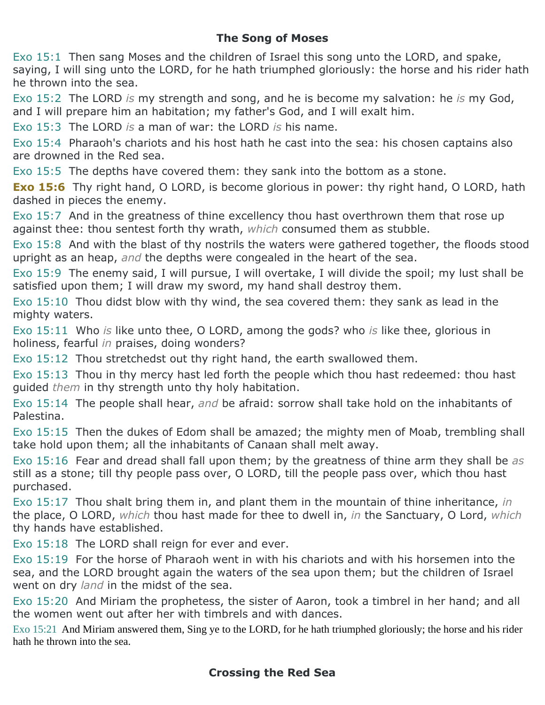# **The Song of Moses**

Exo 15:1 Then sang Moses and the children of Israel this song unto the LORD, and spake, saying, I will sing unto the LORD, for he hath triumphed gloriously: the horse and his rider hath he thrown into the sea.

Exo 15:2 The LORD *is* my strength and song, and he is become my salvation: he *is* my God, and I will prepare him an habitation; my father's God, and I will exalt him.

Exo 15:3 The LORD *is* a man of war: the LORD *is* his name.

Exo 15:4 Pharaoh's chariots and his host hath he cast into the sea: his chosen captains also are drowned in the Red sea.

Exo 15:5 The depths have covered them: they sank into the bottom as a stone.

**Exo 15:6** Thy right hand, O LORD, is become glorious in power: thy right hand, O LORD, hath dashed in pieces the enemy.

Exo 15:7 And in the greatness of thine excellency thou hast overthrown them that rose up against thee: thou sentest forth thy wrath, *which* consumed them as stubble.

Exo 15:8 And with the blast of thy nostrils the waters were gathered together, the floods stood upright as an heap, *and* the depths were congealed in the heart of the sea.

Exo 15:9 The enemy said, I will pursue, I will overtake, I will divide the spoil; my lust shall be satisfied upon them; I will draw my sword, my hand shall destroy them.

Exo 15:10 Thou didst blow with thy wind, the sea covered them: they sank as lead in the mighty waters.

Exo 15:11 Who *is* like unto thee, O LORD, among the gods? who *is* like thee, glorious in holiness, fearful *in* praises, doing wonders?

Exo 15:12 Thou stretchedst out thy right hand, the earth swallowed them.

Exo 15:13 Thou in thy mercy hast led forth the people which thou hast redeemed: thou hast guided *them* in thy strength unto thy holy habitation.

Exo 15:14 The people shall hear, *and* be afraid: sorrow shall take hold on the inhabitants of Palestina.

Exo 15:15 Then the dukes of Edom shall be amazed; the mighty men of Moab, trembling shall take hold upon them; all the inhabitants of Canaan shall melt away.

Exo 15:16 Fear and dread shall fall upon them; by the greatness of thine arm they shall be *as* still as a stone; till thy people pass over, O LORD, till the people pass over, which thou hast purchased.

Exo 15:17 Thou shalt bring them in, and plant them in the mountain of thine inheritance, *in* the place, O LORD, *which* thou hast made for thee to dwell in, *in* the Sanctuary, O Lord, *which* thy hands have established.

Exo 15:18 The LORD shall reign for ever and ever.

Exo 15:19 For the horse of Pharaoh went in with his chariots and with his horsemen into the sea, and the LORD brought again the waters of the sea upon them; but the children of Israel went on dry *land* in the midst of the sea.

Exo 15:20 And Miriam the prophetess, the sister of Aaron, took a timbrel in her hand; and all the women went out after her with timbrels and with dances.

Exo 15:21 And Miriam answered them, Sing ye to the LORD, for he hath triumphed gloriously; the horse and his rider hath he thrown into the sea.

### **Crossing the Red Sea**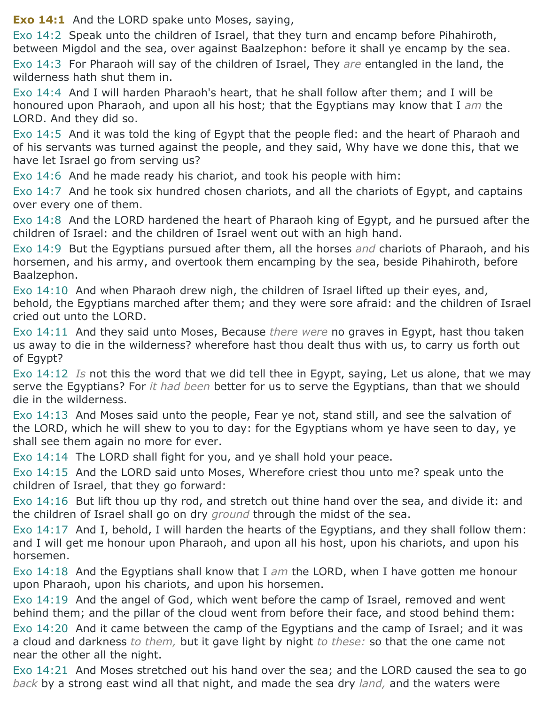**Exo 14:1** And the LORD spake unto Moses, saying,

Exo 14:2 Speak unto the children of Israel, that they turn and encamp before Pihahiroth, between Migdol and the sea, over against Baalzephon: before it shall ye encamp by the sea.

Exo 14:3 For Pharaoh will say of the children of Israel, They *are* entangled in the land, the wilderness hath shut them in.

Exo 14:4 And I will harden Pharaoh's heart, that he shall follow after them; and I will be honoured upon Pharaoh, and upon all his host; that the Egyptians may know that I *am* the LORD. And they did so.

Exo 14:5 And it was told the king of Egypt that the people fled: and the heart of Pharaoh and of his servants was turned against the people, and they said, Why have we done this, that we have let Israel go from serving us?

Exo 14:6 And he made ready his chariot, and took his people with him:

Exo 14:7 And he took six hundred chosen chariots, and all the chariots of Egypt, and captains over every one of them.

Exo 14:8 And the LORD hardened the heart of Pharaoh king of Egypt, and he pursued after the children of Israel: and the children of Israel went out with an high hand.

Exo 14:9 But the Egyptians pursued after them, all the horses *and* chariots of Pharaoh, and his horsemen, and his army, and overtook them encamping by the sea, beside Pihahiroth, before Baalzephon.

Exo 14:10 And when Pharaoh drew nigh, the children of Israel lifted up their eyes, and, behold, the Egyptians marched after them; and they were sore afraid: and the children of Israel cried out unto the LORD.

Exo 14:11 And they said unto Moses, Because *there were* no graves in Egypt, hast thou taken us away to die in the wilderness? wherefore hast thou dealt thus with us, to carry us forth out of Egypt?

Exo 14:12 *Is* not this the word that we did tell thee in Egypt, saying, Let us alone, that we may serve the Egyptians? For *it had been* better for us to serve the Egyptians, than that we should die in the wilderness.

Exo 14:13 And Moses said unto the people, Fear ye not, stand still, and see the salvation of the LORD, which he will shew to you to day: for the Egyptians whom ye have seen to day, ye shall see them again no more for ever.

Exo 14:14 The LORD shall fight for you, and ye shall hold your peace.

Exo 14:15 And the LORD said unto Moses, Wherefore criest thou unto me? speak unto the children of Israel, that they go forward:

Exo 14:16 But lift thou up thy rod, and stretch out thine hand over the sea, and divide it: and the children of Israel shall go on dry *ground* through the midst of the sea.

Exo 14:17 And I, behold, I will harden the hearts of the Egyptians, and they shall follow them: and I will get me honour upon Pharaoh, and upon all his host, upon his chariots, and upon his horsemen.

Exo 14:18 And the Egyptians shall know that I *am* the LORD, when I have gotten me honour upon Pharaoh, upon his chariots, and upon his horsemen.

Exo 14:19 And the angel of God, which went before the camp of Israel, removed and went behind them; and the pillar of the cloud went from before their face, and stood behind them:

Exo 14:20 And it came between the camp of the Egyptians and the camp of Israel; and it was a cloud and darkness *to them,* but it gave light by night *to these:* so that the one came not near the other all the night.

Exo 14:21 And Moses stretched out his hand over the sea; and the LORD caused the sea to go *back* by a strong east wind all that night, and made the sea dry *land,* and the waters were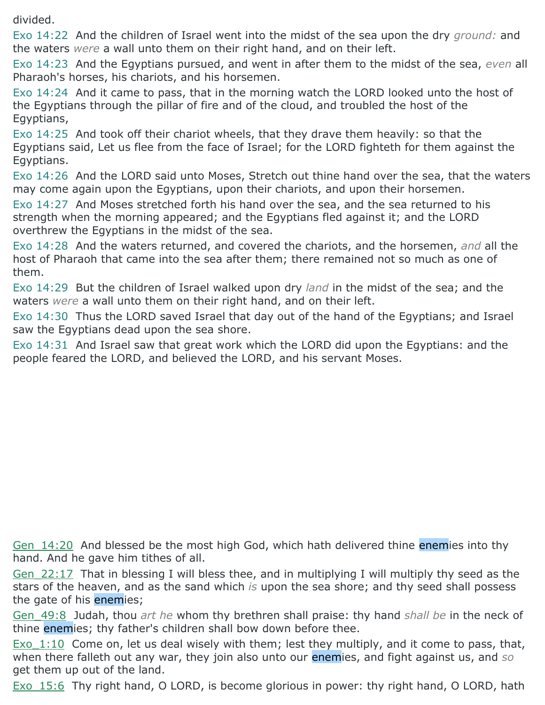divided.

Exo 14:22 And the children of Israel went into the midst of the sea upon the dry *ground:* and the waters *were* a wall unto them on their right hand, and on their left.

Exo 14:23 And the Egyptians pursued, and went in after them to the midst of the sea, *even* all Pharaoh's horses, his chariots, and his horsemen.

Exo 14:24 And it came to pass, that in the morning watch the LORD looked unto the host of the Egyptians through the pillar of fire and of the cloud, and troubled the host of the Egyptians,

Exo 14:25 And took off their chariot wheels, that they drave them heavily: so that the Egyptians said, Let us flee from the face of Israel; for the LORD fighteth for them against the Egyptians.

Exo 14:26 And the LORD said unto Moses, Stretch out thine hand over the sea, that the waters may come again upon the Egyptians, upon their chariots, and upon their horsemen.

Exo 14:27 And Moses stretched forth his hand over the sea, and the sea returned to his strength when the morning appeared; and the Egyptians fled against it; and the LORD overthrew the Egyptians in the midst of the sea.

Exo 14:28 And the waters returned, and covered the chariots, and the horsemen, *and* all the host of Pharaoh that came into the sea after them; there remained not so much as one of them.

Exo 14:29 But the children of Israel walked upon dry *land* in the midst of the sea; and the waters *were* a wall unto them on their right hand, and on their left.

Exo 14:30 Thus the LORD saved Israel that day out of the hand of the Egyptians; and Israel saw the Egyptians dead upon the sea shore.

Exo 14:31 And Israel saw that great work which the LORD did upon the Egyptians: and the people feared the LORD, and believed the LORD, and his servant Moses.

Gen 14:20 And blessed be the most high God, which hath delivered thine enemies into thy hand. And he gave him tithes of all.

Gen\_22:17 That in blessing I will bless thee, and in multiplying I will multiply thy seed as the stars of the heaven, and as the sand which *is* upon the sea shore; and thy seed shall possess the gate of his enemies;

Gen\_49:8 Judah, thou *art he* whom thy brethren shall praise: thy hand *shall be* in the neck of thine enemies; thy father's children shall bow down before thee.

Exo  $1:10$  Come on, let us deal wisely with them; lest they multiply, and it come to pass, that, when there falleth out any war, they join also unto our enemies, and fight against us, and *so* get them up out of the land.

Exo 15:6 Thy right hand, O LORD, is become glorious in power: thy right hand, O LORD, hath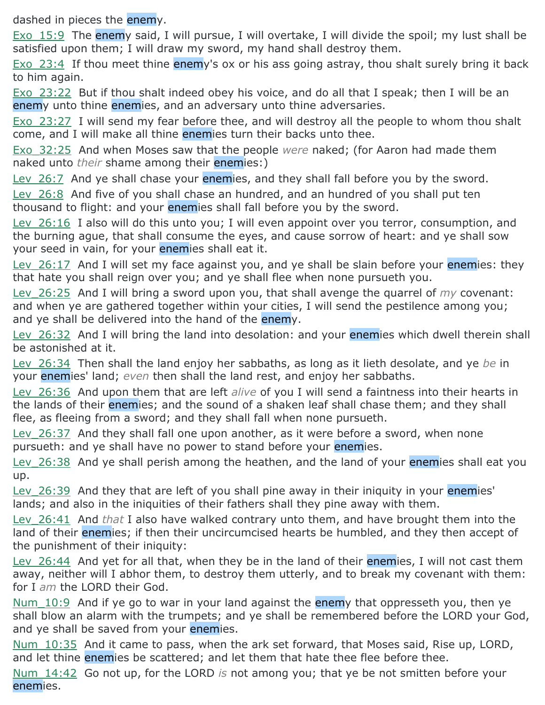dashed in pieces the enemy.

Exo 15:9 The enemy said, I will pursue, I will overtake, I will divide the spoil; my lust shall be satisfied upon them; I will draw my sword, my hand shall destroy them.

Exo 23:4 If thou meet thine enemy's ox or his ass going astray, thou shalt surely bring it back to him again.

Exo 23:22 But if thou shalt indeed obey his voice, and do all that I speak; then I will be an enemy unto thine enemies, and an adversary unto thine adversaries.

Exo 23:27 I will send my fear before thee, and will destroy all the people to whom thou shalt come, and I will make all thine enemies turn their backs unto thee.

Exo\_32:25 And when Moses saw that the people *were* naked; (for Aaron had made them naked unto *their* shame among their enemies:)

Ley 26:7 And ye shall chase your enemies, and they shall fall before you by the sword.

Lev 26:8 And five of you shall chase an hundred, and an hundred of you shall put ten thousand to flight: and your enemies shall fall before you by the sword.

Lev 26:16 I also will do this unto you; I will even appoint over you terror, consumption, and the burning ague, that shall consume the eyes, and cause sorrow of heart: and ye shall sow your seed in vain, for your enemies shall eat it.

Lev  $26:17$  And I will set my face against you, and ye shall be slain before your enemies: they that hate you shall reign over you; and ye shall flee when none pursueth you.

Lev\_26:25 And I will bring a sword upon you, that shall avenge the quarrel of *my* covenant: and when ye are gathered together within your cities, I will send the pestilence among you; and ye shall be delivered into the hand of the enemy.

Lev 26:32 And I will bring the land into desolation: and your enemies which dwell therein shall be astonished at it.

Lev\_26:34 Then shall the land enjoy her sabbaths, as long as it lieth desolate, and ye *be* in your enemies' land; *even* then shall the land rest, and enjoy her sabbaths.

Lev\_26:36 And upon them that are left *alive* of you I will send a faintness into their hearts in the lands of their enemies; and the sound of a shaken leaf shall chase them; and they shall flee, as fleeing from a sword; and they shall fall when none pursueth.

Lev 26:37 And they shall fall one upon another, as it were before a sword, when none pursueth: and ye shall have no power to stand before your enemies.

Ley 26:38 And ye shall perish among the heathen, and the land of your enemies shall eat you up.

Ley 26:39 And they that are left of you shall pine away in their iniquity in your enemies' lands; and also in the iniquities of their fathers shall they pine away with them.

Lev\_26:41 And *that* I also have walked contrary unto them, and have brought them into the land of their enemies; if then their uncircumcised hearts be humbled, and they then accept of the punishment of their iniquity:

Lev 26:44 And yet for all that, when they be in the land of their enemies, I will not cast them away, neither will I abhor them, to destroy them utterly, and to break my covenant with them: for I *am* the LORD their God.

Num 10:9 And if ye go to war in your land against the enemy that oppresseth you, then ye shall blow an alarm with the trumpets; and ye shall be remembered before the LORD your God, and ye shall be saved from your enemies.

Num 10:35 And it came to pass, when the ark set forward, that Moses said, Rise up, LORD, and let thine enemies be scattered; and let them that hate thee flee before thee.

Num\_14:42 Go not up, for the LORD *is* not among you; that ye be not smitten before your enemies.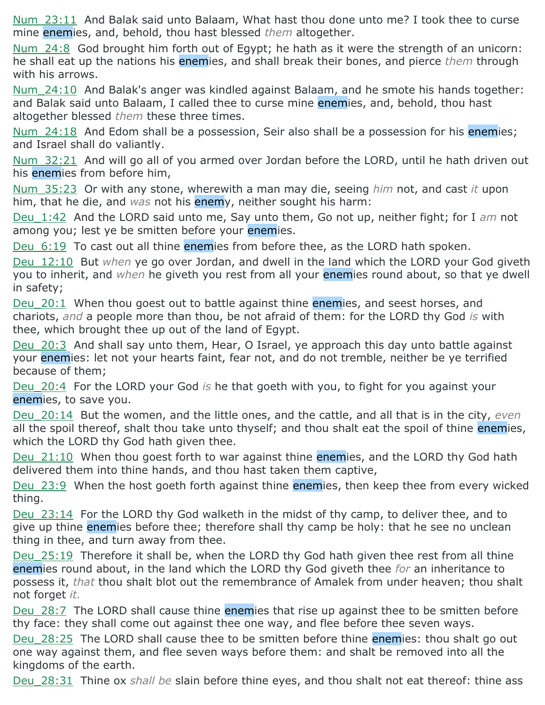Num\_23:11 And Balak said unto Balaam, What hast thou done unto me? I took thee to curse mine enemies, and, behold, thou hast blessed *them* altogether.

Num  $24:8$  God brought him forth out of Egypt; he hath as it were the strength of an unicorn: he shall eat up the nations his enemies, and shall break their bones, and pierce *them* through with his arrows.

Num\_24:10 And Balak's anger was kindled against Balaam, and he smote his hands together: and Balak said unto Balaam, I called thee to curse mine enemies, and, behold, thou hast altogether blessed *them* these three times.

Num 24:18 And Edom shall be a possession, Seir also shall be a possession for his enemies; and Israel shall do valiantly.

Num 32:21 And will go all of you armed over Jordan before the LORD, until he hath driven out his enemies from before him,

Num\_35:23 Or with any stone, wherewith a man may die, seeing *him* not, and cast *it* upon him, that he die, and *was* not his enemy, neither sought his harm:

Deu\_1:42 And the LORD said unto me, Say unto them, Go not up, neither fight; for I *am* not among you; lest ye be smitten before your enemies.

Deu 6:19 To cast out all thine enemies from before thee, as the LORD hath spoken.

Deu\_12:10 But *when* ye go over Jordan, and dwell in the land which the LORD your God giveth you to inherit, and *when* he giveth you rest from all your enemies round about, so that ye dwell in safety;

Deu 20:1 When thou goest out to battle against thine enemies, and seest horses, and chariots, *and* a people more than thou, be not afraid of them: for the LORD thy God *is* with thee, which brought thee up out of the land of Egypt.

Deu 20:3 And shall say unto them, Hear, O Israel, ye approach this day unto battle against your enemies: let not your hearts faint, fear not, and do not tremble, neither be ye terrified because of them;

Deu\_20:4 For the LORD your God *is* he that goeth with you, to fight for you against your enemies, to save you.

Deu\_20:14 But the women, and the little ones, and the cattle, and all that is in the city, *even* all the spoil thereof, shalt thou take unto thyself; and thou shalt eat the spoil of thine enemies, which the LORD thy God hath given thee.

Deu 21:10 When thou goest forth to war against thine enemies, and the LORD thy God hath delivered them into thine hands, and thou hast taken them captive,

Deu 23:9 When the host goeth forth against thine enemies, then keep thee from every wicked thing.

Deu 23:14 For the LORD thy God walketh in the midst of thy camp, to deliver thee, and to give up thine enemies before thee; therefore shall thy camp be holy: that he see no unclean thing in thee, and turn away from thee.

Deu 25:19 Therefore it shall be, when the LORD thy God hath given thee rest from all thine enemies round about, in the land which the LORD thy God giveth thee *for* an inheritance to possess it, *that* thou shalt blot out the remembrance of Amalek from under heaven; thou shalt not forget *it.*

Deu 28:7 The LORD shall cause thine enemies that rise up against thee to be smitten before thy face: they shall come out against thee one way, and flee before thee seven ways.

Deu 28:25 The LORD shall cause thee to be smitten before thine enemies: thou shalt go out one way against them, and flee seven ways before them: and shalt be removed into all the kingdoms of the earth.

Deu\_28:31 Thine ox *shall be* slain before thine eyes, and thou shalt not eat thereof: thine ass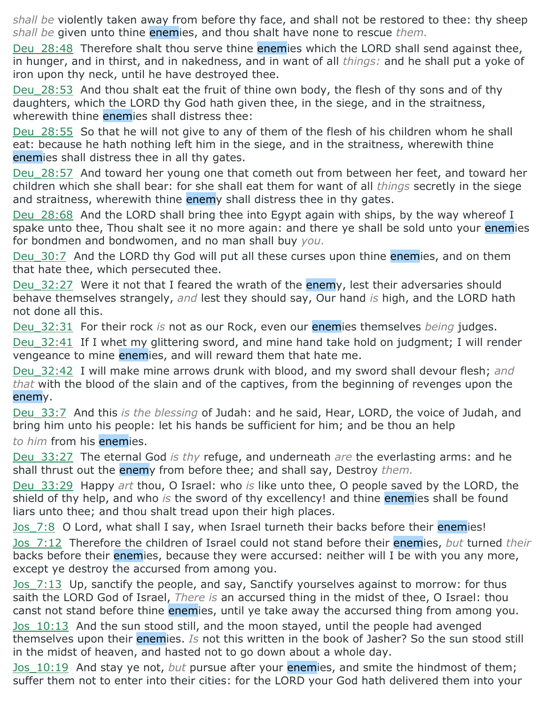*shall be* violently taken away from before thy face, and shall not be restored to thee: thy sheep *shall be* given unto thine enemies, and thou shalt have none to rescue *them.*

Deu 28:48 Therefore shalt thou serve thine enemies which the LORD shall send against thee, in hunger, and in thirst, and in nakedness, and in want of all *things:* and he shall put a yoke of iron upon thy neck, until he have destroyed thee.

Deu 28:53 And thou shalt eat the fruit of thine own body, the flesh of thy sons and of thy daughters, which the LORD thy God hath given thee, in the siege, and in the straitness, wherewith thine enemies shall distress thee:

Deu 28:55 So that he will not give to any of them of the flesh of his children whom he shall eat: because he hath nothing left him in the siege, and in the straitness, wherewith thine enemies shall distress thee in all thy gates.

Deu 28:57 And toward her young one that cometh out from between her feet, and toward her children which she shall bear: for she shall eat them for want of all *things* secretly in the siege and straitness, wherewith thine enemy shall distress thee in thy gates.

Deu 28:68 And the LORD shall bring thee into Egypt again with ships, by the way whereof I spake unto thee, Thou shalt see it no more again: and there ye shall be sold unto your enemies for bondmen and bondwomen, and no man shall buy *you.*

Deu 30:7 And the LORD thy God will put all these curses upon thine enemies, and on them that hate thee, which persecuted thee.

Deu 32:27 Were it not that I feared the wrath of the enemy, lest their adversaries should behave themselves strangely, *and* lest they should say, Our hand *is* high, and the LORD hath not done all this.

Deu\_32:31 For their rock *is* not as our Rock, even our enemies themselves *being* judges.

Deu 32:41 If I whet my glittering sword, and mine hand take hold on judgment; I will render vengeance to mine enemies, and will reward them that hate me.

Deu\_32:42 I will make mine arrows drunk with blood, and my sword shall devour flesh; *and that* with the blood of the slain and of the captives, from the beginning of revenges upon the enemy.

Deu\_33:7 And this *is the blessing* of Judah: and he said, Hear, LORD, the voice of Judah, and bring him unto his people: let his hands be sufficient for him; and be thou an help *to him* from his enemies.

Deu\_33:27 The eternal God *is thy* refuge, and underneath *are* the everlasting arms: and he shall thrust out the enemy from before thee; and shall say, Destroy *them.*

Deu\_33:29 Happy *art* thou, O Israel: who *is* like unto thee, O people saved by the LORD, the shield of thy help, and who *is* the sword of thy excellency! and thine enemies shall be found liars unto thee; and thou shalt tread upon their high places.

Jos 7:8 O Lord, what shall I say, when Israel turneth their backs before their enemies!

Jos\_7:12 Therefore the children of Israel could not stand before their enemies, *but* turned *their* backs before their enemies, because they were accursed: neither will I be with you any more, except ye destroy the accursed from among you.

Jos 7:13 Up, sanctify the people, and say, Sanctify yourselves against to morrow: for thus saith the LORD God of Israel, *There is* an accursed thing in the midst of thee, O Israel: thou canst not stand before thine enemies, until ye take away the accursed thing from among you.

Jos 10:13 And the sun stood still, and the moon stayed, until the people had avenged themselves upon their enemies. *Is* not this written in the book of Jasher? So the sun stood still in the midst of heaven, and hasted not to go down about a whole day.

Jos\_10:19 And stay ye not, *but* pursue after your enemies, and smite the hindmost of them; suffer them not to enter into their cities: for the LORD your God hath delivered them into your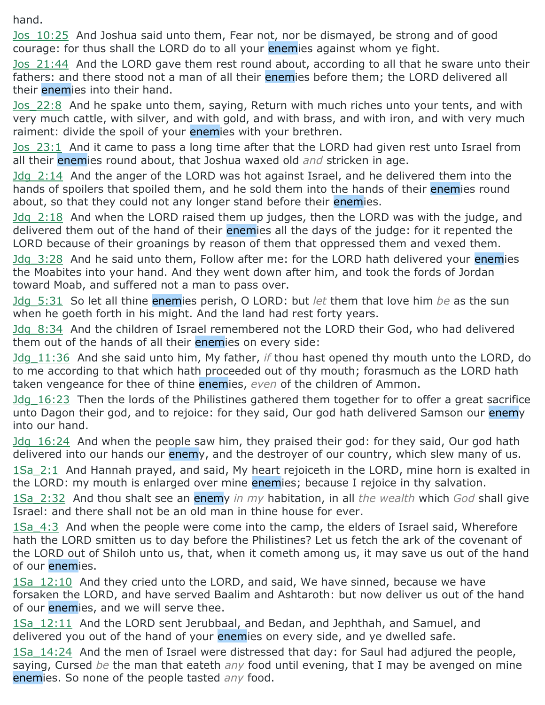hand.

Jos\_10:25 And Joshua said unto them, Fear not, nor be dismayed, be strong and of good courage: for thus shall the LORD do to all your enemies against whom ye fight.

Jos 21:44 And the LORD gave them rest round about, according to all that he sware unto their fathers: and there stood not a man of all their enemies before them; the LORD delivered all their enemies into their hand.

Jos 22:8 And he spake unto them, saying, Return with much riches unto your tents, and with very much cattle, with silver, and with gold, and with brass, and with iron, and with very much raiment: divide the spoil of your enemies with your brethren.

Jos\_23:1 And it came to pass a long time after that the LORD had given rest unto Israel from all their enemies round about, that Joshua waxed old *and* stricken in age.

Jdg\_2:14 And the anger of the LORD was hot against Israel, and he delivered them into the hands of spoilers that spoiled them, and he sold them into the hands of their enemies round about, so that they could not any longer stand before their enemies.

Jdg\_2:18 And when the LORD raised them up judges, then the LORD was with the judge, and delivered them out of the hand of their enemies all the days of the judge: for it repented the LORD because of their groanings by reason of them that oppressed them and vexed them.

Idg 3:28 And he said unto them, Follow after me: for the LORD hath delivered your enemies the Moabites into your hand. And they went down after him, and took the fords of Jordan toward Moab, and suffered not a man to pass over.

Jdg\_5:31 So let all thine enemies perish, O LORD: but *let* them that love him *be* as the sun when he goeth forth in his might. And the land had rest forty years.

Jdg\_8:34 And the children of Israel remembered not the LORD their God, who had delivered them out of the hands of all their enemies on every side:

Jdg\_11:36 And she said unto him, My father, *if* thou hast opened thy mouth unto the LORD, do to me according to that which hath proceeded out of thy mouth; forasmuch as the LORD hath taken vengeance for thee of thine enemies, *even* of the children of Ammon.

Jdg\_16:23 Then the lords of the Philistines gathered them together for to offer a great sacrifice unto Dagon their god, and to rejoice: for they said, Our god hath delivered Samson our enemy into our hand.

Jdg 16:24 And when the people saw him, they praised their god: for they said, Our god hath delivered into our hands our enemy, and the destroyer of our country, which slew many of us.

1Sa\_2:1 And Hannah prayed, and said, My heart rejoiceth in the LORD, mine horn is exalted in the LORD: my mouth is enlarged over mine enemies; because I rejoice in thy salvation.

1Sa\_2:32 And thou shalt see an enemy *in my* habitation, in all *the wealth* which *God* shall give Israel: and there shall not be an old man in thine house for ever.

1Sa 4:3 And when the people were come into the camp, the elders of Israel said, Wherefore hath the LORD smitten us to day before the Philistines? Let us fetch the ark of the covenant of the LORD out of Shiloh unto us, that, when it cometh among us, it may save us out of the hand of our enemies.

1Sa 12:10 And they cried unto the LORD, and said, We have sinned, because we have forsaken the LORD, and have served Baalim and Ashtaroth: but now deliver us out of the hand of our enemies, and we will serve thee.

1Sa\_12:11 And the LORD sent Jerubbaal, and Bedan, and Jephthah, and Samuel, and delivered you out of the hand of your enemies on every side, and ye dwelled safe.

1Sa\_14:24 And the men of Israel were distressed that day: for Saul had adjured the people, saying, Cursed *be* the man that eateth *any* food until evening, that I may be avenged on mine enemies. So none of the people tasted *any* food.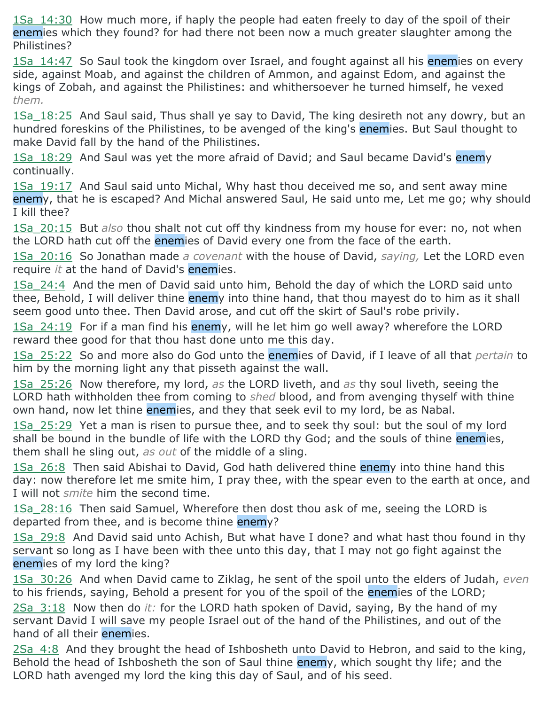1Sa\_14:30 How much more, if haply the people had eaten freely to day of the spoil of their enemies which they found? for had there not been now a much greater slaughter among the Philistines?

1Sa 14:47 So Saul took the kingdom over Israel, and fought against all his enemies on every side, against Moab, and against the children of Ammon, and against Edom, and against the kings of Zobah, and against the Philistines: and whithersoever he turned himself, he vexed *them.*

1Sa 18:25 And Saul said, Thus shall ye say to David, The king desireth not any dowry, but an hundred foreskins of the Philistines, to be avenged of the king's enemies. But Saul thought to make David fall by the hand of the Philistines.

1Sa 18:29 And Saul was yet the more afraid of David; and Saul became David's enemy continually.

1Sa\_19:17 And Saul said unto Michal, Why hast thou deceived me so, and sent away mine enemy, that he is escaped? And Michal answered Saul, He said unto me, Let me go; why should I kill thee?

1Sa\_20:15 But *also* thou shalt not cut off thy kindness from my house for ever: no, not when the LORD hath cut off the enemies of David every one from the face of the earth.

1Sa\_20:16 So Jonathan made *a covenant* with the house of David, *saying,* Let the LORD even require *it* at the hand of David's enemies.

1Sa\_24:4 And the men of David said unto him, Behold the day of which the LORD said unto thee, Behold, I will deliver thine enemy into thine hand, that thou mayest do to him as it shall seem good unto thee. Then David arose, and cut off the skirt of Saul's robe privily.

1Sa 24:19 For if a man find his enemy, will he let him go well away? wherefore the LORD reward thee good for that thou hast done unto me this day.

1Sa\_25:22 So and more also do God unto the enemies of David, if I leave of all that *pertain* to him by the morning light any that pisseth against the wall.

1Sa\_25:26 Now therefore, my lord, *as* the LORD liveth, and *as* thy soul liveth, seeing the LORD hath withholden thee from coming to *shed* blood, and from avenging thyself with thine own hand, now let thine enemies, and they that seek evil to my lord, be as Nabal.

1Sa 25:29 Yet a man is risen to pursue thee, and to seek thy soul: but the soul of my lord shall be bound in the bundle of life with the LORD thy God; and the souls of thine enemies, them shall he sling out, *as out* of the middle of a sling.

1Sa 26:8 Then said Abishai to David, God hath delivered thine enemy into thine hand this day: now therefore let me smite him, I pray thee, with the spear even to the earth at once, and I will not *smite* him the second time.

1Sa 28:16 Then said Samuel, Wherefore then dost thou ask of me, seeing the LORD is departed from thee, and is become thine enemy?

1Sa\_29:8 And David said unto Achish, But what have I done? and what hast thou found in thy servant so long as I have been with thee unto this day, that I may not go fight against the enemies of my lord the king?

1Sa\_30:26 And when David came to Ziklag, he sent of the spoil unto the elders of Judah, *even* to his friends, saying, Behold a present for you of the spoil of the enemies of the LORD;

2Sa\_3:18 Now then do *it:* for the LORD hath spoken of David, saying, By the hand of my servant David I will save my people Israel out of the hand of the Philistines, and out of the hand of all their enemies.

2Sa\_4:8 And they brought the head of Ishbosheth unto David to Hebron, and said to the king, Behold the head of Ishbosheth the son of Saul thine enemy, which sought thy life; and the LORD hath avenged my lord the king this day of Saul, and of his seed.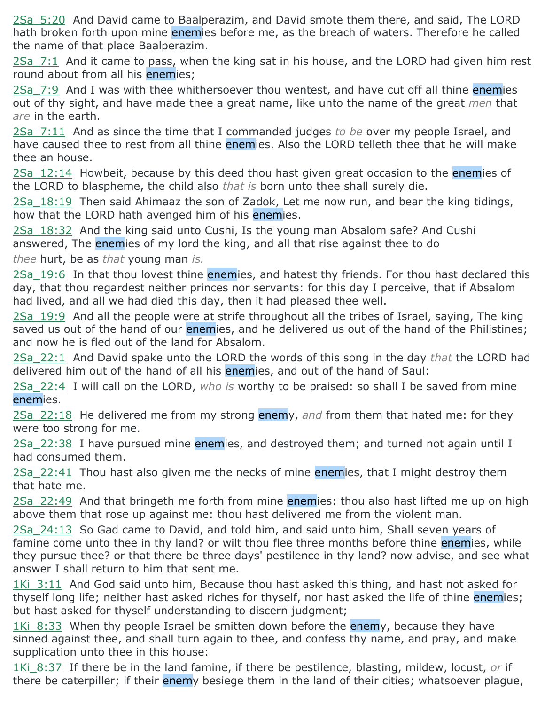2Sa\_5:20 And David came to Baalperazim, and David smote them there, and said, The LORD hath broken forth upon mine enemies before me, as the breach of waters. Therefore he called the name of that place Baalperazim.

 $2$ Sa  $7:1$  And it came to pass, when the king sat in his house, and the LORD had given him rest round about from all his enemies;

2Sa 7:9 And I was with thee whithersoever thou wentest, and have cut off all thine enemies out of thy sight, and have made thee a great name, like unto the name of the great *men* that *are* in the earth.

2Sa\_7:11 And as since the time that I commanded judges *to be* over my people Israel, and have caused thee to rest from all thine enemies. Also the LORD telleth thee that he will make thee an house.

2Sa 12:14 Howbeit, because by this deed thou hast given great occasion to the enemies of the LORD to blaspheme, the child also *that is* born unto thee shall surely die.

2Sa 18:19 Then said Ahimaaz the son of Zadok, Let me now run, and bear the king tidings, how that the LORD hath avenged him of his enemies.

2Sa\_18:32 And the king said unto Cushi, Is the young man Absalom safe? And Cushi answered, The enemies of my lord the king, and all that rise against thee to do

*thee* hurt, be as *that* young man *is.*

2Sa 19:6 In that thou lovest thine enemies, and hatest thy friends. For thou hast declared this day, that thou regardest neither princes nor servants: for this day I perceive, that if Absalom had lived, and all we had died this day, then it had pleased thee well.

2Sa\_19:9 And all the people were at strife throughout all the tribes of Israel, saying, The king saved us out of the hand of our enemies, and he delivered us out of the hand of the Philistines; and now he is fled out of the land for Absalom.

2Sa\_22:1 And David spake unto the LORD the words of this song in the day *that* the LORD had delivered him out of the hand of all his enemies, and out of the hand of Saul:

2Sa\_22:4 I will call on the LORD, *who is* worthy to be praised: so shall I be saved from mine enemies.

2Sa\_22:18 He delivered me from my strong enemy, *and* from them that hated me: for they were too strong for me.

2Sa 22:38 I have pursued mine enemies, and destroyed them; and turned not again until I had consumed them.

 $2$ Sa  $22:41$  Thou hast also given me the necks of mine enemies, that I might destroy them that hate me.

2Sa 22:49 And that bringeth me forth from mine enemies: thou also hast lifted me up on high above them that rose up against me: thou hast delivered me from the violent man.

2Sa\_24:13 So Gad came to David, and told him, and said unto him, Shall seven years of famine come unto thee in thy land? or wilt thou flee three months before thine enemies, while they pursue thee? or that there be three days' pestilence in thy land? now advise, and see what answer I shall return to him that sent me.

1Ki 3:11 And God said unto him, Because thou hast asked this thing, and hast not asked for thyself long life; neither hast asked riches for thyself, nor hast asked the life of thine enemies; but hast asked for thyself understanding to discern judgment;

1Ki 8:33 When thy people Israel be smitten down before the enemy, because they have sinned against thee, and shall turn again to thee, and confess thy name, and pray, and make supplication unto thee in this house:

1Ki\_8:37 If there be in the land famine, if there be pestilence, blasting, mildew, locust, *or* if there be caterpiller; if their enemy besiege them in the land of their cities; whatsoever plague,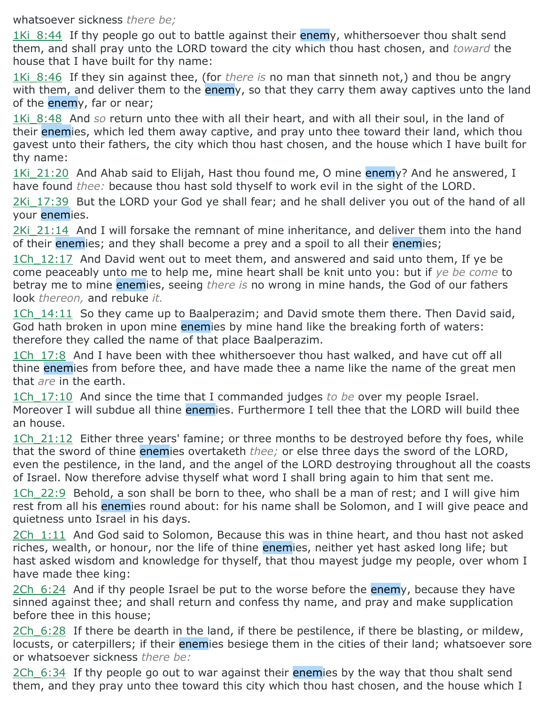whatsoever sickness *there be;*

1Ki 8:44 If thy people go out to battle against their enemy, whithersoever thou shalt send them, and shall pray unto the LORD toward the city which thou hast chosen, and *toward* the house that I have built for thy name:

1Ki 8:46 If they sin against thee, (for *there is* no man that sinneth not,) and thou be angry with them, and deliver them to the enemy, so that they carry them away captives unto the land of the enemy, far or near;

1Ki\_8:48 And *so* return unto thee with all their heart, and with all their soul, in the land of their enemies, which led them away captive, and pray unto thee toward their land, which thou gavest unto their fathers, the city which thou hast chosen, and the house which I have built for thy name:

1Ki 21:20 And Ahab said to Elijah, Hast thou found me, O mine enemy? And he answered, I have found *thee:* because thou hast sold thyself to work evil in the sight of the LORD.

2Ki 17:39 But the LORD your God ye shall fear; and he shall deliver you out of the hand of all your enemies.

2Ki 21:14 And I will forsake the remnant of mine inheritance, and deliver them into the hand of their enemies; and they shall become a prey and a spoil to all their enemies;

1Ch 12:17 And David went out to meet them, and answered and said unto them, If ye be come peaceably unto me to help me, mine heart shall be knit unto you: but if *ye be come* to betray me to mine enemies, seeing *there is* no wrong in mine hands, the God of our fathers look *thereon,* and rebuke *it.*

1Ch 14:11 So they came up to Baalperazim; and David smote them there. Then David said, God hath broken in upon mine enemies by mine hand like the breaking forth of waters: therefore they called the name of that place Baalperazim.

1Ch 17:8 And I have been with thee whithersoever thou hast walked, and have cut off all thine **enemies** from before thee, and have made thee a name like the name of the great men that *are* in the earth.

1Ch\_17:10 And since the time that I commanded judges *to be* over my people Israel. Moreover I will subdue all thine enemies. Furthermore I tell thee that the LORD will build thee an house.

1Ch 21:12 Either three years' famine; or three months to be destroyed before thy foes, while that the sword of thine enemies overtaketh *thee;* or else three days the sword of the LORD, even the pestilence, in the land, and the angel of the LORD destroying throughout all the coasts of Israel. Now therefore advise thyself what word I shall bring again to him that sent me.

1Ch  $22:9$  Behold, a son shall be born to thee, who shall be a man of rest; and I will give him rest from all his enemies round about: for his name shall be Solomon, and I will give peace and quietness unto Israel in his days.

2Ch 1:11 And God said to Solomon, Because this was in thine heart, and thou hast not asked riches, wealth, or honour, nor the life of thine enemies, neither yet hast asked long life; but hast asked wisdom and knowledge for thyself, that thou mayest judge my people, over whom I have made thee king:

2Ch 6:24 And if thy people Israel be put to the worse before the enemy, because they have sinned against thee; and shall return and confess thy name, and pray and make supplication before thee in this house;

 $2Ch$  6:28 If there be dearth in the land, if there be pestilence, if there be blasting, or mildew, locusts, or caterpillers; if their enemies besiege them in the cities of their land; whatsoever sore or whatsoever sickness *there be:*

2Ch 6:34 If thy people go out to war against their enemies by the way that thou shalt send them, and they pray unto thee toward this city which thou hast chosen, and the house which I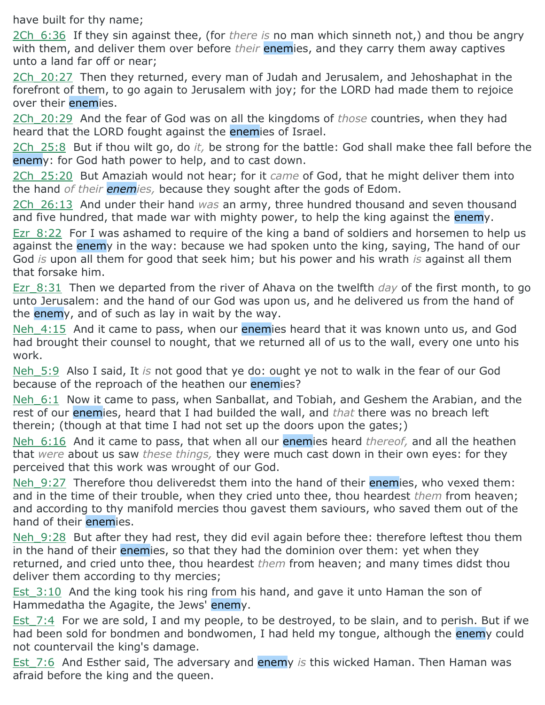have built for thy name;

2Ch\_6:36 If they sin against thee, (for *there is* no man which sinneth not,) and thou be angry with them, and deliver them over before *their* enemies, and they carry them away captives unto a land far off or near;

2Ch 20:27 Then they returned, every man of Judah and Jerusalem, and Jehoshaphat in the forefront of them, to go again to Jerusalem with joy; for the LORD had made them to rejoice over their enemies.

2Ch\_20:29 And the fear of God was on all the kingdoms of *those* countries, when they had heard that the LORD fought against the **enemies** of Israel.

2Ch\_25:8 But if thou wilt go, do *it,* be strong for the battle: God shall make thee fall before the enemy: for God hath power to help, and to cast down.

2Ch\_25:20 But Amaziah would not hear; for it *came* of God, that he might deliver them into the hand *of their enemies,* because they sought after the gods of Edom.

2Ch\_26:13 And under their hand *was* an army, three hundred thousand and seven thousand and five hundred, that made war with mighty power, to help the king against the enemy.

Ezr 8:22 For I was ashamed to require of the king a band of soldiers and horsemen to help us against the enemy in the way: because we had spoken unto the king, saying, The hand of our God *is* upon all them for good that seek him; but his power and his wrath *is* against all them that forsake him.

Ezr\_8:31 Then we departed from the river of Ahava on the twelfth *day* of the first month, to go unto Jerusalem: and the hand of our God was upon us, and he delivered us from the hand of the **enemy**, and of such as lay in wait by the way.

Neh 4:15 And it came to pass, when our enemies heard that it was known unto us, and God had brought their counsel to nought, that we returned all of us to the wall, every one unto his work.

Neh\_5:9 Also I said, It *is* not good that ye do: ought ye not to walk in the fear of our God because of the reproach of the heathen our enemies?

Neh 6:1 Now it came to pass, when Sanballat, and Tobiah, and Geshem the Arabian, and the rest of our enemies, heard that I had builded the wall, and *that* there was no breach left therein; (though at that time I had not set up the doors upon the gates;)

Neh\_6:16 And it came to pass, that when all our enemies heard *thereof,* and all the heathen that *were* about us saw *these things,* they were much cast down in their own eyes: for they perceived that this work was wrought of our God.

Neh 9:27 Therefore thou deliveredst them into the hand of their enemies, who vexed them: and in the time of their trouble, when they cried unto thee, thou heardest *them* from heaven; and according to thy manifold mercies thou gavest them saviours, who saved them out of the hand of their enemies.

Neh 9:28 But after they had rest, they did evil again before thee: therefore leftest thou them in the hand of their enemies, so that they had the dominion over them: yet when they returned, and cried unto thee, thou heardest *them* from heaven; and many times didst thou deliver them according to thy mercies;

Est 3:10 And the king took his ring from his hand, and gave it unto Haman the son of Hammedatha the Agagite, the Jews' enemy.

Est 7:4 For we are sold, I and my people, to be destroyed, to be slain, and to perish. But if we had been sold for bondmen and bondwomen, I had held my tongue, although the enemy could not countervail the king's damage.

Est\_7:6 And Esther said, The adversary and enemy *is* this wicked Haman. Then Haman was afraid before the king and the queen.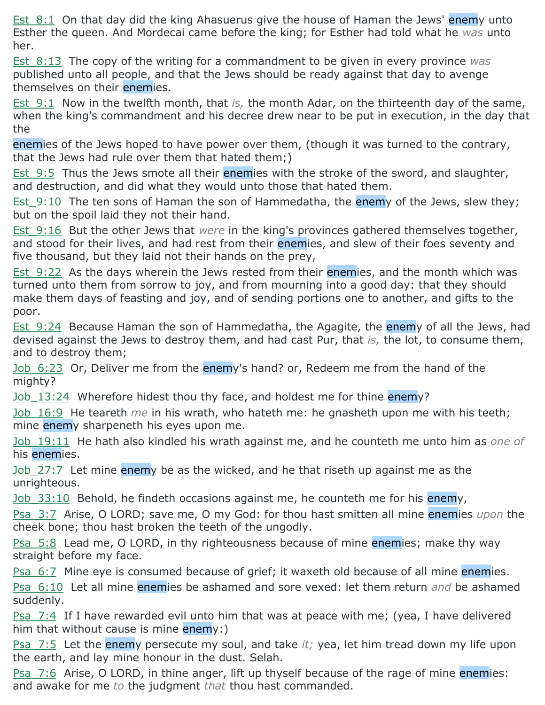Est 8:1 On that day did the king Ahasuerus give the house of Haman the Jews' enemy unto Esther the queen. And Mordecai came before the king; for Esther had told what he *was* unto her.

Est\_8:13 The copy of the writing for a commandment to be given in every province *was* published unto all people, and that the Jews should be ready against that day to avenge themselves on their enemies.

Est 9:1 Now in the twelfth month, that *is*, the month Adar, on the thirteenth day of the same, when the king's commandment and his decree drew near to be put in execution, in the day that the

enemies of the Jews hoped to have power over them, (though it was turned to the contrary, that the Jews had rule over them that hated them;)

Est 9:5 Thus the Jews smote all their enemies with the stroke of the sword, and slaughter, and destruction, and did what they would unto those that hated them.

Est 9:10 The ten sons of Haman the son of Hammedatha, the enemy of the Jews, slew they; but on the spoil laid they not their hand.

Est\_9:16 But the other Jews that *were* in the king's provinces gathered themselves together, and stood for their lives, and had rest from their enemies, and slew of their foes seventy and five thousand, but they laid not their hands on the prey,

Est 9:22 As the days wherein the Jews rested from their enemies, and the month which was turned unto them from sorrow to joy, and from mourning into a good day: that they should make them days of feasting and joy, and of sending portions one to another, and gifts to the poor.

Est 9:24 Because Haman the son of Hammedatha, the Agagite, the enemy of all the Jews, had devised against the Jews to destroy them, and had cast Pur, that *is,* the lot, to consume them, and to destroy them;

Job 6:23 Or, Deliver me from the enemy's hand? or, Redeem me from the hand of the mighty?

Job 13:24 Wherefore hidest thou thy face, and holdest me for thine enemy?

Job\_16:9 He teareth *me* in his wrath, who hateth me: he gnasheth upon me with his teeth; mine enemy sharpeneth his eyes upon me.

Job\_19:11 He hath also kindled his wrath against me, and he counteth me unto him as *one of* his enemies.

Job 27:7 Let mine enemy be as the wicked, and he that riseth up against me as the unrighteous.

 $Job$  33:10 Behold, he findeth occasions against me, he counteth me for his enemy,

Psa\_3:7 Arise, O LORD; save me, O my God: for thou hast smitten all mine enemies *upon* the cheek bone; thou hast broken the teeth of the ungodly.

Psa 5:8 Lead me, O LORD, in thy righteousness because of mine enemies; make thy way straight before my face.

Psa 6:7 Mine eye is consumed because of grief; it waxeth old because of all mine enemies.

Psa\_6:10 Let all mine enemies be ashamed and sore vexed: let them return *and* be ashamed suddenly.

Psa 7:4 If I have rewarded evil unto him that was at peace with me; (yea, I have delivered him that without cause is mine enemy:)

Psa\_7:5 Let the enemy persecute my soul, and take *it;* yea, let him tread down my life upon the earth, and lay mine honour in the dust. Selah.

Psa\_7:6 Arise, O LORD, in thine anger, lift up thyself because of the rage of mine enemies: and awake for me *to* the judgment *that* thou hast commanded.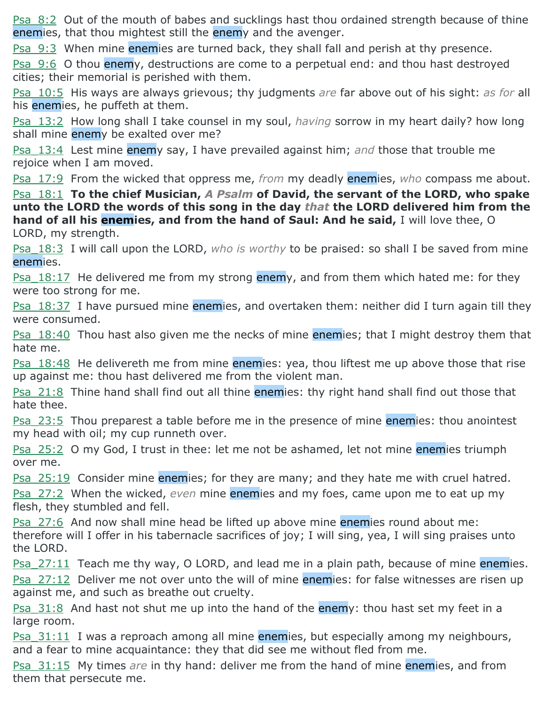Psa 8:2 Out of the mouth of babes and sucklings hast thou ordained strength because of thine enemies, that thou mightest still the enemy and the avenger.

Psa\_9:3 When mine enemies are turned back, they shall fall and perish at thy presence.

Psa 9:6 O thou enemy, destructions are come to a perpetual end: and thou hast destroyed cities; their memorial is perished with them.

Psa\_10:5 His ways are always grievous; thy judgments *are* far above out of his sight: *as for* all his enemies, he puffeth at them.

Psa\_13:2 How long shall I take counsel in my soul, *having* sorrow in my heart daily? how long shall mine enemy be exalted over me?

Psa\_13:4 Lest mine enemy say, I have prevailed against him; *and* those that trouble me rejoice when I am moved.

Psa\_17:9 From the wicked that oppress me, *from* my deadly enemies, *who* compass me about.

Psa\_18:1 **To the chief Musician,** *A Psalm* **of David, the servant of the LORD, who spake unto the LORD the words of this song in the day** *that* **the LORD delivered him from the hand of all his enemies, and from the hand of Saul: And he said,** I will love thee, O LORD, my strength.

Psa\_18:3 I will call upon the LORD, *who is worthy* to be praised: so shall I be saved from mine enemies.

Psa  $18:17$  He delivered me from my strong enemy, and from them which hated me: for they were too strong for me.

Psa 18:37 I have pursued mine enemies, and overtaken them: neither did I turn again till they were consumed.

Psa 18:40 Thou hast also given me the necks of mine enemies; that I might destroy them that hate me.

Psa 18:48 He delivereth me from mine enemies: yea, thou liftest me up above those that rise up against me: thou hast delivered me from the violent man.

Psa 21:8 Thine hand shall find out all thine enemies: thy right hand shall find out those that hate thee.

**Psa\_23:5** Thou preparest a table before me in the presence of mine enemies: thou anointest my head with oil; my cup runneth over.

**Psa\_25:2** O my God, I trust in thee: let me not be ashamed, let not mine enemies triumph over me.

**Psa**  $25:19$  Consider mine enemies; for they are many; and they hate me with cruel hatred. Psa\_27:2 When the wicked, *even* mine enemies and my foes, came upon me to eat up my

flesh, they stumbled and fell. Psa 27:6 And now shall mine head be lifted up above mine enemies round about me:

therefore will I offer in his tabernacle sacrifices of joy; I will sing, yea, I will sing praises unto the LORD.

Psa 27:11 Teach me thy way, O LORD, and lead me in a plain path, because of mine enemies. Psa 27:12 Deliver me not over unto the will of mine enemies: for false witnesses are risen up against me, and such as breathe out cruelty.

Psa 31:8 And hast not shut me up into the hand of the enemy: thou hast set my feet in a large room.

Psa 31:11 I was a reproach among all mine enemies, but especially among my neighbours, and a fear to mine acquaintance: they that did see me without fled from me.

Psa\_31:15 My times *are* in thy hand: deliver me from the hand of mine enemies, and from them that persecute me.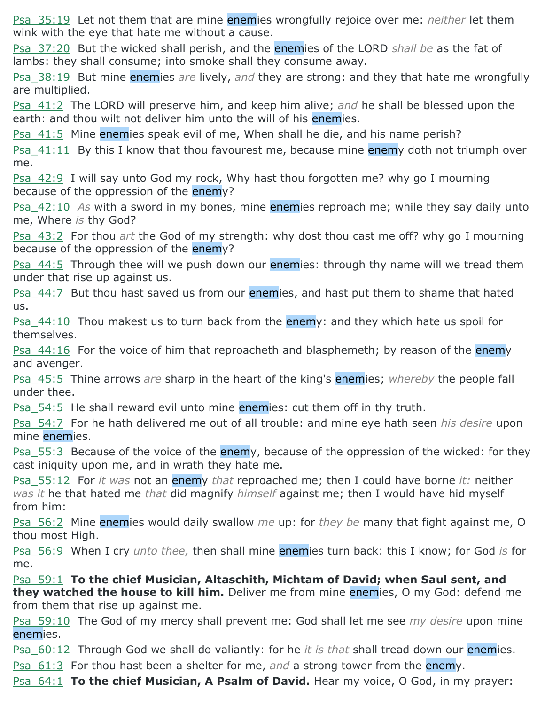Psa\_35:19 Let not them that are mine enemies wrongfully rejoice over me: *neither* let them wink with the eye that hate me without a cause.

Psa\_37:20 But the wicked shall perish, and the enemies of the LORD *shall be* as the fat of lambs: they shall consume; into smoke shall they consume away.

Psa\_38:19 But mine enemies *are* lively, *and* they are strong: and they that hate me wrongfully are multiplied.

Psa\_41:2 The LORD will preserve him, and keep him alive; *and* he shall be blessed upon the earth: and thou wilt not deliver him unto the will of his enemies.

Psa 41:5 Mine enemies speak evil of me, When shall he die, and his name perish?

Psa  $41:11$  By this I know that thou favourest me, because mine enemy doth not triumph over me.

Psa\_42:9 I will say unto God my rock, Why hast thou forgotten me? why go I mourning because of the oppression of the enemy?

Psa\_42:10 *As* with a sword in my bones, mine enemies reproach me; while they say daily unto me, Where *is* thy God?

Psa\_43:2 For thou *art* the God of my strength: why dost thou cast me off? why go I mourning because of the oppression of the enemy?

Psa 44:5 Through thee will we push down our **enemies:** through thy name will we tread them under that rise up against us.

Psa 44:7 But thou hast saved us from our enemies, and hast put them to shame that hated us.

<u>Psa\_44:10</u> Thou makest us to turn back from the enemy: and they which hate us spoil for themselves.

<u>Psa\_44:16</u> For the voice of him that reproacheth and blasphemeth; by reason of the enemy and avenger.

Psa\_45:5 Thine arrows *are* sharp in the heart of the king's enemies; *whereby* the people fall under thee.

Psa\_54:5 He shall reward evil unto mine enemies: cut them off in thy truth.

Psa\_54:7 For he hath delivered me out of all trouble: and mine eye hath seen *his desire* upon mine enemies.

Psa 55:3 Because of the voice of the enemy, because of the oppression of the wicked: for they cast iniquity upon me, and in wrath they hate me.

Psa\_55:12 For *it was* not an enemy *that* reproached me; then I could have borne *it:* neither *was it* he that hated me *that* did magnify *himself* against me; then I would have hid myself from him:

Psa\_56:2 Mine enemies would daily swallow *me* up: for *they be* many that fight against me, O thou most High.

Psa\_56:9 When I cry *unto thee,* then shall mine enemies turn back: this I know; for God *is* for me.

Psa\_59:1 **To the chief Musician, Altaschith, Michtam of David; when Saul sent, and they watched the house to kill him.** Deliver me from mine enemies, O my God: defend me from them that rise up against me.

Psa\_59:10 The God of my mercy shall prevent me: God shall let me see *my desire* upon mine enemies.

Psa\_60:12 Through God we shall do valiantly: for he *it is that* shall tread down our enemies.

Psa\_61:3 For thou hast been a shelter for me, *and* a strong tower from the enemy.

Psa  $64:1$  **To the chief Musician, A Psalm of David.** Hear my voice, O God, in my prayer: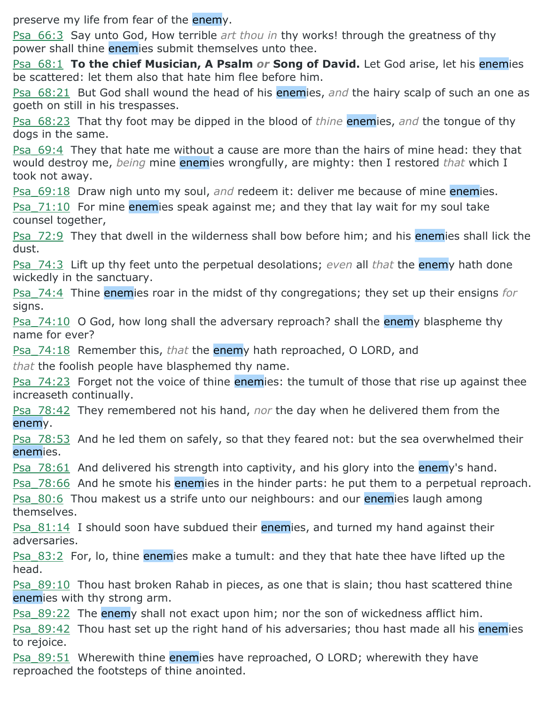preserve my life from fear of the enemy.

Psa\_66:3 Say unto God, How terrible *art thou in* thy works! through the greatness of thy power shall thine enemies submit themselves unto thee.

Psa\_68:1 **To the chief Musician, A Psalm** *or* **Song of David.** Let God arise, let his enemies be scattered: let them also that hate him flee before him.

Psa\_68:21 But God shall wound the head of his enemies, *and* the hairy scalp of such an one as goeth on still in his trespasses.

Psa\_68:23 That thy foot may be dipped in the blood of *thine* enemies, *and* the tongue of thy dogs in the same.

Psa\_69:4 They that hate me without a cause are more than the hairs of mine head: they that would destroy me, *being* mine enemies wrongfully, are mighty: then I restored *that* which I took not away.

Psa\_69:18 Draw nigh unto my soul, *and* redeem it: deliver me because of mine enemies.

Psa  $71:10$  For mine enemies speak against me; and they that lay wait for my soul take counsel together,

Psa 72:9 They that dwell in the wilderness shall bow before him; and his enemies shall lick the dust.

Psa\_74:3 Lift up thy feet unto the perpetual desolations; *even* all *that* the enemy hath done wickedly in the sanctuary.

Psa\_74:4 Thine enemies roar in the midst of thy congregations; they set up their ensigns *for* signs.

<u>Psa\_74:10</u> O God, how long shall the adversary reproach? shall the enemy blaspheme thy name for ever?

Psa\_74:18 Remember this, *that* the enemy hath reproached, O LORD, and

*that* the foolish people have blasphemed thy name.

Psa 74:23 Forget not the voice of thine enemies: the tumult of those that rise up against thee increaseth continually.

Psa\_78:42 They remembered not his hand, *nor* the day when he delivered them from the enemy.

Psa 78:53 And he led them on safely, so that they feared not: but the sea overwhelmed their enemies.

Psa 78:61 And delivered his strength into captivity, and his glory into the enemy's hand.

Psa 78:66 And he smote his enemies in the hinder parts: he put them to a perpetual reproach.

Psa 80:6 Thou makest us a strife unto our neighbours: and our enemies laugh among themselves.

**Psa**  $81:14$  I should soon have subdued their **enemies**, and turned my hand against their adversaries.

Psa 83:2 For, lo, thine enemies make a tumult: and they that hate thee have lifted up the head.

Psa\_89:10 Thou hast broken Rahab in pieces, as one that is slain; thou hast scattered thine enemies with thy strong arm.

Psa\_89:22 The enemy shall not exact upon him; nor the son of wickedness afflict him.

Psa 89:42 Thou hast set up the right hand of his adversaries; thou hast made all his enemies to rejoice.

Psa 89:51 Wherewith thine enemies have reproached, O LORD; wherewith they have reproached the footsteps of thine anointed.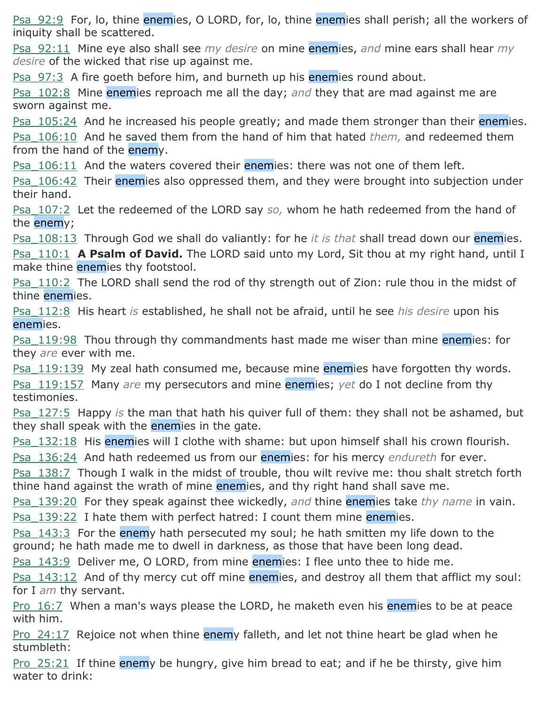Psa 92:9 For, lo, thine enemies, O LORD, for, lo, thine enemies shall perish; all the workers of iniquity shall be scattered.

Psa\_92:11 Mine eye also shall see *my desire* on mine enemies, *and* mine ears shall hear *my desire* of the wicked that rise up against me.

Psa 97:3 A fire goeth before him, and burneth up his enemies round about.

Psa\_102:8 Mine enemies reproach me all the day; *and* they that are mad against me are sworn against me.

Psa 105:24 And he increased his people greatly; and made them stronger than their enemies. Psa\_106:10 And he saved them from the hand of him that hated *them,* and redeemed them from the hand of the enemy.

Psa  $106:11$  And the waters covered their enemies: there was not one of them left.

Psa 106:42 Their enemies also oppressed them, and they were brought into subjection under their hand.

Psa\_107:2 Let the redeemed of the LORD say *so,* whom he hath redeemed from the hand of the enemy;

Psa\_108:13 Through God we shall do valiantly: for he *it is that* shall tread down our enemies. Psa\_110:1 **A Psalm of David.** The LORD said unto my Lord, Sit thou at my right hand, until I make thine enemies thy footstool.

Psa 110:2 The LORD shall send the rod of thy strength out of Zion: rule thou in the midst of thine enemies.

Psa\_112:8 His heart *is* established, he shall not be afraid, until he see *his desire* upon his enemies.

Psa 119:98 Thou through thy commandments hast made me wiser than mine enemies: for they *are* ever with me.

Psa\_119:139 My zeal hath consumed me, because mine enemies have forgotten thy words. Psa\_119:157 Many *are* my persecutors and mine enemies; *yet* do I not decline from thy testimonies.

Psa\_127:5 Happy *is* the man that hath his quiver full of them: they shall not be ashamed, but they shall speak with the enemies in the gate.

Psa 132:18 His enemies will I clothe with shame: but upon himself shall his crown flourish.

Psa\_136:24 And hath redeemed us from our enemies: for his mercy *endureth* for ever.

Psa 138:7 Though I walk in the midst of trouble, thou wilt revive me: thou shalt stretch forth thine hand against the wrath of mine enemies, and thy right hand shall save me.

Psa\_139:20 For they speak against thee wickedly, *and* thine enemies take *thy name* in vain. Psa 139:22 I hate them with perfect hatred: I count them mine enemies.

Psa 143:3 For the enemy hath persecuted my soul; he hath smitten my life down to the ground; he hath made me to dwell in darkness, as those that have been long dead.

Psa 143:9 Deliver me, O LORD, from mine enemies: I flee unto thee to hide me.

Psa 143:12 And of thy mercy cut off mine enemies, and destroy all them that afflict my soul: for I *am* thy servant.

Pro 16:7 When a man's ways please the LORD, he maketh even his enemies to be at peace with him.

Pro 24:17 Rejoice not when thine enemy falleth, and let not thine heart be glad when he stumbleth:

Pro  $25:21$  If thine enemy be hungry, give him bread to eat; and if he be thirsty, give him water to drink: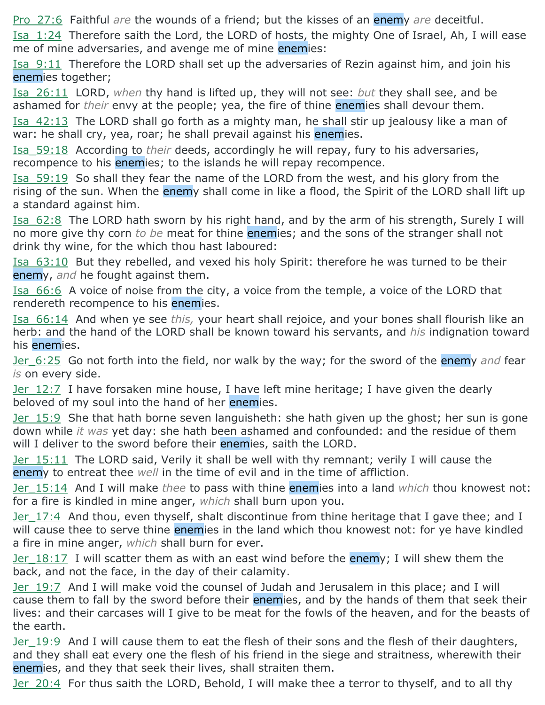Pro\_27:6 Faithful *are* the wounds of a friend; but the kisses of an enemy *are* deceitful.

Isa\_1:24 Therefore saith the Lord, the LORD of hosts, the mighty One of Israel, Ah, I will ease me of mine adversaries, and avenge me of mine enemies:

Isa\_9:11 Therefore the LORD shall set up the adversaries of Rezin against him, and join his enemies together;

Isa\_26:11 LORD, *when* thy hand is lifted up, they will not see: *but* they shall see, and be ashamed for *their* envy at the people; yea, the fire of thine enemies shall devour them.

Isa 42:13 The LORD shall go forth as a mighty man, he shall stir up jealousy like a man of war: he shall cry, yea, roar; he shall prevail against his enemies.

Isa\_59:18 According to *their* deeds, accordingly he will repay, fury to his adversaries, recompence to his enemies; to the islands he will repay recompence.

Isa\_59:19 So shall they fear the name of the LORD from the west, and his glory from the rising of the sun. When the enemy shall come in like a flood, the Spirit of the LORD shall lift up a standard against him.

Isa\_62:8 The LORD hath sworn by his right hand, and by the arm of his strength, Surely I will no more give thy corn *to be* meat for thine enemies; and the sons of the stranger shall not drink thy wine, for the which thou hast laboured:

Isa\_63:10 But they rebelled, and vexed his holy Spirit: therefore he was turned to be their enemy, *and* he fought against them.

Isa\_66:6 A voice of noise from the city, a voice from the temple, a voice of the LORD that rendereth recompence to his enemies.

Isa\_66:14 And when ye see *this,* your heart shall rejoice, and your bones shall flourish like an herb: and the hand of the LORD shall be known toward his servants, and *his* indignation toward his enemies.

Jer\_6:25 Go not forth into the field, nor walk by the way; for the sword of the enemy *and* fear *is* on every side.

Jer  $12:7$  I have forsaken mine house, I have left mine heritage; I have given the dearly beloved of my soul into the hand of her enemies.

Jer 15:9 She that hath borne seven languisheth: she hath given up the ghost; her sun is gone down while *it was* yet day: she hath been ashamed and confounded: and the residue of them will I deliver to the sword before their enemies, saith the LORD.

Jer\_15:11 The LORD said, Verily it shall be well with thy remnant; verily I will cause the enemy to entreat thee *well* in the time of evil and in the time of affliction.

Jer\_15:14 And I will make *thee* to pass with thine enemies into a land *which* thou knowest not: for a fire is kindled in mine anger, *which* shall burn upon you.

Jer 17:4 And thou, even thyself, shalt discontinue from thine heritage that I gave thee; and I will cause thee to serve thine enemies in the land which thou knowest not: for ye have kindled a fire in mine anger, *which* shall burn for ever.

Jer 18:17 I will scatter them as with an east wind before the enemy; I will shew them the back, and not the face, in the day of their calamity.

Jer\_19:7 And I will make void the counsel of Judah and Jerusalem in this place; and I will cause them to fall by the sword before their enemies, and by the hands of them that seek their lives: and their carcases will I give to be meat for the fowls of the heaven, and for the beasts of the earth.

Jer 19:9 And I will cause them to eat the flesh of their sons and the flesh of their daughters, and they shall eat every one the flesh of his friend in the siege and straitness, wherewith their enemies, and they that seek their lives, shall straiten them.

Jer 20:4 For thus saith the LORD, Behold, I will make thee a terror to thyself, and to all thy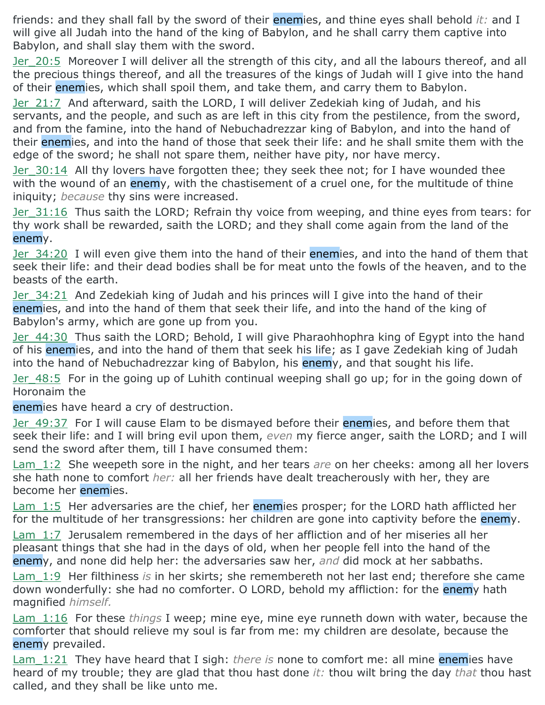friends: and they shall fall by the sword of their enemies, and thine eyes shall behold *it:* and I will give all Judah into the hand of the king of Babylon, and he shall carry them captive into Babylon, and shall slay them with the sword.

Jer 20:5 Moreover I will deliver all the strength of this city, and all the labours thereof, and all the precious things thereof, and all the treasures of the kings of Judah will I give into the hand of their enemies, which shall spoil them, and take them, and carry them to Babylon.

Jer 21:7 And afterward, saith the LORD, I will deliver Zedekiah king of Judah, and his servants, and the people, and such as are left in this city from the pestilence, from the sword, and from the famine, into the hand of Nebuchadrezzar king of Babylon, and into the hand of their enemies, and into the hand of those that seek their life: and he shall smite them with the edge of the sword; he shall not spare them, neither have pity, nor have mercy.

Jer 30:14 All thy lovers have forgotten thee; they seek thee not; for I have wounded thee with the wound of an enemy, with the chastisement of a cruel one, for the multitude of thine iniquity; *because* thy sins were increased.

Jer 31:16 Thus saith the LORD; Refrain thy voice from weeping, and thine eyes from tears: for thy work shall be rewarded, saith the LORD; and they shall come again from the land of the enemy.

Jer 34:20 I will even give them into the hand of their enemies, and into the hand of them that seek their life: and their dead bodies shall be for meat unto the fowls of the heaven, and to the beasts of the earth.

Jer 34:21 And Zedekiah king of Judah and his princes will I give into the hand of their enemies, and into the hand of them that seek their life, and into the hand of the king of Babylon's army, which are gone up from you.

Jer 44:30 Thus saith the LORD; Behold, I will give Pharaohhophra king of Egypt into the hand of his enemies, and into the hand of them that seek his life; as I gave Zedekiah king of Judah into the hand of Nebuchadrezzar king of Babylon, his enemy, and that sought his life.

Jer 48:5 For in the going up of Luhith continual weeping shall go up; for in the going down of Horonaim the

enemies have heard a cry of destruction.

Jer 49:37 For I will cause Elam to be dismayed before their enemies, and before them that seek their life: and I will bring evil upon them, *even* my fierce anger, saith the LORD; and I will send the sword after them, till I have consumed them:

Lam\_1:2 She weepeth sore in the night, and her tears *are* on her cheeks: among all her lovers she hath none to comfort *her:* all her friends have dealt treacherously with her, they are become her enemies.

Lam 1:5 Her adversaries are the chief, her enemies prosper; for the LORD hath afflicted her for the multitude of her transgressions: her children are gone into captivity before the enemy.

Lam 1:7 Jerusalem remembered in the days of her affliction and of her miseries all her pleasant things that she had in the days of old, when her people fell into the hand of the enemy, and none did help her: the adversaries saw her, *and* did mock at her sabbaths.

Lam\_1:9 Her filthiness *is* in her skirts; she remembereth not her last end; therefore she came down wonderfully: she had no comforter. O LORD, behold my affliction: for the enemy hath magnified *himself.*

Lam\_1:16 For these *things* I weep; mine eye, mine eye runneth down with water, because the comforter that should relieve my soul is far from me: my children are desolate, because the enemy prevailed.

Lam 1:21 They have heard that I sigh: *there is* none to comfort me: all mine enemies have heard of my trouble; they are glad that thou hast done *it:* thou wilt bring the day *that* thou hast called, and they shall be like unto me.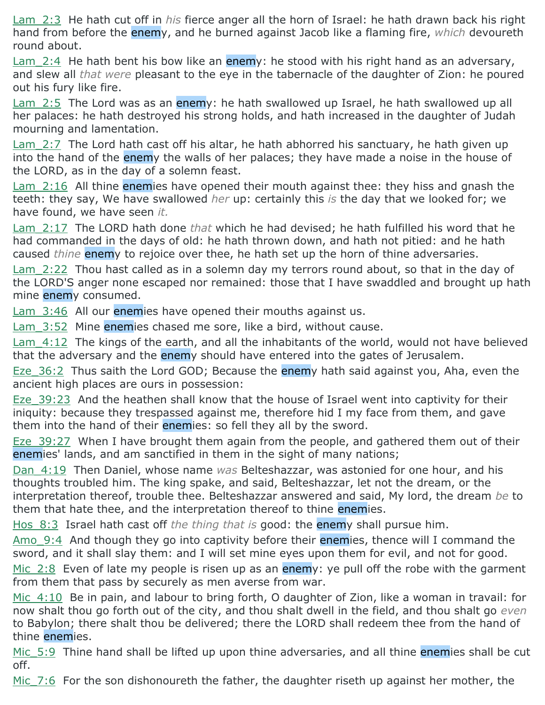Lam\_2:3 He hath cut off in *his* fierce anger all the horn of Israel: he hath drawn back his right hand from before the enemy, and he burned against Jacob like a flaming fire, *which* devoureth round about.

 $Lam$  2:4 He hath bent his bow like an enemy: he stood with his right hand as an adversary, and slew all *that were* pleasant to the eye in the tabernacle of the daughter of Zion: he poured out his fury like fire.

Lam 2:5 The Lord was as an enemy: he hath swallowed up Israel, he hath swallowed up all her palaces: he hath destroyed his strong holds, and hath increased in the daughter of Judah mourning and lamentation.

 $Lam$  2:7 The Lord hath cast off his altar, he hath abhorred his sanctuary, he hath given up into the hand of the enemy the walls of her palaces; they have made a noise in the house of the LORD, as in the day of a solemn feast.

Lam 2:16 All thine enemies have opened their mouth against thee: they hiss and gnash the teeth: they say, We have swallowed *her* up: certainly this *is* the day that we looked for; we have found, we have seen *it.*

Lam\_2:17 The LORD hath done *that* which he had devised; he hath fulfilled his word that he had commanded in the days of old: he hath thrown down, and hath not pitied: and he hath caused *thine* enemy to rejoice over thee, he hath set up the horn of thine adversaries.

Lam 2:22 Thou hast called as in a solemn day my terrors round about, so that in the day of the LORD'S anger none escaped nor remained: those that I have swaddled and brought up hath mine enemy consumed.

 $Lam$  3:46 All our enemies have opened their mouths against us.

Lam 3:52 Mine enemies chased me sore, like a bird, without cause.

Lam 4:12 The kings of the earth, and all the inhabitants of the world, would not have believed that the adversary and the enemy should have entered into the gates of Jerusalem.

Eze 36:2 Thus saith the Lord GOD; Because the enemy hath said against you, Aha, even the ancient high places are ours in possession:

Eze 39:23 And the heathen shall know that the house of Israel went into captivity for their iniquity: because they trespassed against me, therefore hid I my face from them, and gave them into the hand of their enemies: so fell they all by the sword.

Eze 39:27 When I have brought them again from the people, and gathered them out of their enemies' lands, and am sanctified in them in the sight of many nations;

Dan\_4:19 Then Daniel, whose name *was* Belteshazzar, was astonied for one hour, and his thoughts troubled him. The king spake, and said, Belteshazzar, let not the dream, or the interpretation thereof, trouble thee. Belteshazzar answered and said, My lord, the dream *be* to them that hate thee, and the interpretation thereof to thine enemies.

Hos\_8:3 Israel hath cast off *the thing that is* good: the enemy shall pursue him.

Amo 9:4 And though they go into captivity before their enemies, thence will I command the sword, and it shall slay them: and I will set mine eyes upon them for evil, and not for good.

Mic 2:8 Even of late my people is risen up as an enemy: ye pull off the robe with the garment from them that pass by securely as men averse from war.

Mic 4:10 Be in pain, and labour to bring forth, O daughter of Zion, like a woman in travail: for now shalt thou go forth out of the city, and thou shalt dwell in the field, and thou shalt go *even* to Babylon; there shalt thou be delivered; there the LORD shall redeem thee from the hand of thine enemies.

Mic 5:9 Thine hand shall be lifted up upon thine adversaries, and all thine enemies shall be cut off.

Mic 7:6 For the son dishonoureth the father, the daughter riseth up against her mother, the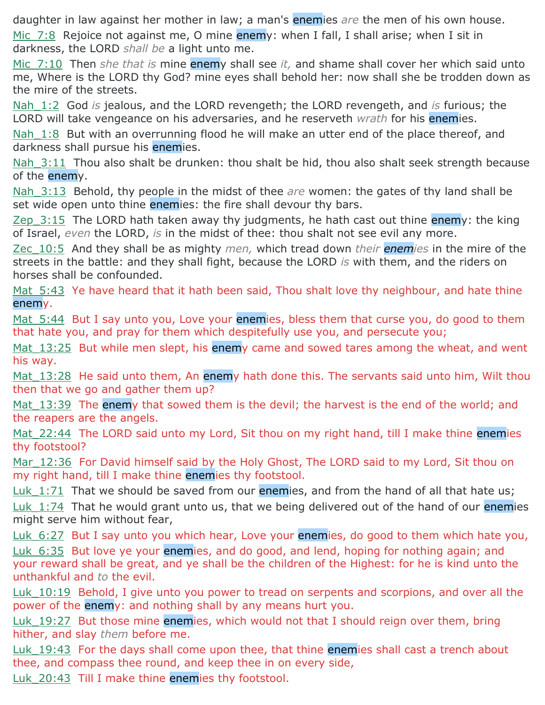daughter in law against her mother in law; a man's enemies *are* the men of his own house.

Mic 7:8 Rejoice not against me, O mine enemy: when I fall, I shall arise; when I sit in darkness, the LORD *shall be* a light unto me.

Mic\_7:10 Then *she that is* mine enemy shall see *it,* and shame shall cover her which said unto me, Where is the LORD thy God? mine eyes shall behold her: now shall she be trodden down as the mire of the streets.

Nah\_1:2 God *is* jealous, and the LORD revengeth; the LORD revengeth, and *is* furious; the LORD will take vengeance on his adversaries, and he reserveth *wrath* for his enemies.

Nah 1:8 But with an overrunning flood he will make an utter end of the place thereof, and darkness shall pursue his enemies.

Nah 3:11 Thou also shalt be drunken: thou shalt be hid, thou also shalt seek strength because of the enemy.

Nah\_3:13 Behold, thy people in the midst of thee *are* women: the gates of thy land shall be set wide open unto thine enemies: the fire shall devour thy bars.

 $Zep$  3:15 The LORD hath taken away thy judgments, he hath cast out thine enemy: the king of Israel, *even* the LORD, *is* in the midst of thee: thou shalt not see evil any more.

Zec\_10:5 And they shall be as mighty *men,* which tread down *their enemies* in the mire of the streets in the battle: and they shall fight, because the LORD *is* with them, and the riders on horses shall be confounded.

Mat 5:43 Ye have heard that it hath been said, Thou shalt love thy neighbour, and hate thine enemy.

Mat 5:44 But I say unto you, Love your enemies, bless them that curse you, do good to them that hate you, and pray for them which despitefully use you, and persecute you;

Mat 13:25 But while men slept, his enemy came and sowed tares among the wheat, and went his way.

Mat  $13:28$  He said unto them, An enemy hath done this. The servants said unto him, Wilt thou then that we go and gather them up?

Mat 13:39 The enemy that sowed them is the devil; the harvest is the end of the world; and the reapers are the angels.

Mat 22:44 The LORD said unto my Lord, Sit thou on my right hand, till I make thine enemies thy footstool?

Mar 12:36 For David himself said by the Holy Ghost, The LORD said to my Lord, Sit thou on my right hand, till I make thine enemies thy footstool.

Luk 1:71 That we should be saved from our enemies, and from the hand of all that hate us;

Luk 1:74 That he would grant unto us, that we being delivered out of the hand of our enemies might serve him without fear,

Luk 6:27 But I say unto you which hear, Love your enemies, do good to them which hate you, Luk 6:35 But love ye your enemies, and do good, and lend, hoping for nothing again; and your reward shall be great, and ye shall be the children of the Highest: for he is kind unto the unthankful and *to* the evil.

Luk 10:19 Behold, I give unto you power to tread on serpents and scorpions, and over all the power of the enemy: and nothing shall by any means hurt you.

Luk  $19:27$  But those mine enemies, which would not that I should reign over them, bring hither, and slay *them* before me.

Luk 19:43 For the days shall come upon thee, that thine enemies shall cast a trench about thee, and compass thee round, and keep thee in on every side,

Luk 20:43 Till I make thine enemies thy footstool.